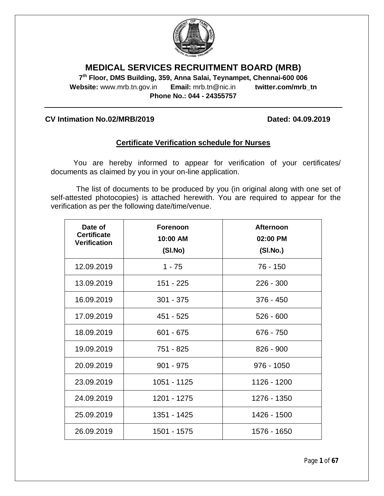

# **MEDICAL SERVICES RECRUITMENT BOARD (MRB)**

**7 th Floor, DMS Building, 359, Anna Salai, Teynampet, Chennai-600 006 Website:** www.mrb.tn.gov.in **Email:** mrb.tn@nic.in **twitter.com/mrb\_tn Phone No.: 044 - 24355757**

### **CV Intimation No.02/MRB/2019 Dated: 04.09.2019**

## **Certificate Verification schedule for Nurses**

You are hereby informed to appear for verification of your certificates/ documents as claimed by you in your on-line application.

The list of documents to be produced by you (in original along with one set of self-attested photocopies) is attached herewith. You are required to appear for the verification as per the following date/time/venue.

| Date of<br><b>Certificate</b><br><b>Verification</b> | <b>Forenoon</b><br>10:00 AM<br>(SI.No) | <b>Afternoon</b><br>02:00 PM<br>(SI.No.) |
|------------------------------------------------------|----------------------------------------|------------------------------------------|
| 12.09.2019                                           | $1 - 75$                               | 76 - 150                                 |
| 13.09.2019                                           | 151 - 225                              | $226 - 300$                              |
| 16.09.2019                                           | $301 - 375$                            | $376 - 450$                              |
| 17.09.2019                                           | 451 - 525                              | $526 - 600$                              |
| 18.09.2019                                           | $601 - 675$                            | 676 - 750                                |
| 19.09.2019                                           | 751 - 825                              | $826 - 900$                              |
| 20.09.2019                                           | $901 - 975$                            | $976 - 1050$                             |
| 23.09.2019                                           | 1051 - 1125                            | 1126 - 1200                              |
| 24.09.2019                                           | 1201 - 1275                            | 1276 - 1350                              |
| 25.09.2019                                           | 1351 - 1425                            | 1426 - 1500                              |
| 26.09.2019                                           | 1501 - 1575                            | 1576 - 1650                              |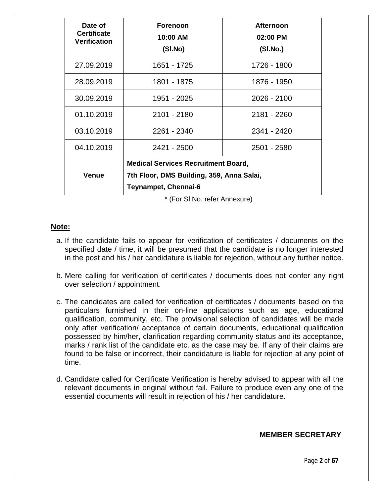| Date of<br><b>Certificate</b><br><b>Verification</b> | <b>Forenoon</b><br>10:00 AM<br>(SI.No)                                                                          | <b>Afternoon</b><br>02:00 PM<br>(SI.No.) |  |  |
|------------------------------------------------------|-----------------------------------------------------------------------------------------------------------------|------------------------------------------|--|--|
| 27.09.2019                                           | 1651 - 1725                                                                                                     | 1726 - 1800                              |  |  |
| 28.09.2019                                           | 1801 - 1875                                                                                                     | 1876 - 1950                              |  |  |
| 30.09.2019                                           | 1951 - 2025                                                                                                     | 2026 - 2100                              |  |  |
| 01.10.2019                                           | 2101 - 2180                                                                                                     | 2181 - 2260                              |  |  |
| 03.10.2019                                           | 2261 - 2340                                                                                                     | 2341 - 2420                              |  |  |
| 04.10.2019                                           | 2421 - 2500                                                                                                     | 2501 - 2580                              |  |  |
| <b>Venue</b>                                         | <b>Medical Services Recruitment Board,</b><br>7th Floor, DMS Building, 359, Anna Salai,<br>Teynampet, Chennai-6 |                                          |  |  |

\* (For Sl.No. refer Annexure)

## **Note:**

- a. If the candidate fails to appear for verification of certificates / documents on the specified date / time, it will be presumed that the candidate is no longer interested in the post and his / her candidature is liable for rejection, without any further notice.
- b. Mere calling for verification of certificates / documents does not confer any right over selection / appointment.
- c. The candidates are called for verification of certificates / documents based on the particulars furnished in their on-line applications such as age, educational qualification, community, etc. The provisional selection of candidates will be made only after verification/ acceptance of certain documents, educational qualification possessed by him/her, clarification regarding community status and its acceptance, marks / rank list of the candidate etc. as the case may be. If any of their claims are found to be false or incorrect, their candidature is liable for rejection at any point of time.
- d. Candidate called for Certificate Verification is hereby advised to appear with all the relevant documents in original without fail. Failure to produce even any one of the essential documents will result in rejection of his / her candidature.

## **MEMBER SECRETARY**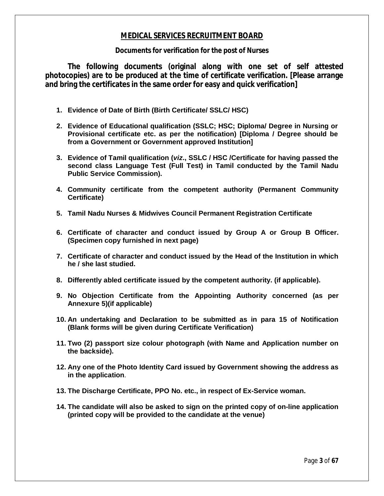## **MEDICAL SERVICES RECRUITMENT BOARD**

#### **Documents for verification for the post of Nurses**

**The following documents (original along with one set of self attested photocopies) are to be produced at the time of certificate verification. [Please arrange and bring the certificates in the same order for easy and quick verification]**

- **1. Evidence of Date of Birth (Birth Certificate/ SSLC/ HSC)**
- **2. Evidence of Educational qualification (SSLC; HSC; Diploma/ Degree in Nursing or Provisional certificate etc. as per the notification) [Diploma / Degree should be from a Government or Government approved Institution]**
- **3. Evidence of Tamil qualification (***viz***., SSLC / HSC /Certificate for having passed the second class Language Test (Full Test) in Tamil conducted by the Tamil Nadu Public Service Commission).**
- **4. Community certificate from the competent authority (Permanent Community Certificate)**
- **5. Tamil Nadu Nurses & Midwives Council Permanent Registration Certificate**
- **6. Certificate of character and conduct issued by Group A or Group B Officer. (Specimen copy furnished in next page)**
- **7. Certificate of character and conduct issued by the Head of the Institution in which he / she last studied.**
- **8. Differently abled certificate issued by the competent authority. (if applicable).**
- **9. No Objection Certificate from the Appointing Authority concerned (as per Annexure 5)(if applicable)**
- **10. An undertaking and Declaration to be submitted as in para 15 of Notification (Blank forms will be given during Certificate Verification)**
- **11. Two (2) passport size colour photograph (with Name and Application number on the backside).**
- **12. Any one of the Photo Identity Card issued by Government showing the address as in the application**.
- **13. The Discharge Certificate, PPO No. etc., in respect of Ex-Service woman.**
- **14. The candidate will also be asked to sign on the printed copy of on-line application (printed copy will be provided to the candidate at the venue)**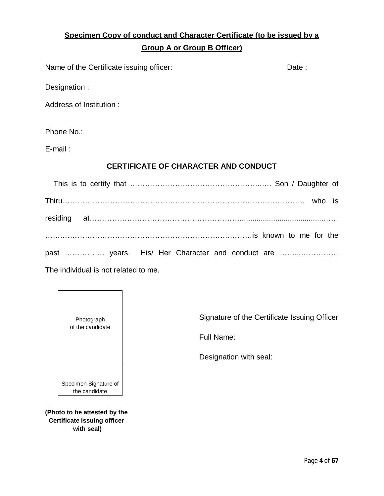# **Specimen Copy of conduct and Character Certificate (to be issued by a Group A or Group B Officer)**

Name of the Certificate issuing officer: Date: Date:

Designation :

Address of Institution :

Phone No.:

E-mail :

## **CERTIFICATE OF CHARACTER AND CONDUCT**

| past  years. His/ Her Character and conduct are |  |
|-------------------------------------------------|--|

The individual is not related to me.



**(Photo to be attested by the Certificate issuing officer with seal)**

Signature of the Certificate Issuing Officer

Full Name:

Designation with seal: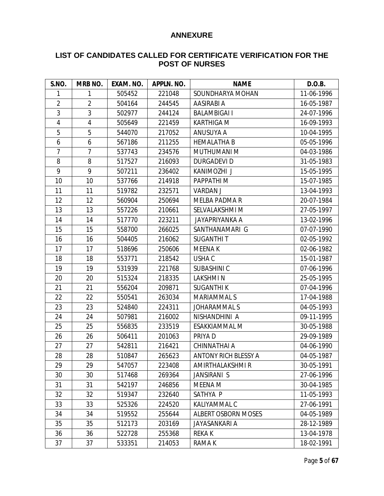## **ANNEXURE**

## **LIST OF CANDIDATES CALLED FOR CERTIFICATE VERIFICATION FOR THE POST OF NURSES**

| S.NO.          | <b>MRB NO.</b> | EXAM. NO. | APPLN. NO. | <b>NAME</b>                 | D.O.B.     |
|----------------|----------------|-----------|------------|-----------------------------|------------|
| 1              | 1              | 505452    | 221048     | SOUNDHARYA MOHAN            | 11-06-1996 |
| $\overline{2}$ | $\overline{2}$ | 504164    | 244545     | AASIRABI A                  | 16-05-1987 |
| 3              | 3              | 502977    | 244124     | <b>BALAMBIGAI I</b>         | 24-07-1996 |
| $\overline{4}$ | 4              | 505649    | 221459     | <b>KARTHIGA M</b>           | 16-09-1993 |
| 5              | 5              | 544070    | 217052     | ANUSUYA A                   | 10-04-1995 |
| 6              | 6              | 567186    | 211255     | <b>HEMALATHA B</b>          | 05-05-1996 |
| $\overline{7}$ | $\overline{7}$ | 537743    | 234576     | MUTHUMANI M                 | 04-03-1986 |
| 8              | 8              | 517527    | 216093     | <b>DURGADEVI D</b>          | 31-05-1983 |
| 9              | 9              | 507211    | 236402     | KANIMOZHI J                 | 15-05-1995 |
| 10             | 10             | 537766    | 214918     | PAPPATHI M                  | 15-07-1985 |
| 11             | 11             | 519782    | 232571     | <b>VARDAN J</b>             | 13-04-1993 |
| 12             | 12             | 560904    | 250694     | MELBA PADMA R               | 20-07-1984 |
| 13             | 13             | 557226    | 210661     | SELVALAKSHMI M              | 27-05-1997 |
| 14             | 14             | 517770    | 223211     | JAYAPRIYANKA A              | 13-02-1996 |
| 15             | 15             | 558700    | 266025     | SANTHANAMARI G              | 07-07-1990 |
| 16             | 16             | 504405    | 216062     | <b>SUGANTHIT</b>            | 02-05-1992 |
| 17             | 17             | 518696    | 250606     | <b>MEENA K</b>              | 02-06-1982 |
| 18             | 18             | 553771    | 218542     | USHA C                      | 15-01-1987 |
| 19             | 19             | 531939    | 221768     | <b>SUBASHINIC</b>           | 07-06-1996 |
| 20             | 20             | 515324    | 218335     | <b>LAKSHMIN</b>             | 25-05-1995 |
| 21             | 21             | 556204    | 209871     | <b>SUGANTHI K</b>           | 07-04-1996 |
| 22             | 22             | 550541    | 263034     | <b>MARIAMMAL S</b>          | 17-04-1988 |
| 23             | 23             | 524840    | 224311     | <b>JOHARAMMAL S</b>         | 04-05-1993 |
| 24             | 24             | 507981    | 216002     | NISHANDHINI A               | 09-11-1995 |
| 25             | 25             | 556835    | 233519     | ESAKKIAMMAL M               | 30-05-1988 |
| 26             | 26             | 506411    | 201063     | PRIYA D                     | 29-09-1989 |
| 27             | 27             | 542811    | 216421     | CHINNATHAI A                | 04-06-1990 |
| 28             | 28             | 510847    | 265623     | <b>ANTONY RICH BLESSY A</b> | 04-05-1987 |
| 29             | 29             | 547057    | 223408     | AMIRTHALAKSHMI R            | 30-05-1991 |
| 30             | 30             | 517468    | 269364     | <b>JANSIRANI S</b>          | 27-06-1996 |
| 31             | 31             | 542197    | 246856     | MEENA M                     | 30-04-1985 |
| 32             | 32             | 519347    | 232640     | SATHYA P                    | 11-05-1993 |
| 33             | 33             | 525326    | 224520     | <b>KALIYAMMAL C</b>         | 27-06-1991 |
| 34             | 34             | 519552    | 255644     | <b>ALBERT OSBORN MOSES</b>  | 04-05-1989 |
| 35             | 35             | 512173    | 203169     | <b>JAYASANKARI A</b>        | 28-12-1989 |
| 36             | 36             | 522728    | 255368     | <b>REKAK</b>                | 13-04-1978 |
| 37             | 37             | 533351    | 214053     | RAMA K                      | 18-02-1991 |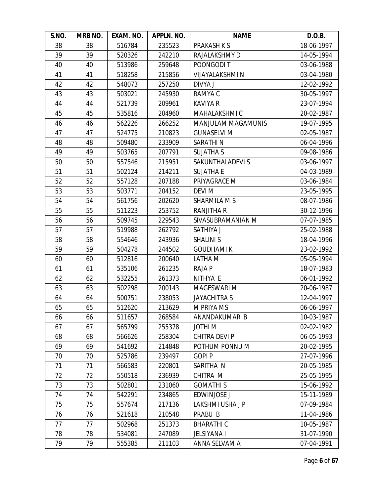| S.NO. | MRB NO. | EXAM. NO. | APPLN. NO. | <b>NAME</b>            | D.O.B.     |
|-------|---------|-----------|------------|------------------------|------------|
| 38    | 38      | 516784    | 235523     | <b>PRAKASH K S</b>     | 18-06-1997 |
| 39    | 39      | 520326    | 242210     | RAJALAKSHMY D          | 14-05-1994 |
| 40    | 40      | 513986    | 259648     | POONGODI T             | 03-06-1988 |
| 41    | 41      | 518258    | 215856     | <b>VIJAYALAKSHMI N</b> | 03-04-1980 |
| 42    | 42      | 548073    | 257250     | DIVYA J                | 12-02-1992 |
| 43    | 43      | 503021    | 245930     | RAMYA C                | 30-05-1997 |
| 44    | 44      | 521739    | 209961     | <b>KAVIYA R</b>        | 23-07-1994 |
| 45    | 45      | 535816    | 204960     | <b>MAHALAKSHMI C</b>   | 20-02-1987 |
| 46    | 46      | 562226    | 266252     | MANJULAM MAGAMUNIS     | 19-07-1995 |
| 47    | 47      | 524775    | 210823     | <b>GUNASELVI M</b>     | 02-05-1987 |
| 48    | 48      | 509480    | 233909     | SARATHIN               | 06-04-1996 |
| 49    | 49      | 503765    | 207791     | <b>SUJATHA S</b>       | 09-08-1986 |
| 50    | 50      | 557546    | 215951     | SAKUNTHALADEVI S       | 03-06-1997 |
| 51    | 51      | 502124    | 214211     | <b>SUJATHA E</b>       | 04-03-1989 |
| 52    | 52      | 557128    | 207188     | PRIYAGRACE M           | 03-06-1984 |
| 53    | 53      | 503771    | 204152     | <b>DEVI M</b>          | 23-05-1995 |
| 54    | 54      | 561756    | 202620     | <b>SHARMILA M S</b>    | 08-07-1986 |
| 55    | 55      | 511223    | 253752     | <b>RANJITHA R</b>      | 30-12-1996 |
| 56    | 56      | 509745    | 229543     | SIVASUBRAMANIAN M      | 07-07-1985 |
| 57    | 57      | 519988    | 262792     | SATHIYA J              | 25-02-1988 |
| 58    | 58      | 554646    | 243936     | <b>SHALINI S</b>       | 18-04-1996 |
| 59    | 59      | 504278    | 244502     | <b>GOUDHAMIK</b>       | 23-02-1992 |
| 60    | 60      | 512816    | 200640     | LATHA M                | 05-05-1994 |
| 61    | 61      | 535106    | 261235     | <b>RAJAP</b>           | 18-07-1983 |
| 62    | 62      | 532255    | 261373     | NITHYA E               | 06-01-1992 |
| 63    | 63      | 502298    | 200143     | <b>MAGESWARI M</b>     | 20-06-1987 |
| 64    | 64      | 500751    | 238053     | <b>JAYACHITRA S</b>    | 12-04-1997 |
| 65    | 65      | 512620    | 213629     | M PRIYA MS             | 06-06-1997 |
| 66    | 66      | 511657    | 268584     | ANANDAKUMAR B          | 10-03-1987 |
| 67    | 67      | 565799    | 255378     | <b>MIHTOL</b>          | 02-02-1982 |
| 68    | 68      | 566626    | 258304     | CHITRA DEVI P          | 06-05-1993 |
| 69    | 69      | 541692    | 214848     | POTHUM PONNU M         | 20-02-1995 |
| 70    | 70      | 525786    | 239497     | <b>GOPIP</b>           | 27-07-1996 |
| 71    | 71      | 566583    | 220801     | SARITHA N              | 20-05-1985 |
| 72    | 72      | 550518    | 236939     | CHITRA M               | 25-05-1995 |
| 73    | 73      | 502801    | 231060     | <b>GOMATHIS</b>        | 15-06-1992 |
| 74    | 74      | 542291    | 234865     | <b>EDWINJOSE J</b>     | 15-11-1989 |
| 75    | 75      | 557674    | 217136     | LAKSHMI USHA JP        | 07-09-1984 |
| 76    | 76      | 521618    | 210548     | PRABU B                | 11-04-1986 |
| 77    | 77      | 502968    | 251373     | <b>BHARATHIC</b>       | 10-05-1987 |
| 78    | 78      | 534081    | 247089     | JELSIYANA I            | 31-07-1990 |
| 79    | 79      | 555385    | 211103     | ANNA SELVAM A          | 07-04-1991 |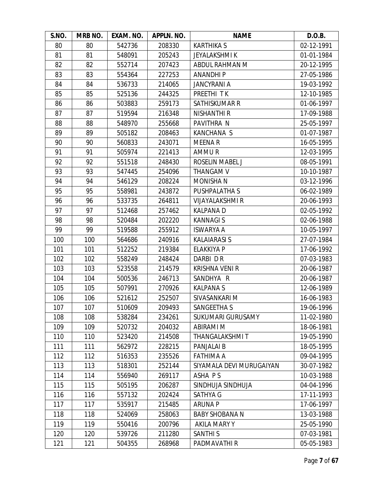| S.NO. | MRB NO. | EXAM. NO. | APPLN. NO. | <b>NAME</b>              | D.O.B.     |
|-------|---------|-----------|------------|--------------------------|------------|
| 80    | 80      | 542736    | 208330     | <b>KARTHIKA S</b>        | 02-12-1991 |
| 81    | 81      | 548091    | 205243     | <b>JEYALAKSHMIK</b>      | 01-01-1984 |
| 82    | 82      | 552714    | 207423     | ABDUL RAHMAN M           | 20-12-1995 |
| 83    | 83      | 554364    | 227253     | <b>ANANDHIP</b>          | 27-05-1986 |
| 84    | 84      | 536733    | 214065     | <b>JANCYRANI A</b>       | 19-03-1992 |
| 85    | 85      | 525136    | 244325     | PREETHI TK               | 12-10-1985 |
| 86    | 86      | 503883    | 259173     | SATHISKUMAR R            | 01-06-1997 |
| 87    | 87      | 519594    | 216348     | <b>NISHANTHI R</b>       | 17-09-1988 |
| 88    | 88      | 548970    | 255668     | PAVITHRA N               | 25-05-1997 |
| 89    | 89      | 505182    | 208463     | KANCHANA S               | 01-07-1987 |
| 90    | 90      | 560833    | 243071     | <b>MEENAR</b>            | 16-05-1995 |
| 91    | 91      | 505974    | 221413     | AMMUR                    | 12-03-1995 |
| 92    | 92      | 551518    | 248430     | ROSELIN MABEL J          | 08-05-1991 |
| 93    | 93      | 547445    | 254096     | THANGAM V                | 10-10-1987 |
| 94    | 94      | 546129    | 208224     | <b>MONISHAN</b>          | 03-12-1996 |
| 95    | 95      | 558981    | 243872     | PUSHPALATHA S            | 06-02-1989 |
| 96    | 96      | 533735    | 264811     | <b>VIJAYALAKSHMI R</b>   | 20-06-1993 |
| 97    | 97      | 512468    | 257462     | <b>KALPANAD</b>          | 02-05-1992 |
| 98    | 98      | 520484    | 202220     | <b>KANNAGIS</b>          | 02-06-1988 |
| 99    | 99      | 519588    | 255912     | <b>ISWARYA A</b>         | 10-05-1997 |
| 100   | 100     | 564686    | 240916     | <b>KALAIARASI S</b>      | 27-07-1984 |
| 101   | 101     | 512252    | 219384     | <b>ELAKKIYA P</b>        | 17-06-1992 |
| 102   | 102     | 558249    | 248424     | DARBI DR                 | 07-03-1983 |
| 103   | 103     | 523558    | 214579     | <b>KRISHNA VENI R</b>    | 20-06-1987 |
| 104   | 104     | 500536    | 246713     | SANDHYA R                | 20-06-1987 |
| 105   | 105     | 507991    | 270926     | <b>KALPANAS</b>          | 12-06-1989 |
| 106   | 106     | 521612    | 252507     | SIVASANKARI M            | 16-06-1983 |
| 107   | 107     | 510609    | 209493     | <b>SANGEETHA S</b>       | 19-06-1996 |
| 108   | 108     | 538284    | 234261     | <b>SUKUMARI GURUSAMY</b> | 11-02-1980 |
| 109   | 109     | 520732    | 204032     | ABIRAMI M                | 18-06-1981 |
| 110   | 110     | 523420    | 214508     | <b>THANGALAKSHMIT</b>    | 19-05-1990 |
| 111   | 111     | 562972    | 228215     | PANJALAI B               | 18-05-1995 |
| 112   | 112     | 516353    | 235526     | <b>FATHIMA A</b>         | 09-04-1995 |
| 113   | 113     | 518301    | 252144     | SIYAMALA DEVI MURUGAIYAN | 30-07-1982 |
| 114   | 114     | 556940    | 269117     | ASHA PS                  | 10-03-1988 |
| 115   | 115     | 505195    | 206287     | SINDHUJA SINDHUJA        | 04-04-1996 |
| 116   | 116     | 557132    | 202424     | SATHYA G                 | 17-11-1993 |
| 117   | 117     | 535917    | 215485     | <b>ARUNA P</b>           | 17-06-1997 |
| 118   | 118     | 524069    | 258063     | <b>BABY SHOBANA N</b>    | 13-03-1988 |
| 119   | 119     | 550416    | 200796     | <b>AKILA MARY Y</b>      | 25-05-1990 |
| 120   | 120     | 539726    | 211280     | <b>SANTHI S</b>          | 07-03-1981 |
| 121   | 121     | 504355    | 268968     | PADMAVATHI R             | 05-05-1983 |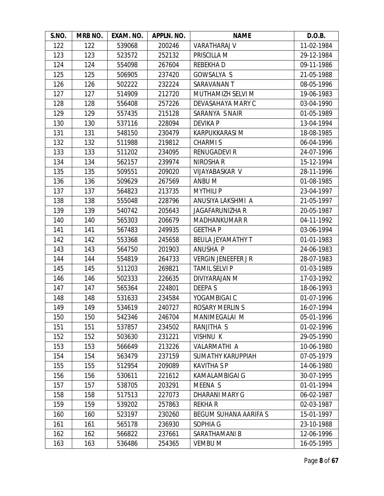| S.NO. | MRB NO. | EXAM. NO. | APPLN. NO. | <b>NAME</b>                  | D.O.B.     |
|-------|---------|-----------|------------|------------------------------|------------|
| 122   | 122     | 539068    | 200246     | <b>VARATHARAJ V</b>          | 11-02-1984 |
| 123   | 123     | 523572    | 252132     | PRISCILLA M                  | 29-12-1984 |
| 124   | 124     | 554098    | 267604     | REBEKHA D                    | 09-11-1986 |
| 125   | 125     | 506905    | 237420     | GOWSALYA S                   | 21-05-1988 |
| 126   | 126     | 502222    | 232224     | SARAVANAN T                  | 08-05-1996 |
| 127   | 127     | 514909    | 212720     | MUTHAMIZH SELVI M            | 19-06-1983 |
| 128   | 128     | 556408    | 257226     | DEVASAHAYA MARY C            | 03-04-1990 |
| 129   | 129     | 557435    | 215128     | SARANYA S NAIR               | 01-05-1989 |
| 130   | 130     | 537116    | 228094     | <b>DEVIKA P</b>              | 13-04-1994 |
| 131   | 131     | 548150    | 230479     | <b>KARPUKKARASI M</b>        | 18-08-1985 |
| 132   | 132     | 511988    | 219812     | <b>CHARMIS</b>               | 06-04-1996 |
| 133   | 133     | 511202    | 234095     | <b>RENUGADEVI R</b>          | 24-07-1996 |
| 134   | 134     | 562157    | 239974     | NIROSHA R                    | 15-12-1994 |
| 135   | 135     | 509551    | 209020     | <b>VIJAYABASKAR V</b>        | 28-11-1996 |
| 136   | 136     | 509629    | 267569     | ANBU M                       | 01-08-1985 |
| 137   | 137     | 564823    | 213735     | <b>MYTHILI P</b>             | 23-04-1997 |
| 138   | 138     | 555048    | 228796     | ANUSIYA LAKSHMI A            | 21-05-1997 |
| 139   | 139     | 540742    | 205643     | <b>JAGAFARUNIZHA R</b>       | 20-05-1987 |
| 140   | 140     | 565303    | 206679     | <b>MADHANKUMAR R</b>         | 04-11-1992 |
| 141   | 141     | 567483    | 249935     | <b>GEETHAP</b>               | 03-06-1994 |
| 142   | 142     | 553368    | 245658     | <b>BEULA JEYAMATHY T</b>     | 01-01-1983 |
| 143   | 143     | 564750    | 201903     | ANUSHA P                     | 24-06-1983 |
| 144   | 144     | 554819    | 264733     | <b>VERGIN JENEEFER J R</b>   | 28-07-1983 |
| 145   | 145     | 511203    | 269821     | <b>TAMIL SELVI P</b>         | 01-03-1989 |
| 146   | 146     | 502333    | 226635     | DIVIYARAJAN M                | 17-03-1992 |
| 147   | 147     | 565364    | 224801     | <b>DEEPAS</b>                | 18-06-1993 |
| 148   | 148     | 531633    | 234584     | YOGAMBIGAI C                 | 01-07-1996 |
| 149   | 149     | 534619    | 240727     | <b>ROSARY MERLIN S</b>       | 16-07-1994 |
| 150   | 150     | 542346    | 246704     | MANIMEGALAI M                | 05-01-1996 |
| 151   | 151     | 537857    | 234502     | RANJITHA S                   | 01-02-1996 |
| 152   | 152     | 503630    | 231221     | <b>VISHNU K</b>              | 29-05-1990 |
| 153   | 153     | 566649    | 213226     | VALARMATHI A                 | 10-06-1980 |
| 154   | 154     | 563479    | 237159     | <b>SUMATHY KARUPPIAH</b>     | 07-05-1979 |
| 155   | 155     | 512954    | 209089     | <b>KAVITHA SP</b>            | 14-06-1980 |
| 156   | 156     | 530611    | 221612     | KAMALAMBIGAI G               | 30-07-1995 |
| 157   | 157     | 538705    | 203291     | MEENA S                      | 01-01-1994 |
| 158   | 158     | 517513    | 227073     | <b>DHARANI MARY G</b>        | 06-02-1987 |
| 159   | 159     | 539202    | 257863     | <b>REKHAR</b>                | 02-03-1987 |
| 160   | 160     | 523197    | 230260     | <b>BEGUM SUHANA AARIFA S</b> | 15-01-1997 |
| 161   | 161     | 565178    | 236930     | SOPHIA G                     | 23-10-1988 |
| 162   | 162     | 566822    | 237661     | SARATHAMANI B                | 12-06-1996 |
| 163   | 163     | 536486    | 254365     | <b>VEMBU M</b>               | 16-05-1995 |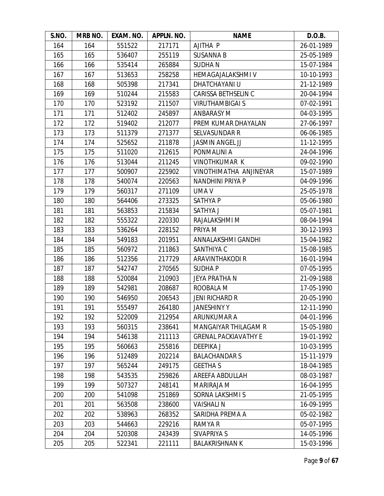| S.NO. | MRB NO. | EXAM. NO. | APPLN. NO. | <b>NAME</b>                 | D.O.B.     |
|-------|---------|-----------|------------|-----------------------------|------------|
| 164   | 164     | 551522    | 217171     | AJITHA P                    | 26-01-1989 |
| 165   | 165     | 536407    | 255119     | <b>SUSANNA B</b>            | 25-05-1989 |
| 166   | 166     | 535414    | 265884     | <b>SUDHAN</b>               | 15-07-1984 |
| 167   | 167     | 513653    | 258258     | HEMAGAJALAKSHMI V           | 10-10-1993 |
| 168   | 168     | 505398    | 217341     | <b>DHATCHAYANI U</b>        | 21-12-1989 |
| 169   | 169     | 510244    | 215583     | <b>CARISSA BETHSELIN C</b>  | 20-04-1994 |
| 170   | 170     | 523192    | 211507     | <b>VIRUTHAMBIGAI S</b>      | 07-02-1991 |
| 171   | 171     | 512402    | 245897     | <b>ANBARASY M</b>           | 04-03-1995 |
| 172   | 172     | 519402    | 212077     | PREM KUMAR DHAYALAN         | 27-06-1997 |
| 173   | 173     | 511379    | 271377     | <b>SELVASUNDAR R</b>        | 06-06-1985 |
| 174   | 174     | 525652    | 211878     | <b>JASMIN ANGEL JJ</b>      | 11-12-1995 |
| 175   | 175     | 511020    | 212615     | PONMALINI A                 | 24-04-1996 |
| 176   | 176     | 513044    | 211245     | <b>VINOTHKUMAR K</b>        | 09-02-1990 |
| 177   | 177     | 500907    | 225902     | VINOTHIMATHA ANJINEYAR      | 15-07-1989 |
| 178   | 178     | 540074    | 220563     | NANDHINI PRIYA P            | 04-09-1996 |
| 179   | 179     | 560317    | 271109     | UMA V                       | 25-05-1978 |
| 180   | 180     | 564406    | 273325     | <b>SATHYAP</b>              | 05-06-1980 |
| 181   | 181     | 563853    | 215834     | <b>SATHYA J</b>             | 05-07-1981 |
| 182   | 182     | 555322    | 220330     | RAJALAKSHMI M               | 08-04-1994 |
| 183   | 183     | 536264    | 228152     | PRIYA M                     | 30-12-1993 |
| 184   | 184     | 549183    | 201951     | ANNALAKSHMI GANDHI          | 15-04-1982 |
| 185   | 185     | 560972    | 211863     | SANTHIYA C                  | 15-08-1985 |
| 186   | 186     | 512356    | 217729     | ARAVINTHAKODI R             | 16-01-1994 |
| 187   | 187     | 542747    | 270565     | <b>SUDHAP</b>               | 07-05-1995 |
| 188   | 188     | 520084    | 210903     | JEYA PRATHA N               | 21-09-1988 |
| 189   | 189     | 542981    | 208687     | ROOBALA M                   | 17-05-1990 |
| 190   | 190     | 546950    | 206543     | <b>JENI RICHARD R</b>       | 20-05-1990 |
| 191   | 191     | 555497    | 264180     | <b>JANESHINY Y</b>          | 12-11-1990 |
| 192   | 192     | 522009    | 212954     | ARUNKUMAR A                 | 04-01-1996 |
| 193   | 193     | 560315    | 238641     | <b>MANGAIYAR THILAGAM R</b> | 15-05-1980 |
| 194   | 194     | 546138    | 211113     | <b>GRENAL PACKIAVATHY E</b> | 19-01-1992 |
| 195   | 195     | 560663    | 255816     | DEEPIKA J                   | 10-03-1995 |
| 196   | 196     | 512489    | 202214     | <b>BALACHANDARS</b>         | 15-11-1979 |
| 197   | 197     | 565244    | 249175     | <b>GEETHAS</b>              | 18-04-1985 |
| 198   | 198     | 543535    | 259826     | AREEFA ABDULLAH             | 08-03-1987 |
| 199   | 199     | 507327    | 248141     | MARIRAJA M                  | 16-04-1995 |
| 200   | 200     | 541098    | 251869     | SORNA LAKSHMI S             | 21-05-1995 |
| 201   | 201     | 563508    | 238600     | <b>VAISHALIN</b>            | 16-09-1995 |
| 202   | 202     | 538963    | 268352     | SARIDHA PREMA A             | 05-02-1982 |
| 203   | 203     | 544663    | 229216     | RAMYA R                     | 05-07-1995 |
| 204   | 204     | 520308    | 243439     | SIVAPRIYA S                 | 14-05-1996 |
| 205   | 205     | 522341    | 221111     | <b>BALAKRISHNAN K</b>       | 15-03-1996 |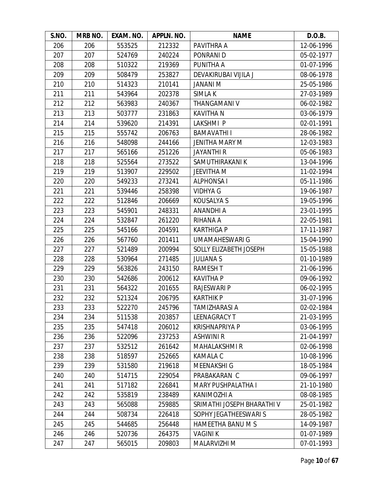| S.NO. | MRB NO. | EXAM. NO. | APPLN. NO. | <b>NAME</b>                | D.O.B.     |
|-------|---------|-----------|------------|----------------------------|------------|
| 206   | 206     | 553525    | 212332     | PAVITHRA A                 | 12-06-1996 |
| 207   | 207     | 524769    | 240224     | PONRANI D                  | 05-02-1977 |
| 208   | 208     | 510322    | 219369     | PUNITHA A                  | 01-07-1996 |
| 209   | 209     | 508479    | 253827     | DEVAKIRUBAI VIJILA J       | 08-06-1978 |
| 210   | 210     | 514323    | 210141     | <b>JANANI M</b>            | 25-05-1986 |
| 211   | 211     | 543964    | 202378     | SIMLA K                    | 27-03-1989 |
| 212   | 212     | 563983    | 240367     | THANGAMANI V               | 06-02-1982 |
| 213   | 213     | 503777    | 231863     | <b>KAVITHAN</b>            | 03-06-1979 |
| 214   | 214     | 539620    | 214391     | LAKSHMI P                  | 02-01-1991 |
| 215   | 215     | 555742    | 206763     | <b>BAMAVATHI I</b>         | 28-06-1982 |
| 216   | 216     | 548098    | 244166     | <b>JENITHA MARY M</b>      | 12-03-1983 |
| 217   | 217     | 565166    | 251226     | <b>JAYANTHI R</b>          | 05-06-1983 |
| 218   | 218     | 525564    | 273522     | SAMUTHIRAKANI K            | 13-04-1996 |
| 219   | 219     | 513907    | 229502     | <b>JEEVITHA M</b>          | 11-02-1994 |
| 220   | 220     | 549233    | 273241     | <b>ALPHONSAI</b>           | 05-11-1986 |
| 221   | 221     | 539446    | 258398     | <b>VIDHYA G</b>            | 19-06-1987 |
| 222   | 222     | 512846    | 206669     | KOUSALYA S                 | 19-05-1996 |
| 223   | 223     | 545901    | 248331     | <b>ANANDHI A</b>           | 23-01-1995 |
| 224   | 224     | 532847    | 261220     | RIHANA A                   | 22-05-1981 |
| 225   | 225     | 545166    | 204591     | <b>KARTHIGA P</b>          | 17-11-1987 |
| 226   | 226     | 567760    | 201411     | <b>UMAMAHESWARI G</b>      | 15-04-1990 |
| 227   | 227     | 521489    | 200994     | SOLLY ELIZABETH JOSEPH     | 15-05-1988 |
| 228   | 228     | 530964    | 271485     | <b>JULIANA S</b>           | 01-10-1989 |
| 229   | 229     | 563826    | 243150     | <b>RAMESHT</b>             | 21-06-1996 |
| 230   | 230     | 542686    | 200612     | <b>KAVITHA P</b>           | 09-06-1992 |
| 231   | 231     | 564322    | 201655     | <b>RAJESWARI P</b>         | 06-02-1995 |
| 232   | 232     | 521324    | 206795     | <b>KARTHIK P</b>           | 31-07-1996 |
| 233   | 233     | 522270    | 245796     | <b>TAMIZHARASI A</b>       | 02-02-1984 |
| 234   | 234     | 511538    | 203857     | LEENAGRACY T               | 21-03-1995 |
| 235   | 235     | 547418    | 206012     | <b>KRISHNAPRIYA P</b>      | 03-06-1995 |
| 236   | 236     | 522096    | 237253     | <b>ASHWINI R</b>           | 21-04-1997 |
| 237   | 237     | 532512    | 261642     | <b>MAHALAKSHMI R</b>       | 02-06-1998 |
| 238   | 238     | 518597    | 252665     | <b>KAMALA C</b>            | 10-08-1996 |
| 239   | 239     | 531580    | 219618     | <b>MEENAKSHI G</b>         | 18-05-1984 |
| 240   | 240     | 514715    | 229054     | PRABAKARAN C               | 09-06-1997 |
| 241   | 241     | 517182    | 226841     | <b>MARY PUSHPALATHA I</b>  | 21-10-1980 |
| 242   | 242     | 535819    | 238489     | KANIMOZHI A                | 08-08-1985 |
| 243   | 243     | 565088    | 259885     | SRIMATHI JOSEPH BHARATHI V | 25-01-1982 |
| 244   | 244     | 508734    | 226418     | SOPHY JEGATHEESWARI S      | 28-05-1982 |
| 245   | 245     | 544685    | 256448     | <b>HAMEETHA BANU M S</b>   | 14-09-1987 |
| 246   | 246     | 520736    | 264375     | <b>VAGINI K</b>            | 01-07-1989 |
| 247   | 247     | 565015    | 209803     | MALARVIZHI M               | 07-01-1993 |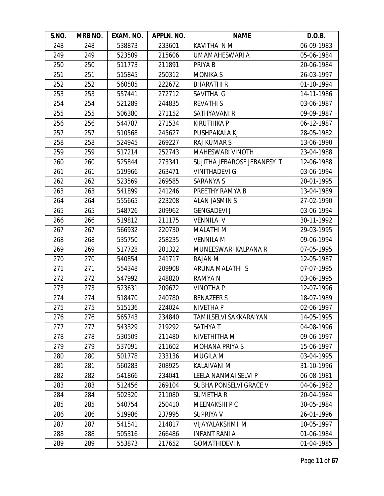| S.NO. | MRB NO. | EXAM. NO. | APPLN. NO. | <b>NAME</b>                 | D.O.B.     |
|-------|---------|-----------|------------|-----------------------------|------------|
| 248   | 248     | 538873    | 233601     | KAVITHA N M                 | 06-09-1983 |
| 249   | 249     | 523509    | 215606     | UMAMAHESWARI A              | 05-06-1984 |
| 250   | 250     | 511773    | 211891     | PRIYA B                     | 20-06-1984 |
| 251   | 251     | 515845    | 250312     | <b>MONIKAS</b>              | 26-03-1997 |
| 252   | 252     | 560505    | 222672     | <b>BHARATHIR</b>            | 01-10-1994 |
| 253   | 253     | 557441    | 272712     | SAVITHA G                   | 14-11-1986 |
| 254   | 254     | 521289    | 244835     | <b>REVATHIS</b>             | 03-06-1987 |
| 255   | 255     | 506380    | 271152     | SATHYAVANI R                | 09-09-1987 |
| 256   | 256     | 544787    | 271534     | <b>KIRUTHIKA P</b>          | 06-12-1987 |
| 257   | 257     | 510568    | 245627     | PUSHPAKALA KJ               | 28-05-1982 |
| 258   | 258     | 524945    | 269227     | <b>RAJ KUMAR S</b>          | 13-06-1990 |
| 259   | 259     | 517214    | 252743     | <b>MAHESWARI VINOTH</b>     | 23-04-1988 |
| 260   | 260     | 525844    | 273341     | SUJITHA JEBAROSE JEBANESY T | 12-06-1988 |
| 261   | 261     | 519966    | 263471     | <b>VINITHADEVI G</b>        | 03-06-1994 |
| 262   | 262     | 523569    | 269585     | <b>SARANYA S</b>            | 20-01-1995 |
| 263   | 263     | 541899    | 241246     | PREETHY RAMYA B             | 13-04-1989 |
| 264   | 264     | 555665    | 223208     | ALAN JASMIN S               | 27-02-1990 |
| 265   | 265     | 548726    | 209962     | <b>GENGADEVI J</b>          | 03-06-1994 |
| 266   | 266     | 519812    | 211175     | <b>VENNILA V</b>            | 30-11-1992 |
| 267   | 267     | 566932    | 220730     | <b>MALATHI M</b>            | 29-03-1995 |
| 268   | 268     | 535750    | 258235     | <b>VENNILA M</b>            | 09-06-1994 |
| 269   | 269     | 517728    | 201322     | MUNEESWARI KALPANA R        | 07-05-1995 |
| 270   | 270     | 540854    | 241717     | RAJAN M                     | 12-05-1987 |
| 271   | 271     | 554348    | 209908     | ARUNA MALATHI S             | 07-07-1995 |
| 272   | 272     | 547992    | 248820     | RAMYA N                     | 03-06-1995 |
| 273   | 273     | 523631    | 209672     | <b>VINOTHA P</b>            | 12-07-1996 |
| 274   | 274     | 518470    | 240780     | <b>BENAZEER S</b>           | 18-07-1989 |
| 275   | 275     | 515136    | 224024     | <b>NIVETHA P</b>            | 02-06-1997 |
| 276   | 276     | 565743    | 234840     | TAMILSELVI SAKKARAIYAN      | 14-05-1995 |
| 277   | 277     | 543329    | 219292     | <b>SATHYAT</b>              | 04-08-1996 |
| 278   | 278     | 530509    | 211480     | NIVETHITHA M                | 09-06-1997 |
| 279   | 279     | 537091    | 211602     | <b>MOHANA PRIYA S</b>       | 15-06-1997 |
| 280   | 280     | 501778    | 233136     | <b>MUGILA M</b>             | 03-04-1995 |
| 281   | 281     | 560283    | 208925     | <b>KALAIVANI M</b>          | 31-10-1996 |
| 282   | 282     | 541866    | 234041     | LEELA NANMAI SELVI P        | 06-08-1981 |
| 283   | 283     | 512456    | 269104     | SUBHA PONSELVI GRACE V      | 04-06-1982 |
| 284   | 284     | 502320    | 211080     | <b>SUMETHAR</b>             | 20-04-1984 |
| 285   | 285     | 540754    | 250410     | MEENAKSHI P C               | 30-05-1984 |
| 286   | 286     | 519986    | 237995     | SUPRIYA V                   | 26-01-1996 |
| 287   | 287     | 541541    | 214817     | VIJAYALAKSHMI M             | 10-05-1997 |
| 288   | 288     | 505316    | 266486     | <b>INFANT RANI A</b>        | 01-06-1984 |
| 289   | 289     | 553873    | 217652     | <b>GOMATHIDEVI N</b>        | 01-04-1985 |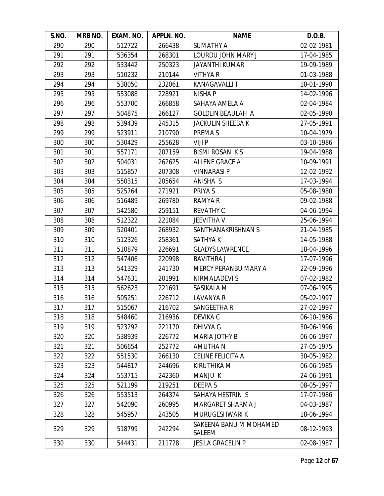| S.NO. | MRB NO. | EXAM. NO. | APPLN. NO. | <b>NAME</b>                      | D.O.B.     |
|-------|---------|-----------|------------|----------------------------------|------------|
| 290   | 290     | 512722    | 266438     | <b>SUMATHY A</b>                 | 02-02-1981 |
| 291   | 291     | 536354    | 268301     | LOURDU JOHN MARY J               | 17-04-1985 |
| 292   | 292     | 533442    | 250323     | <b>JAYANTHI KUMAR</b>            | 19-09-1989 |
| 293   | 293     | 510232    | 210144     | <b>VITHYA R</b>                  | 01-03-1988 |
| 294   | 294     | 538050    | 232061     | <b>KANAGAVALLIT</b>              | 10-01-1990 |
| 295   | 295     | 553088    | 228921     | <b>NISHA P</b>                   | 14-02-1996 |
| 296   | 296     | 553700    | 266858     | SAHAYA AMELA A                   | 02-04-1984 |
| 297   | 297     | 504875    | 266127     | <b>GOLDLIN BEAULAH A</b>         | 02-05-1990 |
| 298   | 298     | 539439    | 245315     | JACKULIN SHEEBA K                | 27-05-1991 |
| 299   | 299     | 523911    | 210790     | PREMA S                          | 10-04-1979 |
| 300   | 300     | 530429    | 255628     | VIJI P                           | 03-10-1986 |
| 301   | 301     | 557171    | 207159     | <b>BISMI ROSAN KS</b>            | 19-04-1988 |
| 302   | 302     | 504031    | 262625     | <b>ALLENE GRACE A</b>            | 10-09-1991 |
| 303   | 303     | 515857    | 207308     | <b>VINNARASI P</b>               | 12-02-1992 |
| 304   | 304     | 550315    | 205654     | ANISHA S                         | 17-03-1994 |
| 305   | 305     | 525764    | 271921     | PRIYA S                          | 05-08-1980 |
| 306   | 306     | 516489    | 269780     | RAMYA R                          | 09-02-1988 |
| 307   | 307     | 542580    | 259151     | <b>REVATHY C</b>                 | 04-06-1994 |
| 308   | 308     | 512322    | 221084     | <b>JEEVITHA V</b>                | 25-06-1994 |
| 309   | 309     | 520401    | 268932     | SANTHANAKRISHNAN S               | 21-04-1985 |
| 310   | 310     | 512326    | 258361     | SATHYA K                         | 14-05-1988 |
| 311   | 311     | 510879    | 226691     | <b>GLADYS LAWRENCE</b>           | 18-04-1996 |
| 312   | 312     | 547406    | 220998     | <b>BAVITHRA J</b>                | 17-07-1996 |
| 313   | 313     | 541329    | 241730     | MERCY PERANBU MARY A             | 22-09-1996 |
| 314   | 314     | 547631    | 201991     | NIRMALADEVI S                    | 07-02-1982 |
| 315   | 315     | 562623    | 221691     | SASIKALA M                       | 07-06-1995 |
| 316   | 316     | 505251    | 226712     | LAVANYA R                        | 05-02-1997 |
| 317   | 317     | 515067    | 216702     | SANGEETHA R                      | 27-02-1997 |
| 318   | 318     | 548460    | 216936     | DEVIKA C                         | 06-10-1986 |
| 319   | 319     | 523292    | 221170     | <b>DHIVYA G</b>                  | 30-06-1996 |
| 320   | 320     | 538939    | 226772     | <b>MARIA JOTHY B</b>             | 06-06-1997 |
| 321   | 321     | 506654    | 252772     | AMUTHA N                         | 27-05-1975 |
| 322   | 322     | 551530    | 266130     | CELINE FELICITA A                | 30-05-1982 |
| 323   | 323     | 544817    | 244696     | <b>KIRUTHIKA M</b>               | 06-06-1985 |
| 324   | 324     | 553715    | 242360     | <b>MANJU K</b>                   | 24-06-1991 |
| 325   | 325     | 521199    | 219251     | <b>DEEPAS</b>                    | 08-05-1997 |
| 326   | 326     | 553513    | 264374     | SAHAYA HESTRIN S                 | 17-07-1986 |
| 327   | 327     | 542090    | 260995     | MARGARET SHARMA J                | 04-03-1987 |
| 328   | 328     | 545957    | 243505     | MURUGESHWARI K                   | 18-06-1994 |
| 329   | 329     | 518799    | 242294     | SAKEENA BANU M MOHAMED<br>SALEEM | 08-12-1993 |
| 330   | 330     | 544431    | 211728     | <b>JESILA GRACELIN P</b>         | 02-08-1987 |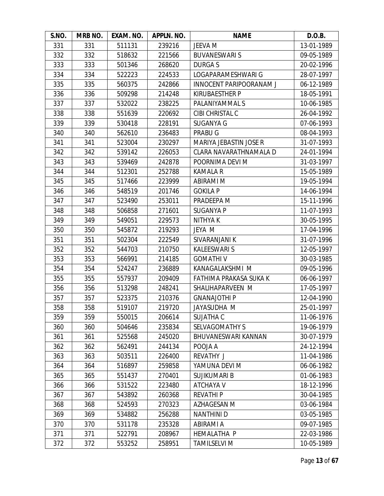| S.NO. | MRB NO. | EXAM. NO. | APPLN. NO. | <b>NAME</b>                    | D.O.B.     |
|-------|---------|-----------|------------|--------------------------------|------------|
| 331   | 331     | 511131    | 239216     | JEEVA M                        | 13-01-1989 |
| 332   | 332     | 518632    | 221566     | <b>BUVANESWARIS</b>            | 09-05-1989 |
| 333   | 333     | 501346    | 268620     | DURGA S                        | 20-02-1996 |
| 334   | 334     | 522223    | 224533     | LOGAPARAMESHWARI G             | 28-07-1997 |
| 335   | 335     | 560375    | 242866     | <b>INNOCENT PARIPOORANAM J</b> | 06-12-1989 |
| 336   | 336     | 509298    | 214248     | <b>KIRUBAESTHER P</b>          | 18-05-1991 |
| 337   | 337     | 532022    | 238225     | PALANIYAMMAL S                 | 10-06-1985 |
| 338   | 338     | 551639    | 220692     | CIBI CHRISTAL C                | 26-04-1992 |
| 339   | 339     | 530418    | 228191     | <b>SUGANYA G</b>               | 07-06-1993 |
| 340   | 340     | 562610    | 236483     | PRABU G                        | 08-04-1993 |
| 341   | 341     | 523004    | 230297     | MARIYA JEBASTIN JOSE R         | 31-07-1993 |
| 342   | 342     | 539142    | 226053     | CLARA NAVARATHNAMALA D         | 24-01-1994 |
| 343   | 343     | 539469    | 242878     | POORNIMA DEVI M                | 31-03-1997 |
| 344   | 344     | 512301    | 252788     | <b>KAMALA R</b>                | 15-05-1989 |
| 345   | 345     | 517466    | 223999     | ABIRAMI M                      | 19-05-1994 |
| 346   | 346     | 548519    | 201746     | <b>GOKILA P</b>                | 14-06-1994 |
| 347   | 347     | 523490    | 253011     | PRADEEPA M                     | 15-11-1996 |
| 348   | 348     | 506858    | 271601     | <b>SUGANYA P</b>               | 11-07-1993 |
| 349   | 349     | 549051    | 229573     | NITHYA K                       | 30-05-1995 |
| 350   | 350     | 545872    | 219293     | JEYA M                         | 17-04-1996 |
| 351   | 351     | 502304    | 222549     | SIVARANJANI K                  | 31-07-1996 |
| 352   | 352     | 544703    | 210750     | <b>KALEESWARI S</b>            | 12-05-1997 |
| 353   | 353     | 566991    | 214185     | <b>GOMATHIV</b>                | 30-03-1985 |
| 354   | 354     | 524247    | 236889     | KANAGALAKSHMI M                | 09-05-1996 |
| 355   | 355     | 557937    | 209409     | FATHIMA PRAKASA SUKA K         | 06-06-1997 |
| 356   | 356     | 513298    | 248241     | SHALIHAPARVEEN M               | 17-05-1997 |
| 357   | 357     | 523375    | 210376     | <b>GNANAJOTHI P</b>            | 12-04-1990 |
| 358   | 358     | 519107    | 219720     | JAYASUDHA M                    | 25-01-1997 |
| 359   | 359     | 550015    | 206614     | <b>SUJATHA C</b>               | 11-06-1976 |
| 360   | 360     | 504646    | 235834     | <b>SELVAGOMATHY S</b>          | 19-06-1979 |
| 361   | 361     | 525568    | 245020     | BHUVANESWARI KANNAN            | 30-07-1979 |
| 362   | 362     | 562491    | 244134     | POOJA A                        | 24-12-1994 |
| 363   | 363     | 503511    | 226400     | <b>REVATHY J</b>               | 11-04-1986 |
| 364   | 364     | 516897    | 259858     | YAMUNA DEVI M                  | 06-06-1982 |
| 365   | 365     | 551437    | 270401     | <b>SUJIKUMARI B</b>            | 01-06-1983 |
| 366   | 366     | 531522    | 223480     | ATCHAYA V                      | 18-12-1996 |
| 367   | 367     | 543892    | 260368     | <b>REVATHIP</b>                | 30-04-1985 |
| 368   | 368     | 524593    | 270323     | AZHAGESAN M                    | 03-06-1984 |
| 369   | 369     | 534882    | 256288     | <b>NANTHINI D</b>              | 03-05-1985 |
| 370   | 370     | 531178    | 235328     | ABIRAMI A                      | 09-07-1985 |
| 371   | 371     | 522791    | 208967     | <b>HEMALATHA P</b>             | 22-03-1986 |
| 372   | 372     | 553252    | 258951     | <b>TAMILSELVI M</b>            | 10-05-1989 |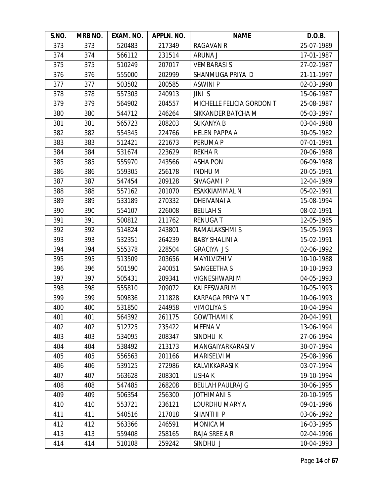| S.NO. | MRB NO. | EXAM. NO. | APPLN. NO. | <b>NAME</b>               | D.O.B.     |
|-------|---------|-----------|------------|---------------------------|------------|
| 373   | 373     | 520483    | 217349     | <b>RAGAVAN R</b>          | 25-07-1989 |
| 374   | 374     | 566112    | 231514     | ARUNA J                   | 17-01-1987 |
| 375   | 375     | 510249    | 207017     | <b>VEMBARASIS</b>         | 27-02-1987 |
| 376   | 376     | 555000    | 202999     | SHANMUGA PRIYA D          | 21-11-1997 |
| 377   | 377     | 503502    | 200585     | <b>ASWINIP</b>            | 02-03-1990 |
| 378   | 378     | 557303    | 240913     | JINI S                    | 15-06-1987 |
| 379   | 379     | 564902    | 204557     | MICHELLE FELICIA GORDON T | 25-08-1987 |
| 380   | 380     | 544712    | 246264     | SIKKANDER BATCHA M        | 05-03-1997 |
| 381   | 381     | 565723    | 208203     | <b>SUKANYA B</b>          | 03-04-1988 |
| 382   | 382     | 554345    | 224766     | <b>HELEN PAPPA A</b>      | 30-05-1982 |
| 383   | 383     | 512421    | 221673     | PERUMA P                  | 07-01-1991 |
| 384   | 384     | 531674    | 223629     | <b>REKHAR</b>             | 20-06-1988 |
| 385   | 385     | 555970    | 243566     | <b>ASHA PON</b>           | 06-09-1988 |
| 386   | 386     | 559305    | 256178     | <b>INDHUM</b>             | 20-05-1991 |
| 387   | 387     | 547454    | 209128     | SIVAGAMI P                | 12-04-1989 |
| 388   | 388     | 557162    | 201070     | ESAKKIAMMAL N             | 05-02-1991 |
| 389   | 389     | 533189    | 270332     | <b>DHEIVANAI A</b>        | 15-08-1994 |
| 390   | 390     | 554107    | 226008     | <b>BEULAH S</b>           | 08-02-1991 |
| 391   | 391     | 500812    | 211762     | <b>RENUGAT</b>            | 12-05-1985 |
| 392   | 392     | 514824    | 243801     | RAMALAKSHMI S             | 15-05-1993 |
| 393   | 393     | 532351    | 264239     | <b>BABY SHALINI A</b>     | 15-02-1991 |
| 394   | 394     | 555378    | 228504     | <b>GRACIYA JS</b>         | 02-06-1992 |
| 395   | 395     | 513509    | 203656     | <b>MAYILVIZHI V</b>       | 10-10-1988 |
| 396   | 396     | 501590    | 240051     | SANGEETHA S               | 10-10-1993 |
| 397   | 397     | 505431    | 209341     | VIGNESHWARI M             | 04-05-1993 |
| 398   | 398     | 555810    | 209072     | KALEESWARI M              | 10-05-1993 |
| 399   | 399     | 509836    | 211828     | KARPAGA PRIYA N T         | 10-06-1993 |
| 400   | 400     | 531850    | 244958     | <b>VIMOLIYA S</b>         | 10-04-1994 |
| 401   | 401     | 564392    | 261175     | <b>GOWTHAMI K</b>         | 20-04-1991 |
| 402   | 402     | 512725    | 235422     | MEENA V                   | 13-06-1994 |
| 403   | 403     | 534095    | 208347     | SINDHU K                  | 27-06-1994 |
| 404   | 404     | 538492    | 213173     | MANGAIYARKARASI V         | 30-07-1994 |
| 405   | 405     | 556563    | 201166     | <b>MARISELVI M</b>        | 25-08-1996 |
| 406   | 406     | 539125    | 272986     | <b>KALVIKKARASI K</b>     | 03-07-1994 |
| 407   | 407     | 563628    | 208301     | <b>USHAK</b>              | 19-10-1994 |
| 408   | 408     | 547485    | 268208     | <b>BEULAH PAULRAJ G</b>   | 30-06-1995 |
| 409   | 409     | 506354    | 256300     | <b>JOTHIMANI S</b>        | 20-10-1995 |
| 410   | 410     | 553721    | 236121     | LOURDHU MARY A            | 09-01-1996 |
| 411   | 411     | 540516    | 217018     | SHANTHI P                 | 03-06-1992 |
| 412   | 412     | 563366    | 246591     | MONICA M                  | 16-03-1995 |
| 413   | 413     | 559408    | 258165     | RAJA SREE A R             | 02-04-1996 |
| 414   | 414     | 510108    | 259242     | SINDHU J                  | 10-04-1993 |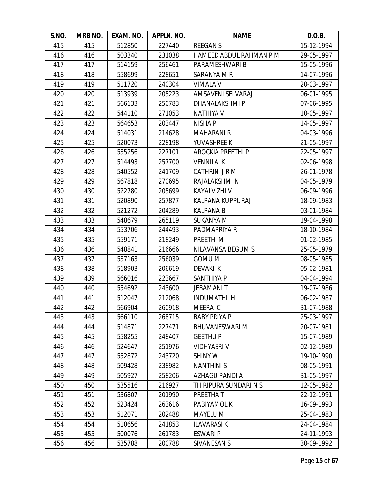| S.NO. | MRB NO. | EXAM. NO. | APPLN. NO. | <b>NAME</b>              | D.O.B.     |
|-------|---------|-----------|------------|--------------------------|------------|
| 415   | 415     | 512850    | 227440     | <b>REEGANS</b>           | 15-12-1994 |
| 416   | 416     | 503340    | 231038     | HAMEED ABDUL RAHMAN P M  | 29-05-1997 |
| 417   | 417     | 514159    | 256461     | PARAMESHWARI B           | 15-05-1996 |
| 418   | 418     | 558699    | 228651     | SARANYA M R              | 14-07-1996 |
| 419   | 419     | 511720    | 240304     | <b>VIMALA V</b>          | 20-03-1997 |
| 420   | 420     | 513939    | 205223     | AMSAVENI SELVARAJ        | 06-01-1995 |
| 421   | 421     | 566133    | 250783     | <b>DHANALAKSHMIP</b>     | 07-06-1995 |
| 422   | 422     | 544110    | 271053     | <b>NATHIYA V</b>         | 10-05-1997 |
| 423   | 423     | 564653    | 203447     | <b>NISHA P</b>           | 14-05-1997 |
| 424   | 424     | 514031    | 214628     | <b>MAHARANI R</b>        | 04-03-1996 |
| 425   | 425     | 520073    | 228198     | YUVASHREE K              | 21-05-1997 |
| 426   | 426     | 535256    | 227101     | AROCKIA PREETHI P        | 22-05-1997 |
| 427   | 427     | 514493    | 257700     | <b>VENNILA K</b>         | 02-06-1998 |
| 428   | 428     | 540552    | 241709     | CATHRIN JRM              | 26-01-1978 |
| 429   | 429     | 567818    | 270695     | RAJALAKSHMI N            | 04-05-1979 |
| 430   | 430     | 522780    | 205699     | KAYALVIZHI V             | 06-09-1996 |
| 431   | 431     | 520890    | 257877     | KALPANA KUPPURAJ         | 18-09-1983 |
| 432   | 432     | 521272    | 204289     | <b>KALPANA B</b>         | 03-01-1984 |
| 433   | 433     | 548679    | 265119     | <b>SUKANYA M</b>         | 19-04-1998 |
| 434   | 434     | 553706    | 244493     | PADMAPRIYA R             | 18-10-1984 |
| 435   | 435     | 559171    | 218249     | PREETHI M                | 01-02-1985 |
| 436   | 436     | 548841    | 216666     | <b>NILAVANSA BEGUM S</b> | 25-05-1979 |
| 437   | 437     | 537163    | 256039     | <b>GOMU M</b>            | 08-05-1985 |
| 438   | 438     | 518903    | 206619     | DEVAKI K                 | 05-02-1981 |
| 439   | 439     | 566016    | 223667     | SANTHIYA P               | 04-04-1994 |
| 440   | 440     | 554692    | 243600     | <b>JEBAMANIT</b>         | 19-07-1986 |
| 441   | 441     | 512047    | 212068     | <b>INDUMATHI H</b>       | 06-02-1987 |
| 442   | 442     | 566904    | 260918     | MEERA C                  | 31-07-1988 |
| 443   | 443     | 566110    | 268715     | <b>BABY PRIYA P</b>      | 25-03-1997 |
| 444   | 444     | 514871    | 227471     | <b>BHUVANESWARI M</b>    | 20-07-1981 |
| 445   | 445     | 558255    | 248407     | <b>GEETHUP</b>           | 15-07-1989 |
| 446   | 446     | 524647    | 251976     | <b>VIDHYASRI V</b>       | 02-12-1989 |
| 447   | 447     | 552872    | 243720     | <b>SHINY W</b>           | 19-10-1990 |
| 448   | 448     | 509428    | 238982     | <b>NANTHINIS</b>         | 08-05-1991 |
| 449   | 449     | 505927    | 258206     | AZHAGU PANDI A           | 31-05-1997 |
| 450   | 450     | 535516    | 216927     | THIRIPURA SUNDARI N S    | 12-05-1982 |
| 451   | 451     | 536807    | 201990     | PREETHA T                | 22-12-1991 |
| 452   | 452     | 523424    | 263616     | PABIYAMOL K              | 16-09-1993 |
| 453   | 453     | 512071    | 202488     | <b>MAYELU M</b>          | 25-04-1983 |
| 454   | 454     | 510656    | 241853     | <b>ILAVARASIK</b>        | 24-04-1984 |
| 455   | 455     | 500076    | 261783     | <b>ESWARI P</b>          | 24-11-1993 |
| 456   | 456     | 535788    | 200788     | SIVANESAN S              | 30-09-1992 |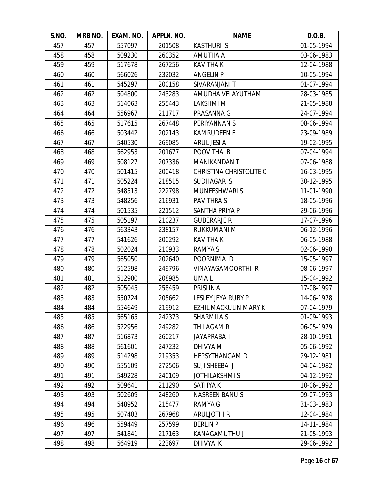| S.NO. | MRB NO. | EXAM. NO. | APPLN. NO. | <b>NAME</b>                    | D.O.B.     |
|-------|---------|-----------|------------|--------------------------------|------------|
| 457   | 457     | 557097    | 201508     | <b>KASTHURI S</b>              | 01-05-1994 |
| 458   | 458     | 509230    | 260352     | AMUTHA A                       | 03-06-1983 |
| 459   | 459     | 517678    | 267256     | <b>KAVITHA K</b>               | 12-04-1988 |
| 460   | 460     | 566026    | 232032     | <b>ANGELIN P</b>               | 10-05-1994 |
| 461   | 461     | 545297    | 200158     | SIVARANJANI T                  | 01-07-1994 |
| 462   | 462     | 504800    | 243283     | AMUDHA VELAYUTHAM              | 28-03-1985 |
| 463   | 463     | 514063    | 255443     | <b>LAKSHMIM</b>                | 21-05-1988 |
| 464   | 464     | 556967    | 211717     | PRASANNA G                     | 24-07-1994 |
| 465   | 465     | 517615    | 267448     | PERIYANNAN S                   | 08-06-1994 |
| 466   | 466     | 503442    | 202143     | <b>KAMRUDEEN F</b>             | 23-09-1989 |
| 467   | 467     | 540530    | 269085     | ARUL JESI A                    | 19-02-1995 |
| 468   | 468     | 562953    | 201677     | POOVITHA B                     | 07-04-1994 |
| 469   | 469     | 508127    | 207336     | <b>MANIKANDAN T</b>            | 07-06-1988 |
| 470   | 470     | 501415    | 200418     | <b>CHRISTINA CHRISTOLITE C</b> | 16-03-1995 |
| 471   | 471     | 505224    | 218515     | SUDHAGAR S                     | 30-12-1995 |
| 472   | 472     | 548513    | 222798     | <b>MUNEESHWARI S</b>           | 11-01-1990 |
| 473   | 473     | 548256    | 216931     | <b>PAVITHRAS</b>               | 18-05-1996 |
| 474   | 474     | 501535    | 221512     | SANTHA PRIYA P                 | 29-06-1996 |
| 475   | 475     | 505197    | 210237     | <b>GUBERARJE R</b>             | 17-07-1996 |
| 476   | 476     | 563343    | 238157     | RUKKUMANI M                    | 06-12-1996 |
| 477   | 477     | 541626    | 200292     | <b>KAVITHA K</b>               | 06-05-1988 |
| 478   | 478     | 502024    | 210933     | RAMYA S                        | 02-06-1990 |
| 479   | 479     | 565050    | 202640     | POORNIMA D                     | 15-05-1997 |
| 480   | 480     | 512598    | 249796     | VINAYAGAMOORTHI R              | 08-06-1997 |
| 481   | 481     | 512900    | 208985     | UMA L                          | 15-04-1992 |
| 482   | 482     | 505045    | 258459     | PRISLIN A                      | 17-08-1997 |
| 483   | 483     | 550724    | 205662     | LESLEY JEYA RUBY P             | 14-06-1978 |
| 484   | 484     | 554649    | 219912     | EZHIL MACKULIN MARY K          | 07-04-1979 |
| 485   | 485     | 565165    | 242373     | <b>SHARMILA S</b>              | 01-09-1993 |
| 486   | 486     | 522956    | 249282     | THILAGAM R                     | 06-05-1979 |
| 487   | 487     | 516873    | 260217     | JAYAPRABA I                    | 28-10-1991 |
| 488   | 488     | 561601    | 247232     | DHIVYA M                       | 05-06-1992 |
| 489   | 489     | 514298    | 219353     | <b>HEPSYTHANGAM D</b>          | 29-12-1981 |
| 490   | 490     | 555109    | 272506     | SUJI SHEEBA J                  | 04-04-1982 |
| 491   | 491     | 549228    | 240109     | <b>JOTHILAKSHMIS</b>           | 04-12-1992 |
| 492   | 492     | 509641    | 211290     | <b>SATHYAK</b>                 | 10-06-1992 |
| 493   | 493     | 502609    | 248260     | <b>NASREEN BANUS</b>           | 09-07-1993 |
| 494   | 494     | 548952    | 215477     | <b>RAMYA G</b>                 | 31-03-1983 |
| 495   | 495     | 507403    | 267968     | <b>ARULJOTHI R</b>             | 12-04-1984 |
| 496   | 496     | 559449    | 257599     | <b>BERLIN P</b>                | 14-11-1984 |
| 497   | 497     | 541841    | 217163     | KANAGAMUTHU J                  | 21-05-1993 |
| 498   | 498     | 564919    | 223697     | DHIVYA K                       | 29-06-1992 |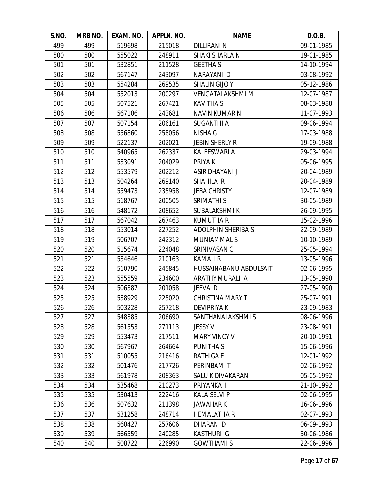| S.NO. | MRB NO. | EXAM. NO. | APPLN. NO. | <b>NAME</b>               | D.O.B.     |
|-------|---------|-----------|------------|---------------------------|------------|
| 499   | 499     | 519698    | 215018     | <b>DILLIRANI N</b>        | 09-01-1985 |
| 500   | 500     | 555022    | 248911     | SHAKI SHARLA N            | 19-01-1985 |
| 501   | 501     | 532851    | 211528     | <b>GEETHAS</b>            | 14-10-1994 |
| 502   | 502     | 567147    | 243097     | NARAYANI D                | 03-08-1992 |
| 503   | 503     | 554284    | 269535     | <b>SHALIN GIJO Y</b>      | 05-12-1986 |
| 504   | 504     | 552013    | 200297     | <b>VENGATALAKSHMI M</b>   | 12-07-1987 |
| 505   | 505     | 507521    | 267421     | <b>KAVITHA S</b>          | 08-03-1988 |
| 506   | 506     | 567106    | 243681     | NAVIN KUMAR N             | 11-07-1993 |
| 507   | 507     | 507154    | 206161     | <b>SUGANTHI A</b>         | 09-06-1994 |
| 508   | 508     | 556860    | 258056     | <b>NISHA G</b>            | 17-03-1988 |
| 509   | 509     | 522137    | 202021     | <b>JEBIN SHERLY R</b>     | 19-09-1988 |
| 510   | 510     | 540965    | 262337     | KALEESWARI A              | 29-03-1994 |
| 511   | 511     | 533091    | 204029     | PRIYA K                   | 05-06-1995 |
| 512   | 512     | 553579    | 202212     | ASIR DHAYANI J            | 20-04-1989 |
| 513   | 513     | 504264    | 269140     | SHAHILA R                 | 20-04-1989 |
| 514   | 514     | 559473    | 235958     | <b>JEBA CHRISTY I</b>     | 12-07-1989 |
| 515   | 515     | 518767    | 200505     | SRIMATHI S                | 30-05-1989 |
| 516   | 516     | 548172    | 208652     | <b>SUBALAKSHMIK</b>       | 26-09-1995 |
| 517   | 517     | 567042    | 267463     | <b>KUMUTHA R</b>          | 15-02-1996 |
| 518   | 518     | 553014    | 227252     | <b>ADOLPHIN SHERIBA S</b> | 22-09-1989 |
| 519   | 519     | 506707    | 242312     | <b>MUNIAMMALS</b>         | 10-10-1989 |
| 520   | 520     | 515674    | 224048     | SRINIVASAN C              | 25-05-1994 |
| 521   | 521     | 534646    | 210163     | <b>KAMALIR</b>            | 13-05-1996 |
| 522   | 522     | 510790    | 245845     | HUSSAINABANU ABDULSAIT    | 02-06-1995 |
| 523   | 523     | 555559    | 234600     | ARATHY MURALI A           | 13-05-1990 |
| 524   | 524     | 506387    | 201058     | JEEVA D                   | 27-05-1990 |
| 525   | 525     | 538929    | 225020     | <b>CHRISTINA MARY T</b>   | 25-07-1991 |
| 526   | 526     | 503228    | 257218     | <b>DEVIPRIYAK</b>         | 23-09-1983 |
| 527   | 527     | 548385    | 206690     | SANTHANALAKSHMI S         | 08-06-1996 |
| 528   | 528     | 561553    | 271113     | <b>JESSY V</b>            | 23-08-1991 |
| 529   | 529     | 553473    | 217511     | <b>MARY VINCY V</b>       | 20-10-1991 |
| 530   | 530     | 567967    | 264664     | PUNITHA S                 | 15-06-1996 |
| 531   | 531     | 510055    | 216416     | RATHIGA E                 | 12-01-1992 |
| 532   | 532     | 501476    | 217726     | PERINBAM T                | 02-06-1992 |
| 533   | 533     | 561978    | 208363     | SALU K DIVAKARAN          | 05-05-1992 |
| 534   | 534     | 535468    | 210273     | PRIYANKA I                | 21-10-1992 |
| 535   | 535     | 530413    | 222416     | <b>KALAISELVI P</b>       | 02-06-1995 |
| 536   | 536     | 507632    | 211398     | <b>JAWAHARK</b>           | 16-06-1996 |
| 537   | 537     | 531258    | 248714     | <b>HEMALATHA R</b>        | 02-07-1993 |
| 538   | 538     | 560427    | 257606     | DHARANI D                 | 06-09-1993 |
| 539   | 539     | 566559    | 240285     | KASTHURI G                | 30-06-1986 |
| 540   | 540     | 508722    | 226990     | <b>GOWTHAMIS</b>          | 22-06-1996 |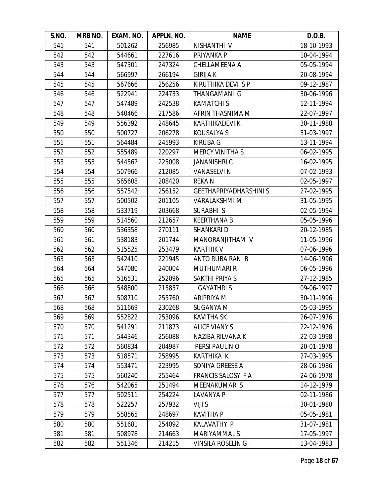| S.NO. | MRB NO. | EXAM. NO. | APPLN. NO. | <b>NAME</b>                   | D.O.B.     |
|-------|---------|-----------|------------|-------------------------------|------------|
| 541   | 541     | 501262    | 256985     | NISHANTHI V                   | 18-10-1993 |
| 542   | 542     | 544661    | 227616     | PRIYANKA P                    | 10-04-1994 |
| 543   | 543     | 547301    | 247324     | CHELLAMEENA A                 | 05-05-1994 |
| 544   | 544     | 566997    | 266194     | <b>GIRIJA K</b>               | 20-08-1994 |
| 545   | 545     | 567666    | 256256     | KIRUTHIKA DEVI SP             | 09-12-1987 |
| 546   | 546     | 522941    | 224733     | THANGAMANI G                  | 30-06-1996 |
| 547   | 547     | 547489    | 242538     | <b>KAMATCHIS</b>              | 12-11-1994 |
| 548   | 548     | 540466    | 217586     | AFRIN THASNIMA M              | 22-07-1997 |
| 549   | 549     | 556392    | 248645     | <b>KARTHIKADEVI K</b>         | 30-11-1988 |
| 550   | 550     | 500727    | 206278     | KOUSALYA S                    | 31-03-1997 |
| 551   | 551     | 564484    | 245993     | <b>KIRUBA G</b>               | 13-11-1994 |
| 552   | 552     | 555489    | 220297     | <b>MERCY VINITHA S</b>        | 06-02-1995 |
| 553   | 553     | 544562    | 225008     | <b>JANANISHRI C</b>           | 16-02-1995 |
| 554   | 554     | 507966    | 212085     | <b>VANASELVI N</b>            | 07-02-1993 |
| 555   | 555     | 565608    | 208420     | <b>REKAN</b>                  | 02-05-1997 |
| 556   | 556     | 557542    | 256152     | <b>GEETHAPRIYADHARSHINI S</b> | 27-02-1995 |
| 557   | 557     | 500502    | 201105     | <b>VARALAKSHMI M</b>          | 31-05-1995 |
| 558   | 558     | 533719    | 203668     | SURABHI S                     | 02-05-1994 |
| 559   | 559     | 514560    | 212657     | <b>KEERTHANA B</b>            | 05-05-1996 |
| 560   | 560     | 536358    | 270111     | SHANKARI D                    | 20-12-1985 |
| 561   | 561     | 538183    | 201744     | MANORANJITHAM V               | 11-05-1996 |
| 562   | 562     | 515525    | 253479     | <b>KARTHIK V</b>              | 07-06-1996 |
| 563   | 563     | 542410    | 221945     | ANTO RUBA RANI B              | 14-06-1996 |
| 564   | 564     | 547080    | 240004     | <b>MUTHUMARI R</b>            | 06-05-1996 |
| 565   | 565     | 516531    | 252096     | SAKTHI PRIYA S                | 27-12-1985 |
| 566   | 566     | 548800    | 215857     | <b>GAYATHRIS</b>              | 09-06-1997 |
| 567   | 567     | 508710    | 255760     | ARIPRIYA M                    | 30-11-1996 |
| 568   | 568     | 511669    | 230268     | <b>SUGANYA M</b>              | 05-03-1995 |
| 569   | 569     | 552822    | 253096     | <b>KAVITHA SK</b>             | 26-07-1976 |
| 570   | 570     | 541291    | 211873     | <b>ALICE VIANY S</b>          | 22-12-1976 |
| 571   | 571     | 544346    | 256088     | NAZIBA RILVANA K              | 22-03-1998 |
| 572   | 572     | 560834    | 204987     | PERSI PAULIN O                | 20-01-1978 |
| 573   | 573     | 518571    | 258995     | <b>KARTHIKA K</b>             | 27-03-1995 |
| 574   | 574     | 553471    | 223995     | SONIYA GREESE A               | 28-06-1986 |
| 575   | 575     | 560240    | 255464     | <b>FRANCIS SALOSY F A</b>     | 24-06-1978 |
| 576   | 576     | 542065    | 251494     | <b>MEENAKUMARIS</b>           | 14-12-1979 |
| 577   | 577     | 502511    | 254224     | LAVANYA P                     | 02-11-1986 |
| 578   | 578     | 522257    | 257932     | VIJI S                        | 30-01-1980 |
| 579   | 579     | 558565    | 248697     | <b>KAVITHA P</b>              | 05-05-1981 |
| 580   | 580     | 551681    | 254092     | <b>KALAVATHY P</b>            | 31-07-1981 |
| 581   | 581     | 508978    | 214663     | MARIYAMMAL S                  | 17-05-1997 |
| 582   | 582     | 551346    | 214215     | <b>VINSILA ROSELING</b>       | 13-04-1983 |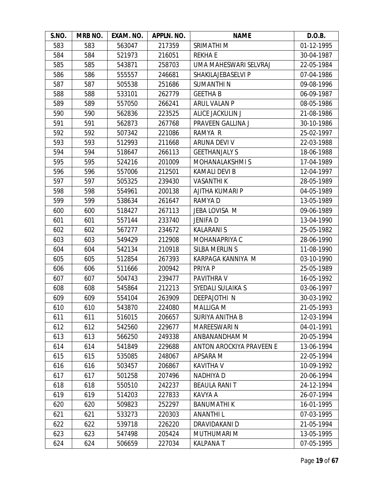| S.NO. | MRB NO. | EXAM. NO. | APPLN. NO. | <b>NAME</b>                     | D.O.B.     |
|-------|---------|-----------|------------|---------------------------------|------------|
| 583   | 583     | 563047    | 217359     | SRIMATHI M                      | 01-12-1995 |
| 584   | 584     | 521973    | 216051     | <b>REKHAE</b>                   | 30-04-1987 |
| 585   | 585     | 543871    | 258703     | UMA MAHESWARI SELVRAJ           | 22-05-1984 |
| 586   | 586     | 555557    | 246681     | SHAKILAJEBASELVI P              | 07-04-1986 |
| 587   | 587     | 505538    | 251686     | <b>SUMANTHIN</b>                | 09-08-1996 |
| 588   | 588     | 533101    | 262779     | <b>GEETHAB</b>                  | 06-09-1987 |
| 589   | 589     | 557050    | 266241     | ARUL VALAN P                    | 08-05-1986 |
| 590   | 590     | 562836    | 223525     | ALICE JACKULIN J                | 21-08-1986 |
| 591   | 591     | 562873    | 267768     | PRAVEEN GALLINA J               | 30-10-1986 |
| 592   | 592     | 507342    | 221086     | RAMYA R                         | 25-02-1997 |
| 593   | 593     | 512993    | 211668     | ARUNA DEVI V                    | 22-03-1988 |
| 594   | 594     | 518647    | 266113     | <b>GEETHANJALY S</b>            | 18-06-1988 |
| 595   | 595     | 524216    | 201009     | <b>MOHANALAKSHMIS</b>           | 17-04-1989 |
| 596   | 596     | 557006    | 212501     | <b>KAMALI DEVI B</b>            | 12-04-1997 |
| 597   | 597     | 505325    | 239430     | <b>VASANTHI K</b>               | 28-05-1989 |
| 598   | 598     | 554961    | 200138     | AJITHA KUMARI P                 | 04-05-1989 |
| 599   | 599     | 538634    | 261647     | RAMYA D                         | 13-05-1989 |
| 600   | 600     | 518427    | 267113     | JEBA LOVISA M                   | 09-06-1989 |
| 601   | 601     | 557144    | 233740     | <b>JENIFAD</b>                  | 13-04-1990 |
| 602   | 602     | 567277    | 234672     | <b>KALARANI S</b>               | 25-05-1982 |
| 603   | 603     | 549429    | 212908     | MOHANAPRIYA C                   | 28-06-1990 |
| 604   | 604     | 542134    | 210918     | SILBA MERLIN S                  | 11-08-1990 |
| 605   | 605     | 512854    | 267393     | KARPAGA KANNIYA M               | 03-10-1990 |
| 606   | 606     | 511666    | 200942     | PRIYA P                         | 25-05-1989 |
| 607   | 607     | 504743    | 239477     | PAVITHRA V                      | 16-05-1992 |
| 608   | 608     | 545864    | 212213     | SYEDALI SULAIKA S               | 03-06-1997 |
| 609   | 609     | 554104    | 263909     | <b>DEEPAJOTHI N</b>             | 30-03-1992 |
| 610   | 610     | 543870    | 224080     | <b>MALLIGA M</b>                | 21-05-1993 |
| 611   | 611     | 516015    | 206657     | SURIYA ANITHA B                 | 12-03-1994 |
| 612   | 612     | 542560    | 229677     | <b>MAREESWARI N</b>             | 04-01-1991 |
| 613   | 613     | 566250    | 249338     | ANBANANDHAM M                   | 20-05-1994 |
| 614   | 614     | 541849    | 229688     | <b>ANTON AROCKIYA PRAVEEN E</b> | 13-06-1994 |
| 615   | 615     | 535085    | 248067     | APSARA M                        | 22-05-1994 |
| 616   | 616     | 503457    | 206867     | KAVITHA V                       | 10-09-1992 |
| 617   | 617     | 501258    | 207496     | NADHIYA D                       | 20-06-1994 |
| 618   | 618     | 550510    | 242237     | <b>BEAULA RANIT</b>             | 24-12-1994 |
| 619   | 619     | 514203    | 227833     | KAVYA A                         | 26-07-1994 |
| 620   | 620     | 509823    | 252297     | <b>BANUMATHIK</b>               | 16-01-1995 |
| 621   | 621     | 533273    | 220303     | <b>ANANTHIL</b>                 | 07-03-1995 |
| 622   | 622     | 539718    | 226220     | DRAVIDAKANI D                   | 21-05-1994 |
| 623   | 623     | 547498    | 205424     | MUTHUMARI M                     | 13-05-1995 |
| 624   | 624     | 506659    | 227034     | <b>KALPANAT</b>                 | 07-05-1995 |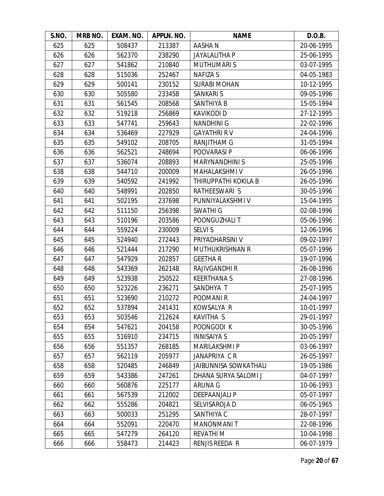| S.NO. | MRB NO. | EXAM. NO. | APPLN. NO. | <b>NAME</b>                  | D.O.B.     |
|-------|---------|-----------|------------|------------------------------|------------|
| 625   | 625     | 508437    | 213387     | <b>AASHAN</b>                | 20-06-1995 |
| 626   | 626     | 562370    | 238290     | <b>JAYALALITHA P</b>         | 25-06-1995 |
| 627   | 627     | 541862    | 210840     | <b>MUTHUMARIS</b>            | 03-07-1995 |
| 628   | 628     | 515036    | 252467     | <b>NAFIZA S</b>              | 04-05-1983 |
| 629   | 629     | 500141    | 230152     | <b>SURABI MOHAN</b>          | 10-12-1995 |
| 630   | 630     | 505580    | 233458     | <b>SANKARI S</b>             | 09-05-1996 |
| 631   | 631     | 561545    | 208568     | SANTHIYA B                   | 15-05-1994 |
| 632   | 632     | 519218    | 256869     | <b>KAVIKODI D</b>            | 27-12-1995 |
| 633   | 633     | 547741    | 259643     | <b>NANDHINI G</b>            | 22-02-1996 |
| 634   | 634     | 536469    | 227929     | <b>GAYATHRI RV</b>           | 24-04-1996 |
| 635   | 635     | 549102    | 208705     | <b>RANJITHAM G</b>           | 31-05-1994 |
| 636   | 636     | 562521    | 248694     | POOVARASI P                  | 06-06-1996 |
| 637   | 637     | 536074    | 208893     | <b>MARYNANDHINI S</b>        | 25-05-1996 |
| 638   | 638     | 544710    | 200009     | <b>MAHALAKSHMI V</b>         | 26-05-1996 |
| 639   | 639     | 540592    | 241992     | THIRUPPATHI KOKILA B         | 26-05-1996 |
| 640   | 640     | 548991    | 202850     | RATHEESWARI S                | 30-05-1996 |
| 641   | 641     | 502195    | 237698     | PUNNIYALAKSHMI V             | 15-04-1995 |
| 642   | 642     | 511150    | 256398     | SWATHI G                     | 02-08-1996 |
| 643   | 643     | 510196    | 203586     | POONGUZHALI T                | 05-06-1996 |
| 644   | 644     | 559224    | 230009     | <b>SELVI S</b>               | 12-06-1996 |
| 645   | 645     | 524940    | 272443     | PRIYADHARSINI V              | 09-02-1997 |
| 646   | 646     | 521444    | 217290     | <b>MUTHUKRISHNAN R</b>       | 05-07-1996 |
| 647   | 647     | 547929    | 202857     | <b>GEETHAR</b>               | 19-07-1996 |
| 648   | 648     | 543369    | 262148     | <b>RAJIVGANDHI R</b>         | 26-08-1996 |
| 649   | 649     | 523938    | 250522     | <b>KEERTHANAS</b>            | 27-08-1996 |
| 650   | 650     | 523226    | 236271     | SANDHYA T                    | 25-07-1995 |
| 651   | 651     | 523690    | 210272     | POOMANI <sub>R</sub>         | 24-04-1997 |
| 652   | 652     | 537894    | 241431     | KOWSALYA R                   | 10-01-1997 |
| 653   | 653     | 503546    | 212624     | KAVITHA S                    | 29-01-1997 |
| 654   | 654     | 547621    | 204158     | POONGODI K                   | 30-05-1996 |
| 655   | 655     | 516910    | 234715     | <b>INNISAIYA S</b>           | 20-05-1997 |
| 656   | 656     | 551357    | 268185     | <b>MARILAKSHMI P</b>         | 03-06-1997 |
| 657   | 657     | 562119    | 205977     | JANAPRIYA C R                | 26-05-1997 |
| 658   | 658     | 520485    | 246849     | <b>JAIBUNNISA SOWKATHALI</b> | 19-05-1986 |
| 659   | 659     | 543386    | 247261     | DHANA SURYA SALOMI J         | 04-07-1997 |
| 660   | 660     | 560876    | 225177     | ARUNA G                      | 10-06-1993 |
| 661   | 661     | 567539    | 212002     | DEEPAANJALI P                | 05-07-1997 |
| 662   | 662     | 555286    | 204821     | SELVISAROJA D                | 06-05-1965 |
| 663   | 663     | 500033    | 251295     | SANTHIYA C                   | 28-07-1997 |
| 664   | 664     | 552091    | 220470     | <b>MANONMANIT</b>            | 22-08-1996 |
| 665   | 665     | 547279    | 264120     | <b>REVATHIM</b>              | 10-04-1998 |
| 666   | 666     | 558473    | 214423     | RENJIS REEDA R               | 06-07-1979 |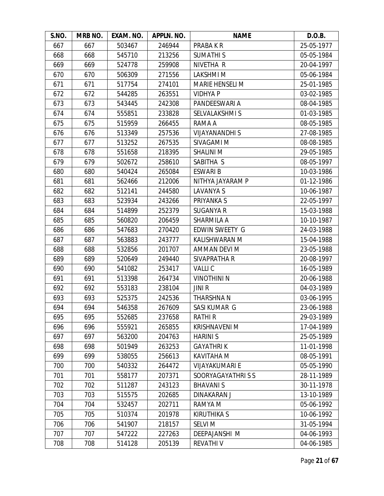| S.NO. | MRB NO. | EXAM. NO. | APPLN. NO. | <b>NAME</b>            | D.O.B.     |
|-------|---------|-----------|------------|------------------------|------------|
| 667   | 667     | 503467    | 246944     | PRABA K R              | 25-05-1977 |
| 668   | 668     | 545710    | 213256     | <b>SUMATHIS</b>        | 05-05-1984 |
| 669   | 669     | 524778    | 259908     | NIVETHA R              | 20-04-1997 |
| 670   | 670     | 506309    | 271556     | <b>LAKSHMIM</b>        | 05-06-1984 |
| 671   | 671     | 517754    | 274101     | <b>MARIE HENSELI M</b> | 25-01-1985 |
| 672   | 672     | 544285    | 263551     | <b>VIDHYA P</b>        | 03-02-1985 |
| 673   | 673     | 543445    | 242308     | PANDEESWARI A          | 08-04-1985 |
| 674   | 674     | 555851    | 233828     | SELVALAKSHMI S         | 01-03-1985 |
| 675   | 675     | 515959    | 266455     | RAMA A                 | 08-05-1985 |
| 676   | 676     | 513349    | 257536     | <b>VIJAYANANDHI S</b>  | 27-08-1985 |
| 677   | 677     | 513252    | 267535     | SIVAGAMI M             | 08-08-1985 |
| 678   | 678     | 551658    | 218395     | <b>SHALINI M</b>       | 29-05-1985 |
| 679   | 679     | 502672    | 258610     | SABITHA S              | 08-05-1997 |
| 680   | 680     | 540424    | 265084     | <b>ESWARIB</b>         | 10-03-1986 |
| 681   | 681     | 562466    | 212006     | NITHYA JAYARAM P       | 01-12-1986 |
| 682   | 682     | 512141    | 244580     | LAVANYA S              | 10-06-1987 |
| 683   | 683     | 523934    | 243266     | PRIYANKA S             | 22-05-1997 |
| 684   | 684     | 514899    | 252379     | <b>SUGANYA R</b>       | 15-03-1988 |
| 685   | 685     | 560820    | 206459     | SHARMILA A             | 10-10-1987 |
| 686   | 686     | 547683    | 270420     | EDWIN SWEETY G         | 24-03-1988 |
| 687   | 687     | 563883    | 243777     | KALISHWARAN M          | 15-04-1988 |
| 688   | 688     | 532856    | 201707     | AMMAN DEVI M           | 23-05-1988 |
| 689   | 689     | 520649    | 249440     | SIVAPRATHA R           | 20-08-1997 |
| 690   | 690     | 541082    | 253417     | <b>VALLIC</b>          | 16-05-1989 |
| 691   | 691     | 513398    | 264734     | <b>VINOTHINI N</b>     | 20-06-1988 |
| 692   | 692     | 553183    | 238104     | <b>JINIR</b>           | 04-03-1989 |
| 693   | 693     | 525375    | 242536     | <b>THARSHNA N</b>      | 03-06-1995 |
| 694   | 694     | 546358    | 267609     | SASI KUMAR G           | 23-06-1988 |
| 695   | 695     | 552685    | 237658     | <b>RATHIR</b>          | 29-03-1989 |
| 696   | 696     | 555921    | 265855     | <b>KRISHNAVENI M</b>   | 17-04-1989 |
| 697   | 697     | 563200    | 204763     | <b>HARINIS</b>         | 25-05-1989 |
| 698   | 698     | 501949    | 263253     | <b>GAYATHRIK</b>       | 11-01-1998 |
| 699   | 699     | 538055    | 256613     | KAVITAHA M             | 08-05-1991 |
| 700   | 700     | 540332    | 264472     | <b>VIJAYAKUMARI E</b>  | 05-05-1990 |
| 701   | 701     | 558177    | 207371     | SOORYAGAYATHRISS       | 28-11-1989 |
| 702   | 702     | 511287    | 243123     | <b>BHAVANIS</b>        | 30-11-1978 |
| 703   | 703     | 515575    | 202685     | <b>DINAKARAN J</b>     | 13-10-1989 |
| 704   | 704     | 532457    | 202711     | RAMYA M                | 05-06-1992 |
| 705   | 705     | 510374    | 201978     | <b>KIRUTHIKA S</b>     | 10-06-1992 |
| 706   | 706     | 541907    | 218157     | <b>SELVI M</b>         | 31-05-1994 |
| 707   | 707     | 547222    | 227263     | DEEPAJANSHI M          | 04-06-1993 |
| 708   | 708     | 514128    | 205139     | <b>REVATHIV</b>        | 04-06-1985 |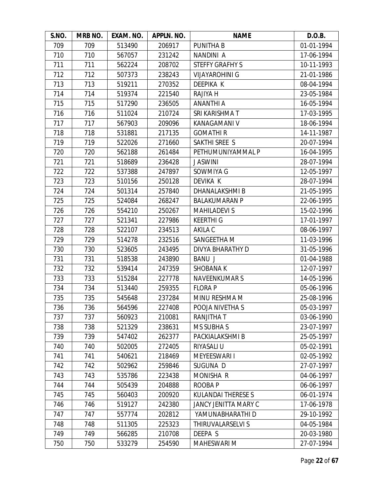| S.NO. | <b>MRB NO.</b> | EXAM. NO. | APPLN. NO. | <b>NAME</b>               | D.O.B.     |
|-------|----------------|-----------|------------|---------------------------|------------|
| 709   | 709            | 513490    | 206917     | <b>PUNITHA B</b>          | 01-01-1994 |
| 710   | 710            | 567057    | 231242     | NANDINI A                 | 17-06-1994 |
| 711   | 711            | 562224    | 208702     | <b>STEFFY GRAFHY S</b>    | 10-11-1993 |
| 712   | 712            | 507373    | 238243     | <b>VIJAYAROHINI G</b>     | 21-01-1986 |
| 713   | 713            | 519211    | 270352     | DEEPIKA K                 | 08-04-1994 |
| 714   | 714            | 519374    | 221540     | RAJIYA H                  | 23-05-1984 |
| 715   | 715            | 517290    | 236505     | ANANTHI A                 | 16-05-1994 |
| 716   | 716            | 511024    | 210724     | SRI KARISHMA T            | 17-03-1995 |
| 717   | 717            | 567903    | 209096     | KANAGAMANI V              | 18-06-1994 |
| 718   | 718            | 531881    | 217135     | <b>GOMATHIR</b>           | 14-11-1987 |
| 719   | 719            | 522026    | 271660     | SAKTHI SREE S             | 20-07-1994 |
| 720   | 720            | 562188    | 261484     | PETHUMUNIYAMMAL P         | 16-04-1995 |
| 721   | 721            | 518689    | 236428     | <b>J ASWINI</b>           | 28-07-1994 |
| 722   | 722            | 537388    | 247897     | SOWMIYA G                 | 12-05-1997 |
| 723   | 723            | 510156    | 250128     | <b>DEVIKA K</b>           | 28-07-1994 |
| 724   | 724            | 501314    | 257840     | DHANALAKSHMI B            | 21-05-1995 |
| 725   | 725            | 524084    | 268247     | <b>BALAKUMARAN P</b>      | 22-06-1995 |
| 726   | 726            | 554210    | 250267     | <b>MAHILADEVI S</b>       | 15-02-1996 |
| 727   | 727            | 521341    | 227986     | <b>KEERTHI G</b>          | 17-01-1997 |
| 728   | 728            | 522107    | 234513     | AKILA C                   | 08-06-1997 |
| 729   | 729            | 514278    | 232516     | SANGEETHA M               | 11-03-1996 |
| 730   | 730            | 523605    | 243495     | DIVYA BHARATHY D          | 31-05-1996 |
| 731   | 731            | 518538    | 243890     | <b>BANU J</b>             | 01-04-1988 |
| 732   | 732            | 539414    | 247359     | <b>SHOBANAK</b>           | 12-07-1997 |
| 733   | 733            | 515284    | 227778     | <b>NAVEENKUMARS</b>       | 14-05-1996 |
| 734   | 734            | 513440    | 259355     | <b>FLORA P</b>            | 05-06-1996 |
| 735   | 735            | 545648    | 237284     | MINU RESHMA M             | 25-08-1996 |
| 736   | 736            | 564596    | 227408     | POOJA NIVETHA S           | 05-03-1997 |
| 737   | 737            | 560923    | 210081     | <b>RANJITHAT</b>          | 03-06-1990 |
| 738   | 738            | 521329    | 238631     | <b>MS SUBHA S</b>         | 23-07-1997 |
| 739   | 739            | 547402    | 262377     | PACKIALAKSHMI B           | 25-05-1997 |
| 740   | 740            | 502005    | 272405     | RIYASALI U                | 05-02-1991 |
| 741   | 741            | 540621    | 218469     | <b>MEYEESWARI I</b>       | 02-05-1992 |
| 742   | 742            | 502962    | 259846     | SUGUNA D                  | 27-07-1997 |
| 743   | 743            | 535786    | 223438     | MONISHA R                 | 04-06-1997 |
| 744   | 744            | 505439    | 204888     | ROOBA P                   | 06-06-1997 |
| 745   | 745            | 560403    | 200920     | <b>KULANDAI THERESE S</b> | 06-01-1974 |
| 746   | 746            | 519127    | 242380     | JANCY JENITTA MARY C      | 17-06-1978 |
| 747   | 747            | 557774    | 202812     | YAMUNABHARATHI D          | 29-10-1992 |
| 748   | 748            | 511305    | 225323     | THIRUVALARSELVI S         | 04-05-1984 |
| 749   | 749            | 566285    | 210708     | DEEPA S                   | 20-03-1980 |
| 750   | 750            | 533279    | 254590     | MAHESWARI M               | 27-07-1994 |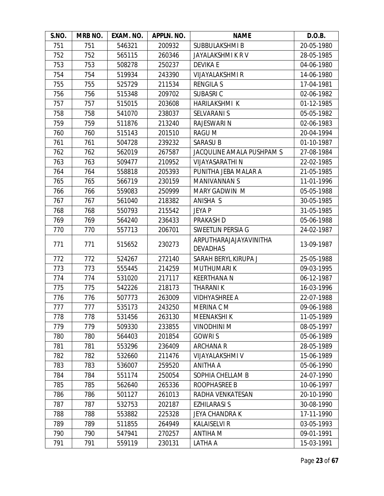| S.NO. | MRB NO. | EXAM. NO. | APPLN. NO. | <b>NAME</b>                               | D.O.B.     |
|-------|---------|-----------|------------|-------------------------------------------|------------|
| 751   | 751     | 546321    | 200932     | SUBBULAKSHMI B                            | 20-05-1980 |
| 752   | 752     | 565115    | 260346     | JAYALAKSHMI K R V                         | 28-05-1985 |
| 753   | 753     | 508278    | 250237     | <b>DEVIKA E</b>                           | 04-06-1980 |
| 754   | 754     | 519934    | 243390     | <b>VIJAYALAKSHMI R</b>                    | 14-06-1980 |
| 755   | 755     | 525729    | 211534     | <b>RENGILA S</b>                          | 17-04-1981 |
| 756   | 756     | 515348    | 209702     | <b>SUBASRIC</b>                           | 02-06-1982 |
| 757   | 757     | 515015    | 203608     | HARILAKSHMI K                             | 01-12-1985 |
| 758   | 758     | 541070    | 238037     | <b>SELVARANI S</b>                        | 05-05-1982 |
| 759   | 759     | 511876    | 213240     | RAJESWARI N                               | 02-06-1983 |
| 760   | 760     | 515143    | 201510     | RAGU M                                    | 20-04-1994 |
| 761   | 761     | 504728    | 239232     | <b>SARASU B</b>                           | 01-10-1987 |
| 762   | 762     | 562019    | 267587     | JACQULINE AMALA PUSHPAM S                 | 27-08-1984 |
| 763   | 763     | 509477    | 210952     | <b>VIJAYASARATHI N</b>                    | 22-02-1985 |
| 764   | 764     | 558818    | 205393     | PUNITHA JEBA MALAR A                      | 21-05-1985 |
| 765   | 765     | 566719    | 230159     | <b>MANIVANNAN S</b>                       | 11-01-1996 |
| 766   | 766     | 559083    | 250999     | MARY GADWIN M                             | 05-05-1988 |
| 767   | 767     | 561040    | 218382     | ANISHA S                                  | 30-05-1985 |
| 768   | 768     | 550793    | 215542     | <b>JEYA P</b>                             | 31-05-1985 |
| 769   | 769     | 564240    | 236433     | PRAKASH D                                 | 05-06-1988 |
| 770   | 770     | 557713    | 206701     | SWEETLIN PERSIA G                         | 24-02-1987 |
| 771   | 771     | 515652    | 230273     | ARPUTHARAJAJAYAVINITHA<br><b>DEVADHAS</b> | 13-09-1987 |
| 772   | 772     | 524267    | 272140     | SARAH BERYL KIRUPA J                      | 25-05-1988 |
| 773   | 773     | 555445    | 214259     | <b>MUTHUMARIK</b>                         | 09-03-1995 |
| 774   | 774     | 531020    | 217117     | <b>KEERTHANA N</b>                        | 06-12-1987 |
| 775   | 775     | 542226    | 218173     | <b>THARANIK</b>                           | 16-03-1996 |
| 776   | 776     | 507773    | 263009     | <b>VIDHYASHREE A</b>                      | 22-07-1988 |
| 777   | 777     | 535173    | 243250     | MERINA C M                                | 09-06-1988 |
| 778   | 778     | 531456    | 263130     | <b>MEENAKSHIK</b>                         | 11-05-1989 |
| 779   | 779     | 509330    | 233855     | <b>VINODHINI M</b>                        | 08-05-1997 |
| 780   | 780     | 564403    | 201854     | <b>GOWRIS</b>                             | 05-06-1989 |
| 781   | 781     | 553296    | 236409     | <b>ARCHANA R</b>                          | 28-05-1989 |
| 782   | 782     | 532660    | 211476     | <b>VIJAYALAKSHMI V</b>                    | 15-06-1989 |
| 783   | 783     | 536007    | 259520     | <b>ANITHA A</b>                           | 05-06-1990 |
| 784   | 784     | 551174    | 250054     | SOPHIA CHELLAM B                          | 24-07-1990 |
| 785   | 785     | 562640    | 265336     | ROOPHASREE B                              | 10-06-1997 |
| 786   | 786     | 501127    | 261013     | RADHA VENKATESAN                          | 20-10-1990 |
| 787   | 787     | 532753    | 202187     | <b>EZHILARASI S</b>                       | 30-08-1990 |
| 788   | 788     | 553882    | 225328     | <b>JEYA CHANDRA K</b>                     | 17-11-1990 |
| 789   | 789     | 511855    | 264949     | <b>KALAISELVI R</b>                       | 03-05-1993 |
| 790   | 790     | 547941    | 270257     | <b>ANTIHA M</b>                           | 09-01-1991 |
| 791   | 791     | 559119    | 230131     | LATHA A                                   | 15-03-1991 |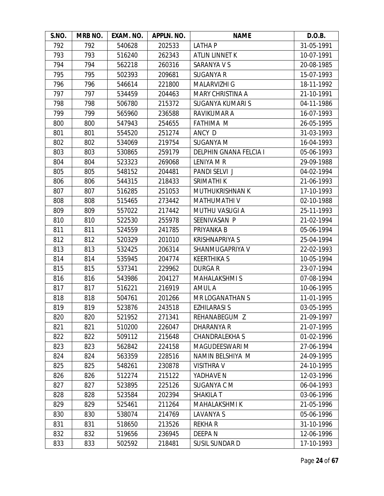| S.NO. | MRB NO. | EXAM. NO. | APPLN. NO. | <b>NAME</b>                   | D.O.B.     |
|-------|---------|-----------|------------|-------------------------------|------------|
| 792   | 792     | 540628    | 202533     | <b>LATHAP</b>                 | 31-05-1991 |
| 793   | 793     | 516240    | 262343     | <b>ATLIN LINNET K</b>         | 10-07-1991 |
| 794   | 794     | 562218    | 260316     | SARANYA V S                   | 20-08-1985 |
| 795   | 795     | 502393    | 209681     | <b>SUGANYA R</b>              | 15-07-1993 |
| 796   | 796     | 546614    | 221800     | MALARVIZHI G                  | 18-11-1992 |
| 797   | 797     | 534459    | 204463     | <b>MARY CHRISTINA A</b>       | 21-10-1991 |
| 798   | 798     | 506780    | 215372     | <b>SUGANYA KUMARI S</b>       | 04-11-1986 |
| 799   | 799     | 565960    | 236588     | RAVIKUMAR A                   | 16-07-1993 |
| 800   | 800     | 547943    | 254655     | <b>FATHIMA M</b>              | 26-05-1995 |
| 801   | 801     | 554520    | 251274     | ANCY D                        | 31-03-1993 |
| 802   | 802     | 534069    | 219754     | <b>SUGANYA M</b>              | 16-04-1993 |
| 803   | 803     | 530865    | 259179     | <b>DELPHIN GNANA FELCIA I</b> | 05-06-1993 |
| 804   | 804     | 523323    | 269068     | LENIYA M R                    | 29-09-1988 |
| 805   | 805     | 548152    | 204481     | PANDI SELVI J                 | 04-02-1994 |
| 806   | 806     | 544315    | 218433     | SRIMATHI K                    | 21-06-1993 |
| 807   | 807     | 516285    | 251053     | MUTHUKRISHNAN K               | 17-10-1993 |
| 808   | 808     | 515465    | 273442     | MATHUMATHI V                  | 02-10-1988 |
| 809   | 809     | 557022    | 217442     | <b>MUTHU VASUGI A</b>         | 25-11-1993 |
| 810   | 810     | 522530    | 255978     | SEENIVASAN P                  | 21-02-1994 |
| 811   | 811     | 524559    | 241785     | PRIYANKA B                    | 05-06-1994 |
| 812   | 812     | 520329    | 201010     | <b>KRISHNAPRIYA S</b>         | 25-04-1994 |
| 813   | 813     | 532425    | 206314     | SHANMUGAPRIYA V               | 22-02-1993 |
| 814   | 814     | 535945    | 204774     | <b>KEERTHIKA S</b>            | 10-05-1994 |
| 815   | 815     | 537341    | 229962     | <b>DURGAR</b>                 | 23-07-1994 |
| 816   | 816     | 543986    | 204127     | <b>MAHALAKSHMIS</b>           | 07-08-1994 |
| 817   | 817     | 516221    | 216919     | AMUL A                        | 10-06-1995 |
| 818   | 818     | 504761    | 201266     | MR LOGANATHAN S               | 11-01-1995 |
| 819   | 819     | 523876    | 243518     | <b>EZHILARASI S</b>           | 03-05-1995 |
| 820   | 820     | 521952    | 271341     | REHANABEGUM Z                 | 21-09-1997 |
| 821   | 821     | 510200    | 226047     | DHARANYA R                    | 21-07-1995 |
| 822   | 822     | 509112    | 215648     | <b>CHANDRALEKHA S</b>         | 01-02-1996 |
| 823   | 823     | 562842    | 224158     | MAGUDEESWARI M                | 27-06-1994 |
| 824   | 824     | 563359    | 228516     | NAMIN BELSHIYA M              | 24-09-1995 |
| 825   | 825     | 548261    | 230878     | <b>VISITHRA V</b>             | 24-10-1995 |
| 826   | 826     | 512274    | 215122     | YADHAVE N                     | 12-03-1996 |
| 827   | 827     | 523895    | 225126     | SUGANYA C M                   | 06-04-1993 |
| 828   | 828     | 523584    | 202394     | <b>SHAKILA T</b>              | 03-06-1996 |
| 829   | 829     | 525461    | 211264     | <b>MAHALAKSHMIK</b>           | 21-05-1996 |
| 830   | 830     | 538074    | 214769     | LAVANYA S                     | 05-06-1996 |
| 831   | 831     | 518650    | 213526     | <b>REKHAR</b>                 | 31-10-1996 |
| 832   | 832     | 519656    | 236945     | DEEPA N                       | 12-06-1996 |
| 833   | 833     | 502592    | 218481     | SUSIL SUNDAR D                | 17-10-1993 |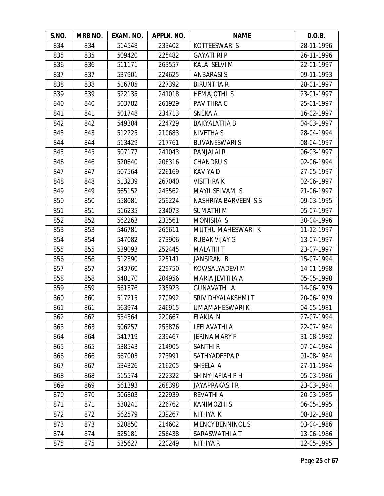| S.NO. | MRB NO. | EXAM. NO. | APPLN. NO. | <b>NAME</b>                | D.O.B.     |
|-------|---------|-----------|------------|----------------------------|------------|
| 834   | 834     | 514548    | 233402     | <b>KOTTEESWARI S</b>       | 28-11-1996 |
| 835   | 835     | 509420    | 225482     | <b>GAYATHRIP</b>           | 26-11-1996 |
| 836   | 836     | 511171    | 263557     | KALAI SELVI M              | 22-01-1997 |
| 837   | 837     | 537901    | 224625     | <b>ANBARASIS</b>           | 09-11-1993 |
| 838   | 838     | 516705    | 227392     | <b>BIRUNTHAR</b>           | 28-01-1997 |
| 839   | 839     | 522135    | 241018     | HEMAJOTHI S                | 23-01-1997 |
| 840   | 840     | 503782    | 261929     | PAVITHRA C                 | 25-01-1997 |
| 841   | 841     | 501748    | 234713     | <b>SNEKA A</b>             | 16-02-1997 |
| 842   | 842     | 549304    | 224729     | <b>BAKYALATHA B</b>        | 04-03-1997 |
| 843   | 843     | 512225    | 210683     | <b>NIVETHA S</b>           | 28-04-1994 |
| 844   | 844     | 513429    | 217761     | <b>BUVANESWARIS</b>        | 08-04-1997 |
| 845   | 845     | 507177    | 241043     | PANJALAI R                 | 06-03-1997 |
| 846   | 846     | 520640    | 206316     | <b>CHANDRUS</b>            | 02-06-1994 |
| 847   | 847     | 507564    | 226169     | <b>KAVIYA D</b>            | 27-05-1997 |
| 848   | 848     | 513239    | 267040     | <b>VISITHRAK</b>           | 02-06-1997 |
| 849   | 849     | 565152    | 243562     | MAYIL SELVAM S             | 21-06-1997 |
| 850   | 850     | 558081    | 259224     | <b>NASHRIYA BARVEEN SS</b> | 09-03-1995 |
| 851   | 851     | 516235    | 234073     | <b>SUMATHIM</b>            | 05-07-1997 |
| 852   | 852     | 562263    | 233561     | MONISHA S                  | 30-04-1996 |
| 853   | 853     | 546781    | 265611     | MUTHU MAHESWARI K          | 11-12-1997 |
| 854   | 854     | 547082    | 273906     | <b>RUBAK VIJAY G</b>       | 13-07-1997 |
| 855   | 855     | 539093    | 252445     | <b>MALATHIT</b>            | 23-07-1997 |
| 856   | 856     | 512390    | 225141     | <b>JANSIRANI B</b>         | 15-07-1994 |
| 857   | 857     | 543760    | 229750     | KOWSALYADEVI M             | 14-01-1998 |
| 858   | 858     | 548170    | 204956     | MARIA JEVITHA A            | 05-05-1998 |
| 859   | 859     | 561376    | 235923     | <b>GUNAVATHI A</b>         | 14-06-1979 |
| 860   | 860     | 517215    | 270992     | SRIVIDHYALAKSHMI T         | 20-06-1979 |
| 861   | 861     | 563974    | 246915     | <b>UMAMAHESWARI K</b>      | 04-05-1981 |
| 862   | 862     | 534564    | 220667     | ELAKIA N                   | 27-07-1994 |
| 863   | 863     | 506257    | 253876     | LEELAVATHI A               | 22-07-1984 |
| 864   | 864     | 541719    | 239467     | <b>JERINA MARY F</b>       | 31-08-1982 |
| 865   | 865     | 538543    | 214905     | <b>SANTHIR</b>             | 07-04-1984 |
| 866   | 866     | 567003    | 273991     | SATHYADEEPA P              | 01-08-1984 |
| 867   | 867     | 534326    | 216205     | SHEELA A                   | 27-11-1984 |
| 868   | 868     | 515574    | 222322     | SHINY JAFIAH P H           | 05-03-1986 |
| 869   | 869     | 561393    | 268398     | <b>JAYAPRAKASH R</b>       | 23-03-1984 |
| 870   | 870     | 506803    | 222939     | <b>REVATHI A</b>           | 20-03-1985 |
| 871   | 871     | 530241    | 226762     | <b>KANIMOZHI S</b>         | 06-05-1995 |
| 872   | 872     | 562579    | 239267     | NITHYA K                   | 08-12-1988 |
| 873   | 873     | 520850    | 214602     | <b>MENCY BENNINOLS</b>     | 03-04-1986 |
| 874   | 874     | 525181    | 256438     | SARASWATHI A T             | 13-06-1986 |
| 875   | 875     | 535627    | 220249     | NITHYA R                   | 12-05-1995 |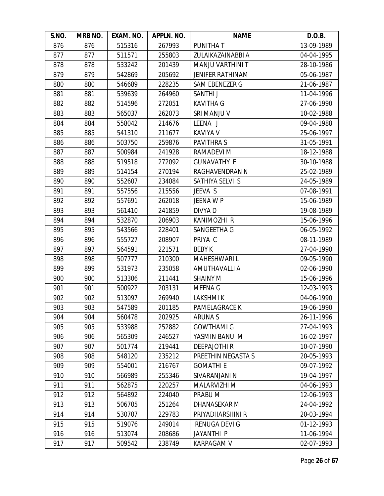| S.NO. | MRB NO. | EXAM. NO. | APPLN. NO. | <b>NAME</b>             | D.O.B.     |
|-------|---------|-----------|------------|-------------------------|------------|
| 876   | 876     | 515316    | 267993     | <b>PUNITHAT</b>         | 13-09-1989 |
| 877   | 877     | 511571    | 255803     | ZULAIKAZAINABBI A       | 04-04-1995 |
| 878   | 878     | 533242    | 201439     | MANJU VARTHINI T        | 28-10-1986 |
| 879   | 879     | 542869    | 205692     | <b>JENIFER RATHINAM</b> | 05-06-1987 |
| 880   | 880     | 546689    | 228235     | SAM EBENEZER G          | 21-06-1987 |
| 881   | 881     | 539639    | 264960     | SANTHI J                | 11-04-1996 |
| 882   | 882     | 514596    | 272051     | <b>KAVITHA G</b>        | 27-06-1990 |
| 883   | 883     | 565037    | 262073     | SRI MANJU V             | 10-02-1988 |
| 884   | 884     | 558042    | 214676     | LEENA J                 | 09-04-1988 |
| 885   | 885     | 541310    | 211677     | <b>KAVIYA V</b>         | 25-06-1997 |
| 886   | 886     | 503750    | 259876     | PAVITHRA S              | 31-05-1991 |
| 887   | 887     | 500984    | 241928     | RAMADEVI M              | 18-12-1988 |
| 888   | 888     | 519518    | 272092     | <b>GUNAVATHY E</b>      | 30-10-1988 |
| 889   | 889     | 514154    | 270194     | RAGHAVENDRAN N          | 25-02-1989 |
| 890   | 890     | 552607    | 234084     | SATHIYA SELVI S         | 24-05-1989 |
| 891   | 891     | 557556    | 215556     | JEEVA S                 | 07-08-1991 |
| 892   | 892     | 557691    | 262018     | JEENA W P               | 15-06-1989 |
| 893   | 893     | 561410    | 241859     | DIVYA D                 | 19-08-1989 |
| 894   | 894     | 532870    | 206903     | <b>KANIMOZHI R</b>      | 15-06-1996 |
| 895   | 895     | 543566    | 228401     | SANGEETHA G             | 06-05-1992 |
| 896   | 896     | 555727    | 208907     | PRIYA C                 | 08-11-1989 |
| 897   | 897     | 564591    | 221571     | <b>BEBY K</b>           | 27-04-1990 |
| 898   | 898     | 507777    | 210300     | <b>MAHESHWARI L</b>     | 09-05-1990 |
| 899   | 899     | 531973    | 235058     | AMUTHAVALLI A           | 02-06-1990 |
| 900   | 900     | 513306    | 211441     | <b>SHAINY M</b>         | 15-06-1996 |
| 901   | 901     | 500922    | 203131     | <b>MEENA G</b>          | 12-03-1993 |
| 902   | 902     | 513097    | 269940     | <b>LAKSHMIK</b>         | 04-06-1990 |
| 903   | 903     | 547589    | 201185     | <b>PAMELAGRACE K</b>    | 19-06-1990 |
| 904   | 904     | 560478    | 202925     | <b>ARUNAS</b>           | 26-11-1996 |
| 905   | 905     | 533988    | 252882     | <b>GOWTHAMI G</b>       | 27-04-1993 |
| 906   | 906     | 565309    | 246527     | YASMIN BANU M           | 16-02-1997 |
| 907   | 907     | 501774    | 219441     | <b>DEEPAJOTHIR</b>      | 10-07-1990 |
| 908   | 908     | 548120    | 235212     | PREETHIN NEGASTA S      | 20-05-1993 |
| 909   | 909     | 554001    | 216767     | <b>GOMATHIE</b>         | 09-07-1992 |
| 910   | 910     | 566989    | 255346     | SIVARANJANI N           | 19-04-1997 |
| 911   | 911     | 562875    | 220257     | MALARVIZHI M            | 04-06-1993 |
| 912   | 912     | 564892    | 224040     | PRABU M                 | 12-06-1993 |
| 913   | 913     | 506705    | 251264     | DHANASEKAR M            | 24-04-1992 |
| 914   | 914     | 530707    | 229783     | PRIYADHARSHINI R        | 20-03-1994 |
| 915   | 915     | 519076    | 249014     | RENUGA DEVI G           | 01-12-1993 |
| 916   | 916     | 513074    | 208686     | JAYANTHI P              | 11-06-1994 |
| 917   | 917     | 509542    | 238749     | <b>KARPAGAM V</b>       | 02-07-1993 |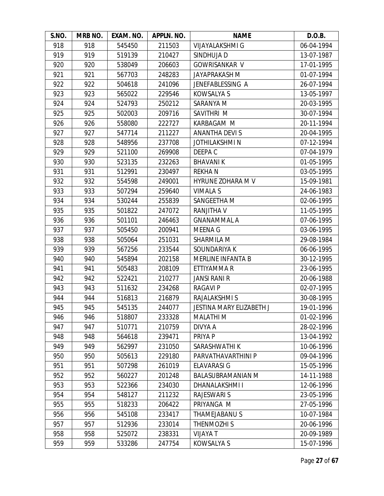| S.NO. | MRB NO. | EXAM. NO. | APPLN. NO. | <b>NAME</b>                     | D.O.B.     |
|-------|---------|-----------|------------|---------------------------------|------------|
| 918   | 918     | 545450    | 211503     | <b>VIJAYALAKSHMI G</b>          | 06-04-1994 |
| 919   | 919     | 519139    | 210427     | SINDHUJA D                      | 13-07-1987 |
| 920   | 920     | 538049    | 206603     | <b>GOWRISANKAR V</b>            | 17-01-1995 |
| 921   | 921     | 567703    | 248283     | <b>JAYAPRAKASH M</b>            | 01-07-1994 |
| 922   | 922     | 504618    | 241096     | JENEFABLESSING A                | 26-07-1994 |
| 923   | 923     | 565022    | 229546     | <b>KOWSALYA S</b>               | 13-05-1997 |
| 924   | 924     | 524793    | 250212     | SARANYA M                       | 20-03-1995 |
| 925   | 925     | 502003    | 209716     | SAVITHRI M                      | 30-07-1994 |
| 926   | 926     | 558080    | 222727     | KARBAGAM M                      | 20-11-1994 |
| 927   | 927     | 547714    | 211227     | <b>ANANTHA DEVIS</b>            | 20-04-1995 |
| 928   | 928     | 548956    | 237708     | <b>JOTHILAKSHMIN</b>            | 07-12-1994 |
| 929   | 929     | 521100    | 269908     | DEEPA C                         | 07-04-1979 |
| 930   | 930     | 523135    | 232263     | <b>BHAVANIK</b>                 | 01-05-1995 |
| 931   | 931     | 512991    | 230497     | <b>REKHAN</b>                   | 03-05-1995 |
| 932   | 932     | 554598    | 249001     | HYRUNE ZOHARA M V               | 15-09-1981 |
| 933   | 933     | 507294    | 259640     | <b>VIMALA S</b>                 | 24-06-1983 |
| 934   | 934     | 530244    | 255839     | SANGEETHA M                     | 02-06-1995 |
| 935   | 935     | 501822    | 247072     | <b>RANJITHA V</b>               | 11-05-1995 |
| 936   | 936     | 501101    | 246463     | <b>GNANAMMAL A</b>              | 07-06-1995 |
| 937   | 937     | 505450    | 200941     | <b>MEENA G</b>                  | 03-06-1995 |
| 938   | 938     | 505064    | 251031     | SHARMILA M                      | 29-08-1984 |
| 939   | 939     | 567256    | 233544     | SOUNDARIYA K                    | 06-06-1995 |
| 940   | 940     | 545894    | 202158     | <b>MERLINE INFANTA B</b>        | 30-12-1995 |
| 941   | 941     | 505483    | 208109     | ETTIYAMMA R                     | 23-06-1995 |
| 942   | 942     | 522421    | 210277     | JANSI RANI R                    | 20-06-1988 |
| 943   | 943     | 511632    | 234268     | <b>RAGAVIP</b>                  | 02-07-1995 |
| 944   | 944     | 516813    | 216879     | RAJALAKSHMI S                   | 30-08-1995 |
| 945   | 945     | 545135    | 244077     | <b>JESTINA MARY ELIZABETH J</b> | 19-01-1996 |
| 946   | 946     | 518807    | 233328     | <b>MALATHIM</b>                 | 01-02-1996 |
| 947   | 947     | 510771    | 210759     | DIVYA A                         | 28-02-1996 |
| 948   | 948     | 564618    | 239471     | PRIYA P                         | 13-04-1992 |
| 949   | 949     | 562997    | 231050     | SARASHWATHI K                   | 10-06-1996 |
| 950   | 950     | 505613    | 229180     | PARVATHAVARTHINI P              | 09-04-1996 |
| 951   | 951     | 507298    | 261019     | <b>ELAVARASI G</b>              | 15-05-1996 |
| 952   | 952     | 560227    | 201248     | <b>BALASUBRAMANIAN M</b>        | 14-11-1988 |
| 953   | 953     | 522366    | 234030     | <b>DHANALAKSHMII</b>            | 12-06-1996 |
| 954   | 954     | 548127    | 211232     | <b>RAJESWARI S</b>              | 23-05-1996 |
| 955   | 955     | 518233    | 206422     | PRIYANGA M                      | 27-05-1996 |
| 956   | 956     | 545108    | 233417     | THAMEJABANU S                   | 10-07-1984 |
| 957   | 957     | 512936    | 233014     | THENMOZHI S                     | 20-06-1996 |
| 958   | 958     | 525072    | 238331     | <b>VIJAYA T</b>                 | 20-09-1989 |
| 959   | 959     | 533286    | 247754     | <b>KOWSALYA S</b>               | 15-07-1996 |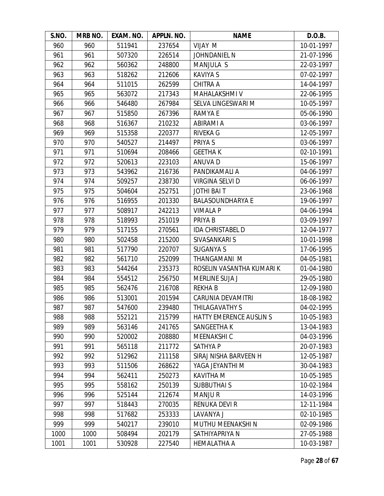| S.NO. | MRB NO. | EXAM. NO. | APPLN. NO. | <b>NAME</b>                    | D.O.B.     |
|-------|---------|-----------|------------|--------------------------------|------------|
| 960   | 960     | 511941    | 237654     | VIJAY M                        | 10-01-1997 |
| 961   | 961     | 507320    | 226514     | <b>JOHNDANIEL N</b>            | 21-07-1996 |
| 962   | 962     | 560362    | 248800     | <b>MANJULA S</b>               | 22-03-1997 |
| 963   | 963     | 518262    | 212606     | <b>KAVIYA S</b>                | 07-02-1997 |
| 964   | 964     | 511015    | 262599     | <b>CHITRA A</b>                | 14-04-1997 |
| 965   | 965     | 563072    | 217343     | MAHALAKSHMI V                  | 22-06-1995 |
| 966   | 966     | 546480    | 267984     | SELVA LINGESWARI M             | 10-05-1997 |
| 967   | 967     | 515850    | 267396     | RAMYA E                        | 05-06-1990 |
| 968   | 968     | 516367    | 210232     | ABIRAMI A                      | 03-06-1997 |
| 969   | 969     | 515358    | 220377     | <b>RIVEKA G</b>                | 12-05-1997 |
| 970   | 970     | 540527    | 214497     | PRIYA S                        | 03-06-1997 |
| 971   | 971     | 510694    | 208466     | <b>GEETHAK</b>                 | 02-10-1991 |
| 972   | 972     | 520613    | 223103     | ANUVA D                        | 15-06-1997 |
| 973   | 973     | 543962    | 216736     | PANDIKAMALI A                  | 04-06-1997 |
| 974   | 974     | 509257    | 238730     | VIRGINA SELVI D                | 06-06-1997 |
| 975   | 975     | 504604    | 252751     | JOTHI BAI T                    | 23-06-1968 |
| 976   | 976     | 516955    | 201330     | <b>BALASOUNDHARYA E</b>        | 19-06-1997 |
| 977   | 977     | 508917    | 242213     | <b>VIMALA P</b>                | 04-06-1994 |
| 978   | 978     | 518993    | 251019     | PRIYA B                        | 03-09-1997 |
| 979   | 979     | 517155    | 270561     | <b>IDA CHRISTABEL D</b>        | 12-04-1977 |
| 980   | 980     | 502458    | 215200     | SIVASANKARI S                  | 10-01-1998 |
| 981   | 981     | 517790    | 220707     | <b>SUGANYA S</b>               | 17-06-1995 |
| 982   | 982     | 561710    | 252099     | THANGAMANI M                   | 04-05-1981 |
| 983   | 983     | 544264    | 235373     | ROSELIN VASANTHA KUMARI K      | 01-04-1980 |
| 984   | 984     | 554512    | 256750     | MERLINE SUJA J                 | 29-05-1980 |
| 985   | 985     | 562476    | 216708     | <b>REKHAB</b>                  | 12-09-1980 |
| 986   | 986     | 513001    | 201594     | CARUNIA DEVAMITRI              | 18-08-1982 |
| 987   | 987     | 547600    | 239480     | <b>THILAGAVATHY S</b>          | 04-02-1995 |
| 988   | 988     | 552121    | 215799     | <b>HATTY EMERENCE AUSLIN S</b> | 10-05-1983 |
| 989   | 989     | 563146    | 241765     | SANGEETHA K                    | 13-04-1983 |
| 990   | 990     | 520002    | 208880     | MEENAKSHI C                    | 04-03-1996 |
| 991   | 991     | 565118    | 211772     | <b>SATHYAP</b>                 | 20-07-1983 |
| 992   | 992     | 512962    | 211158     | SIRAJ NISHA BARVEEN H          | 12-05-1987 |
| 993   | 993     | 511506    | 268622     | YAGA JEYANTHI M                | 30-04-1983 |
| 994   | 994     | 562411    | 250273     | <b>KAVITHA M</b>               | 10-05-1985 |
| 995   | 995     | 558162    | 250139     | <b>SUBBUTHAI S</b>             | 10-02-1984 |
| 996   | 996     | 525144    | 212674     | <b>MANJUR</b>                  | 14-03-1996 |
| 997   | 997     | 518443    | 270035     | <b>RENUKA DEVI R</b>           | 12-11-1984 |
| 998   | 998     | 517682    | 253333     | LAVANYA J                      | 02-10-1985 |
| 999   | 999     | 540217    | 239010     | MUTHU MEENAKSHI N              | 02-09-1986 |
| 1000  | 1000    | 508494    | 202179     | SATHIYAPRIYA N                 | 27-05-1988 |
| 1001  | 1001    | 530928    | 227540     | HEMALATHA A                    | 10-03-1987 |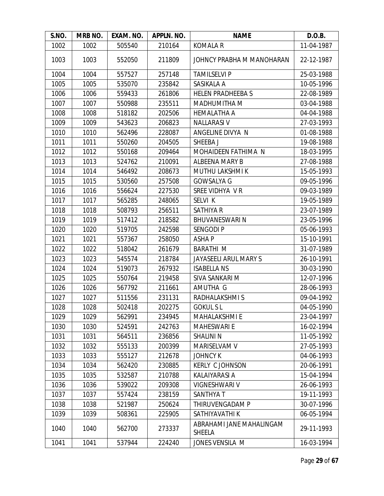| S.NO. | MRB NO. | EXAM. NO. | APPLN. NO. | <b>NAME</b>                               | D.O.B.     |
|-------|---------|-----------|------------|-------------------------------------------|------------|
| 1002  | 1002    | 505540    | 210164     | <b>KOMALA R</b>                           | 11-04-1987 |
| 1003  | 1003    | 552050    | 211809     | JOHNCY PRABHA M MANOHARAN                 | 22-12-1987 |
| 1004  | 1004    | 557527    | 257148     | <b>TAMILSELVI P</b>                       | 25-03-1988 |
| 1005  | 1005    | 535070    | 235842     | SASIKALA A                                | 10-05-1996 |
| 1006  | 1006    | 559433    | 261806     | <b>HELEN PRADHEEBAS</b>                   | 22-08-1989 |
| 1007  | 1007    | 550988    | 235511     | MADHUMITHA M                              | 03-04-1988 |
| 1008  | 1008    | 518182    | 202506     | <b>HEMALATHA A</b>                        | 04-04-1988 |
| 1009  | 1009    | 543623    | 206823     | <b>NALLARASI V</b>                        | 27-03-1993 |
| 1010  | 1010    | 562496    | 228087     | ANGELINE DIVYA N                          | 01-08-1988 |
| 1011  | 1011    | 550260    | 204505     | SHEEBA J                                  | 19-08-1988 |
| 1012  | 1012    | 550168    | 209464     | MOHAIDEEN FATHIMA N                       | 18-03-1995 |
| 1013  | 1013    | 524762    | 210091     | ALBEENA MARY B                            | 27-08-1988 |
| 1014  | 1014    | 546492    | 208673     | <b>MUTHU LAKSHMI K</b>                    | 15-05-1993 |
| 1015  | 1015    | 530560    | 257508     | <b>GOWSALYA G</b>                         | 09-05-1996 |
| 1016  | 1016    | 556624    | 227530     | SREE VIDHYA VR                            | 09-03-1989 |
| 1017  | 1017    | 565285    | 248065     | SELVI K                                   | 19-05-1989 |
| 1018  | 1018    | 508793    | 256511     | SATHIYA R                                 | 23-07-1989 |
| 1019  | 1019    | 517412    | 218582     | <b>BHUVANESWARI N</b>                     | 23-05-1996 |
| 1020  | 1020    | 519705    | 242598     | <b>SENGODI P</b>                          | 05-06-1993 |
| 1021  | 1021    | 557367    | 258050     | <b>ASHAP</b>                              | 15-10-1991 |
| 1022  | 1022    | 518042    | 261679     | <b>BARATHI M</b>                          | 31-07-1989 |
| 1023  | 1023    | 545574    | 218784     | JAYASEELI ARUL MARY S                     | 26-10-1991 |
| 1024  | 1024    | 519073    | 267932     | <b>ISABELLA NS</b>                        | 30-03-1990 |
| 1025  | 1025    | 550764    | 219458     | SIVA SANKARI M                            | 12-07-1996 |
| 1026  | 1026    | 567792    | 211661     | AMUTHA G                                  | 28-06-1993 |
| 1027  | 1027    | 511556    | 231131     | RADHALAKSHMIS                             | 09-04-1992 |
| 1028  | 1028    | 502418    | 202275     | <b>GOKULSL</b>                            | 04-05-1990 |
| 1029  | 1029    | 562991    | 234945     | <b>MAHALAKSHMI E</b>                      | 23-04-1997 |
| 1030  | 1030    | 524591    | 242763     | <b>MAHESWARI E</b>                        | 16-02-1994 |
| 1031  | 1031    | 564511    | 236856     | <b>SHALINI N</b>                          | 11-05-1992 |
| 1032  | 1032    | 555133    | 200399     | MARISELVAM V                              | 27-05-1993 |
| 1033  | 1033    | 555127    | 212678     | <b>JOHNCY K</b>                           | 04-06-1993 |
| 1034  | 1034    | 562420    | 230885     | <b>KERLY C JOHNSON</b>                    | 20-06-1991 |
| 1035  | 1035    | 532587    | 210788     | <b>KALAIYARASI A</b>                      | 15-04-1994 |
| 1036  | 1036    | 539022    | 209308     | <b>VIGNESHWARI V</b>                      | 26-06-1993 |
| 1037  | 1037    | 557424    | 238159     | SANTHYA T                                 | 19-11-1993 |
| 1038  | 1038    | 521987    | 250624     | THIRUVENGADAM P                           | 30-07-1996 |
| 1039  | 1039    | 508361    | 225905     | SATHIYAVATHI K                            | 06-05-1994 |
| 1040  | 1040    | 562700    | 273337     | ABRAHAMI JANE MAHALINGAM<br><b>SHEELA</b> | 29-11-1993 |
| 1041  | 1041    | 537944    | 224240     | JONES VENSILA M                           | 16-03-1994 |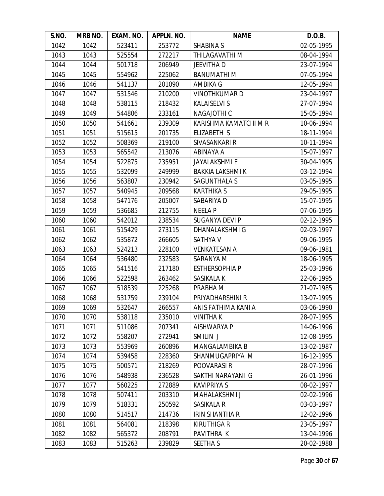| S.NO. | MRB NO. | EXAM. NO. | APPLN. NO. | <b>NAME</b>             | D.O.B.     |
|-------|---------|-----------|------------|-------------------------|------------|
| 1042  | 1042    | 523411    | 253772     | <b>SHABINA S</b>        | 02-05-1995 |
| 1043  | 1043    | 525554    | 272217     | THILAGAVATHI M          | 08-04-1994 |
| 1044  | 1044    | 501718    | 206949     | <b>JEEVITHA D</b>       | 23-07-1994 |
| 1045  | 1045    | 554962    | 225062     | <b>BANUMATHIM</b>       | 07-05-1994 |
| 1046  | 1046    | 541137    | 201090     | <b>AMBIKA G</b>         | 12-05-1994 |
| 1047  | 1047    | 531546    | 210200     | <b>VINOTHKUMARD</b>     | 23-04-1997 |
| 1048  | 1048    | 538115    | 218432     | <b>KALAISELVI S</b>     | 27-07-1994 |
| 1049  | 1049    | 544806    | 233161     | <b>NAGAJOTHI C</b>      | 15-05-1994 |
| 1050  | 1050    | 541661    | 239309     | KARISHMA KAMATCHI M R   | 10-06-1994 |
| 1051  | 1051    | 515615    | 201735     | ELIZABETH S             | 18-11-1994 |
| 1052  | 1052    | 508369    | 219100     | SIVASANKARI R           | 10-11-1994 |
| 1053  | 1053    | 565542    | 213076     | ABINAYA A               | 15-07-1997 |
| 1054  | 1054    | 522875    | 235951     | <b>JAYALAKSHMI E</b>    | 30-04-1995 |
| 1055  | 1055    | 532099    | 249999     | <b>BAKKIA LAKSHMI K</b> | 03-12-1994 |
| 1056  | 1056    | 563807    | 230942     | SAGUNTHALA S            | 03-05-1995 |
| 1057  | 1057    | 540945    | 209568     | <b>KARTHIKA S</b>       | 29-05-1995 |
| 1058  | 1058    | 547176    | 205007     | SABARIYA D              | 15-07-1995 |
| 1059  | 1059    | 536685    | 212755     | <b>NEELA P</b>          | 07-06-1995 |
| 1060  | 1060    | 542012    | 238534     | SUGANYA DEVI P          | 02-12-1995 |
| 1061  | 1061    | 515429    | 273115     | DHANALAKSHMI G          | 02-03-1997 |
| 1062  | 1062    | 535872    | 266605     | <b>SATHYA V</b>         | 09-06-1995 |
| 1063  | 1063    | 524213    | 228100     | <b>VENKATESAN A</b>     | 09-06-1981 |
| 1064  | 1064    | 536480    | 232583     | SARANYA M               | 18-06-1995 |
| 1065  | 1065    | 541516    | 217180     | <b>ESTHERSOPHIA P</b>   | 25-03-1996 |
| 1066  | 1066    | 522598    | 263462     | SASIKALA K              | 22-06-1995 |
| 1067  | 1067    | 518539    | 225268     | PRABHA M                | 21-07-1985 |
| 1068  | 1068    | 531759    | 239104     | PRIYADHARSHINI R        | 13-07-1995 |
| 1069  | 1069    | 532647    | 266557     | ANIS FATHIMA KANI A     | 03-06-1990 |
| 1070  | 1070    | 538118    | 235010     | <b>VINITHAK</b>         | 28-07-1995 |
| 1071  | 1071    | 511086    | 207341     | <b>AISHWARYA P</b>      | 14-06-1996 |
| 1072  | 1072    | 558207    | 272941     | SMILIN J                | 12-08-1995 |
| 1073  | 1073    | 553969    | 260896     | <b>MANGALAMBIKA B</b>   | 13-02-1987 |
| 1074  | 1074    | 539458    | 228360     | SHANMUGAPRIYA M         | 16-12-1995 |
| 1075  | 1075    | 500571    | 218269     | POOVARASI R             | 28-07-1996 |
| 1076  | 1076    | 548938    | 236528     | SAKTHI NARAYANI G       | 26-01-1996 |
| 1077  | 1077    | 560225    | 272889     | <b>KAVIPRIYA S</b>      | 08-02-1997 |
| 1078  | 1078    | 507411    | 203310     | MAHALAKSHMI J           | 02-02-1996 |
| 1079  | 1079    | 518331    | 250592     | SASIKALA R              | 03-03-1997 |
| 1080  | 1080    | 514517    | 214736     | <b>IRIN SHANTHA R</b>   | 12-02-1996 |
| 1081  | 1081    | 564081    | 218398     | <b>KIRUTHIGA R</b>      | 23-05-1997 |
| 1082  | 1082    | 565372    | 208791     | PAVITHRA K              | 13-04-1996 |
| 1083  | 1083    | 515263    | 239829     | <b>SEETHA S</b>         | 20-02-1988 |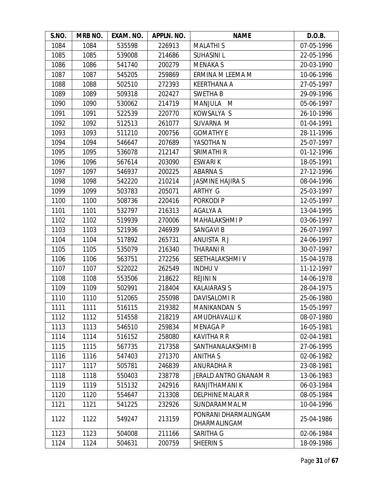| S.NO. | MRB NO. | EXAM. NO. | APPLN. NO. | <b>NAME</b>                          | D.O.B.     |
|-------|---------|-----------|------------|--------------------------------------|------------|
| 1084  | 1084    | 535598    | 226913     | <b>MALATHIS</b>                      | 07-05-1996 |
| 1085  | 1085    | 539008    | 214686     | <b>SUHASINIL</b>                     | 22-05-1996 |
| 1086  | 1086    | 541740    | 200279     | <b>MENAKA S</b>                      | 20-03-1990 |
| 1087  | 1087    | 545205    | 259869     | ERMINA M LEEMA M                     | 10-06-1996 |
| 1088  | 1088    | 502510    | 272393     | <b>KEERTHANA A</b>                   | 27-05-1997 |
| 1089  | 1089    | 509318    | 202427     | <b>SWETHAB</b>                       | 29-09-1996 |
| 1090  | 1090    | 530062    | 214719     | MANJULA<br>M                         | 05-06-1997 |
| 1091  | 1091    | 522539    | 220770     | KOWSALYA S                           | 26-10-1996 |
| 1092  | 1092    | 512513    | 261077     | SUVARNA M                            | 01-04-1991 |
| 1093  | 1093    | 511210    | 200756     | <b>GOMATHY E</b>                     | 28-11-1996 |
| 1094  | 1094    | 546647    | 207689     | YASOTHA N                            | 25-07-1997 |
| 1095  | 1095    | 536078    | 212147     | SRIMATHI R                           | 01-12-1996 |
| 1096  | 1096    | 567614    | 203090     | <b>ESWARIK</b>                       | 18-05-1991 |
| 1097  | 1097    | 546937    | 200225     | <b>ABARNAS</b>                       | 27-12-1996 |
| 1098  | 1098    | 542220    | 210214     | <b>JASMINE HAJIRA S</b>              | 08-04-1996 |
| 1099  | 1099    | 503783    | 205071     | ARTHY G                              | 25-03-1997 |
| 1100  | 1100    | 508736    | 220416     | PORKODI P                            | 12-05-1997 |
| 1101  | 1101    | 532797    | 216313     | AGALYA A                             | 13-04-1995 |
| 1102  | 1102    | 519939    | 270006     | <b>MAHALAKSHMI P</b>                 | 03-06-1997 |
| 1103  | 1103    | 521936    | 246939     | <b>SANGAVI B</b>                     | 26-07-1997 |
| 1104  | 1104    | 517892    | 265731     | ANUISTA RJ                           | 24-06-1997 |
| 1105  | 1105    | 535079    | 216340     | <b>THARANI R</b>                     | 30-07-1997 |
| 1106  | 1106    | 563751    | 272256     | SEETHALAKSHMIV                       | 15-04-1978 |
| 1107  | 1107    | 522022    | 262549     | <b>INDHUV</b>                        | 11-12-1997 |
| 1108  | 1108    | 553506    | 218622     | <b>REJINI N</b>                      | 14-06-1978 |
| 1109  | 1109    | 502991    | 218404     | <b>KALAIARASI S</b>                  | 28-04-1975 |
| 1110  | 1110    | 512065    | 255098     | DAVISALOMI R                         | 25-06-1980 |
| 1111  | 1111    | 516115    | 219382     | <b>MANIKANDAN S</b>                  | 15-05-1997 |
| 1112  | 1112    | 514558    | 218219     | AMUDHAVALLI K                        | 08-07-1980 |
| 1113  | 1113    | 546510    | 259834     | <b>MENAGA P</b>                      | 16-05-1981 |
| 1114  | 1114    | 516152    | 258080     | <b>KAVITHA R R</b>                   | 02-04-1981 |
| 1115  | 1115    | 567735    | 217358     | SANTHANALAKSHMI B                    | 27-06-1995 |
| 1116  | 1116    | 547403    | 271370     | ANITHA S                             | 02-06-1982 |
| 1117  | 1117    | 505781    | 246839     | <b>ANURADHA R</b>                    | 23-08-1981 |
| 1118  | 1118    | 550403    | 238778     | JERALD ANTRO GNANAM R                | 13-06-1983 |
| 1119  | 1119    | 515132    | 242916     | RANJITHAMANI K                       | 06-03-1984 |
| 1120  | 1120    | 554647    | 213308     | DELPHINE MALAR R                     | 08-05-1984 |
| 1121  | 1121    | 541225    | 232926     | SUNDARAMMAL M                        | 10-04-1996 |
| 1122  | 1122    | 549247    | 213159     | PONRANI DHARMALINGAM<br>DHARMALINGAM | 25-04-1986 |
| 1123  | 1123    | 504008    | 211166     | SARITHA G                            | 02-06-1984 |
| 1124  | 1124    | 504631    | 200759     | SHEERIN S                            | 18-09-1986 |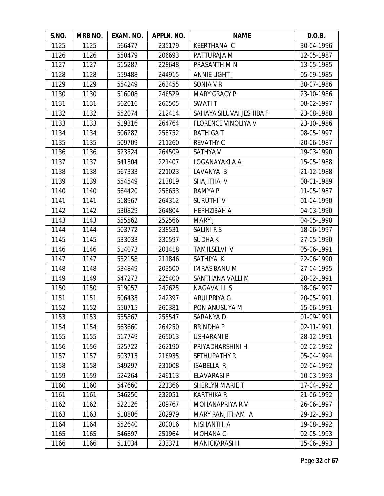| S.NO. | MRB NO. | EXAM. NO. | APPLN. NO. | <b>NAME</b>                | D.O.B.     |
|-------|---------|-----------|------------|----------------------------|------------|
| 1125  | 1125    | 566477    | 235179     | <b>KEERTHANA C</b>         | 30-04-1996 |
| 1126  | 1126    | 550479    | 206693     | PATTURAJA M                | 12-05-1987 |
| 1127  | 1127    | 515287    | 228648     | PRASANTH M N               | 13-05-1985 |
| 1128  | 1128    | 559488    | 244915     | <b>ANNIE LIGHT J</b>       | 05-09-1985 |
| 1129  | 1129    | 554249    | 263455     | SONIA V R                  | 30-07-1986 |
| 1130  | 1130    | 516008    | 246529     | <b>MARY GRACY P</b>        | 23-10-1986 |
| 1131  | 1131    | 562016    | 260505     | <b>SWATIT</b>              | 08-02-1997 |
| 1132  | 1132    | 552074    | 212414     | SAHAYA SILUVAI JESHIBA F   | 23-08-1988 |
| 1133  | 1133    | 519316    | 264764     | <b>FLORENCE VINOLIYA V</b> | 23-10-1986 |
| 1134  | 1134    | 506287    | 258752     | <b>RATHIGAT</b>            | 08-05-1997 |
| 1135  | 1135    | 509709    | 211260     | <b>REVATHY C</b>           | 20-06-1987 |
| 1136  | 1136    | 523524    | 264509     | <b>SATHYA V</b>            | 19-03-1990 |
| 1137  | 1137    | 541304    | 221407     | LOGANAYAKI A A             | 15-05-1988 |
| 1138  | 1138    | 567333    | 221023     | LAVANYA B                  | 21-12-1988 |
| 1139  | 1139    | 554549    | 213819     | SHAJITHA V                 | 08-01-1989 |
| 1140  | 1140    | 564420    | 258653     | <b>RAMYA P</b>             | 11-05-1987 |
| 1141  | 1141    | 518967    | 264312     | SURUTHI V                  | 01-04-1990 |
| 1142  | 1142    | 530829    | 264804     | <b>HEPHZIBAH A</b>         | 04-03-1990 |
| 1143  | 1143    | 555562    | 252566     | <b>MARY J</b>              | 04-05-1990 |
| 1144  | 1144    | 503772    | 238531     | SALINI R S                 | 18-06-1997 |
| 1145  | 1145    | 533033    | 230597     | <b>SUDHAK</b>              | 27-05-1990 |
| 1146  | 1146    | 514073    | 201418     | TAMILSELVI V               | 05-06-1991 |
| 1147  | 1147    | 532158    | 211846     | SATHIYA K                  | 22-06-1990 |
| 1148  | 1148    | 534849    | 203500     | <b>IMRAS BANU M</b>        | 27-04-1995 |
| 1149  | 1149    | 547273    | 225400     | SANTHANA VALLI M           | 20-02-1991 |
| 1150  | 1150    | 519057    | 242625     | NAGAVALLI S                | 18-06-1997 |
| 1151  | 1151    | 506433    | 242397     | ARULPRIYA G                | 20-05-1991 |
| 1152  | 1152    | 550715    | 260381     | PON ANUSUYA M              | 15-06-1991 |
| 1153  | 1153    | 535867    | 255547     | SARANYA D                  | 01-09-1991 |
| 1154  | 1154    | 563660    | 264250     | <b>BRINDHAP</b>            | 02-11-1991 |
| 1155  | 1155    | 517749    | 265013     | <b>USHARANI B</b>          | 28-12-1991 |
| 1156  | 1156    | 525722    | 262190     | PRIYADHARSHINI H           | 02-02-1992 |
| 1157  | 1157    | 503713    | 216935     | <b>SETHUPATHY R</b>        | 05-04-1994 |
| 1158  | 1158    | 549297    | 231008     | <b>ISABELLA R</b>          | 02-04-1992 |
| 1159  | 1159    | 524264    | 249113     | <b>ELAVARASI P</b>         | 10-03-1993 |
| 1160  | 1160    | 547660    | 221366     | SHERLYN MARIE T            | 17-04-1992 |
| 1161  | 1161    | 546250    | 232051     | <b>KARTHIKA R</b>          | 21-06-1992 |
| 1162  | 1162    | 522126    | 209767     | MOHANAPRIYA RV             | 26-06-1997 |
| 1163  | 1163    | 518806    | 202979     | MARY RANJITHAM A           | 29-12-1993 |
| 1164  | 1164    | 552640    | 200016     | NISHANTHI A                | 19-08-1992 |
| 1165  | 1165    | 546697    | 251964     | <b>MOHANA G</b>            | 02-05-1993 |
| 1166  | 1166    | 511034    | 233371     | <b>MANICKARASI H</b>       | 15-06-1993 |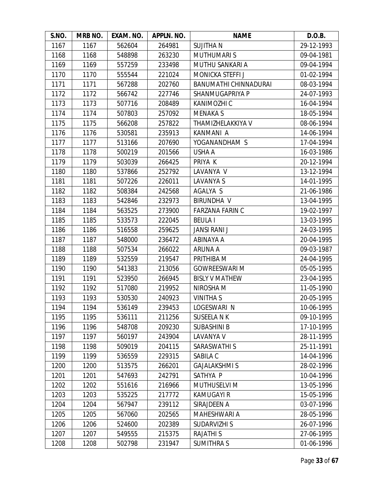| S.NO. | MRB NO. | EXAM. NO. | APPLN. NO. | <b>NAME</b>            | D.O.B.     |
|-------|---------|-----------|------------|------------------------|------------|
| 1167  | 1167    | 562604    | 264981     | <b>SUJITHAN</b>        | 29-12-1993 |
| 1168  | 1168    | 548898    | 263230     | <b>MUTHUMARIS</b>      | 09-04-1981 |
| 1169  | 1169    | 557259    | 233498     | MUTHU SANKARI A        | 09-04-1994 |
| 1170  | 1170    | 555544    | 221024     | MONICKA STEFFI J       | 01-02-1994 |
| 1171  | 1171    | 567288    | 202760     | BANUMATHI CHINNADURAI  | 08-03-1994 |
| 1172  | 1172    | 566742    | 227746     | SHANMUGAPRIYA P        | 24-07-1993 |
| 1173  | 1173    | 507716    | 208489     | KANIMOZHI C            | 16-04-1994 |
| 1174  | 1174    | 507803    | 257092     | <b>MENAKA S</b>        | 18-05-1994 |
| 1175  | 1175    | 566208    | 257822     | THAMIZHELAKKIYA V      | 08-06-1994 |
| 1176  | 1176    | 530581    | 235913     | KANMANI A              | 14-06-1994 |
| 1177  | 1177    | 513166    | 207690     | YOGANANDHAM S          | 17-04-1994 |
| 1178  | 1178    | 500219    | 201566     | USHA A                 | 16-03-1986 |
| 1179  | 1179    | 503039    | 266425     | PRIYA K                | 20-12-1994 |
| 1180  | 1180    | 537866    | 252792     | LAVANYA V              | 13-12-1994 |
| 1181  | 1181    | 507226    | 226011     | LAVANYA S              | 14-01-1995 |
| 1182  | 1182    | 508384    | 242568     | AGALYA S               | 21-06-1986 |
| 1183  | 1183    | 542846    | 232973     | <b>BIRUNDHA V</b>      | 13-04-1995 |
| 1184  | 1184    | 563525    | 273900     | <b>FARZANA FARIN C</b> | 19-02-1997 |
| 1185  | 1185    | 533573    | 222045     | <b>BEULA I</b>         | 13-03-1995 |
| 1186  | 1186    | 516558    | 259625     | <b>JANSI RANI J</b>    | 24-03-1995 |
| 1187  | 1187    | 548000    | 236472     | ABINAYA A              | 20-04-1995 |
| 1188  | 1188    | 507534    | 266022     | <b>ARUNA A</b>         | 09-03-1987 |
| 1189  | 1189    | 532559    | 219547     | PRITHIBA M             | 24-04-1995 |
| 1190  | 1190    | 541383    | 213056     | <b>GOWREESWARI M</b>   | 05-05-1995 |
| 1191  | 1191    | 523950    | 266945     | <b>BISLY V MATHEW</b>  | 23-04-1995 |
| 1192  | 1192    | 517080    | 219952     | NIROSHA M              | 11-05-1990 |
| 1193  | 1193    | 530530    | 240923     | <b>VINITHA S</b>       | 20-05-1995 |
| 1194  | 1194    | 536149    | 239453     | LOGESWARI N            | 10-06-1995 |
| 1195  | 1195    | 536111    | 211256     | <b>SUSEELA N K</b>     | 09-10-1995 |
| 1196  | 1196    | 548708    | 209230     | <b>SUBASHINI B</b>     | 17-10-1995 |
| 1197  | 1197    | 560197    | 243904     | LAVANYA V              | 28-11-1995 |
| 1198  | 1198    | 509019    | 204115     | SARASWATHI S           | 25-11-1991 |
| 1199  | 1199    | 536559    | 229315     | SABILA C               | 14-04-1996 |
| 1200  | 1200    | 513575    | 266201     | <b>GAJALAKSHMI S</b>   | 28-02-1996 |
| 1201  | 1201    | 547693    | 242791     | SATHYA P               | 10-04-1996 |
| 1202  | 1202    | 551616    | 216966     | <b>MUTHUSELVI M</b>    | 13-05-1996 |
| 1203  | 1203    | 535225    | 217772     | <b>KAMUGAYI R</b>      | 15-05-1996 |
| 1204  | 1204    | 567947    | 239112     | SIRAJDEEN A            | 03-07-1996 |
| 1205  | 1205    | 567060    | 202565     | MAHESHWARI A           | 28-05-1996 |
| 1206  | 1206    | 524600    | 202389     | <b>SUDARVIZHI S</b>    | 26-07-1996 |
| 1207  | 1207    | 549555    | 215375     | <b>RAJATHIS</b>        | 27-06-1995 |
| 1208  | 1208    | 502798    | 231947     | <b>SUMITHRA S</b>      | 01-06-1996 |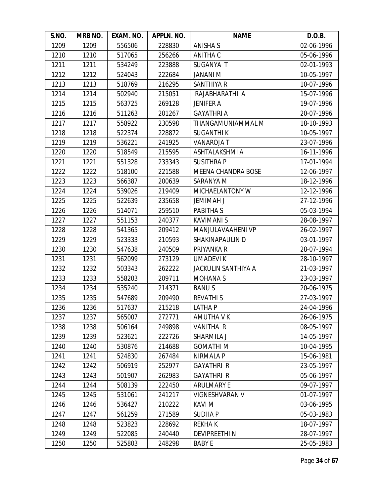| S.NO. | MRB NO. | EXAM. NO. | APPLN. NO. | <b>NAME</b>                | D.O.B.     |
|-------|---------|-----------|------------|----------------------------|------------|
| 1209  | 1209    | 556506    | 228830     | <b>ANISHA S</b>            | 02-06-1996 |
| 1210  | 1210    | 517065    | 256266     | ANITHA C                   | 05-06-1996 |
| 1211  | 1211    | 534249    | 223888     | SUGANYA T                  | 02-01-1993 |
| 1212  | 1212    | 524043    | 222684     | JANANI M                   | 10-05-1997 |
| 1213  | 1213    | 518769    | 216295     | SANTHIYA R                 | 10-07-1996 |
| 1214  | 1214    | 502940    | 215051     | RAJABHARATHI A             | 15-07-1996 |
| 1215  | 1215    | 563725    | 269128     | <b>JENIFER A</b>           | 19-07-1996 |
| 1216  | 1216    | 511263    | 201267     | <b>GAYATHRI A</b>          | 20-07-1996 |
| 1217  | 1217    | 558922    | 230598     | THANGAMUNIAMMAL M          | 18-10-1993 |
| 1218  | 1218    | 522374    | 228872     | <b>SUGANTHIK</b>           | 10-05-1997 |
| 1219  | 1219    | 536221    | 241925     | <b>VANAROJAT</b>           | 23-07-1996 |
| 1220  | 1220    | 518549    | 215595     | ASHTALAKSHMI A             | 16-11-1996 |
| 1221  | 1221    | 551328    | 233343     | <b>SUSITHRAP</b>           | 17-01-1994 |
| 1222  | 1222    | 518100    | 221588     | MEENA CHANDRA BOSE         | 12-06-1997 |
| 1223  | 1223    | 566387    | 200639     | SARANYA M                  | 18-12-1996 |
| 1224  | 1224    | 539026    | 219409     | MICHAELANTONY W            | 12-12-1996 |
| 1225  | 1225    | 522639    | 235658     | <b>JEMIMAH J</b>           | 27-12-1996 |
| 1226  | 1226    | 514071    | 259510     | PABITHA S                  | 05-03-1994 |
| 1227  | 1227    | 551153    | 240377     | <b>KAVIMANI S</b>          | 28-08-1997 |
| 1228  | 1228    | 541365    | 209412     | MANJULAVAAHENI VP          | 26-02-1997 |
| 1229  | 1229    | 523333    | 210593     | SHAKINAPAULIN D            | 03-01-1997 |
| 1230  | 1230    | 547638    | 240509     | PRIYANKA R                 | 28-07-1994 |
| 1231  | 1231    | 562099    | 273129     | <b>UMADEVIK</b>            | 28-10-1997 |
| 1232  | 1232    | 503343    | 262222     | <b>JACKULIN SANTHIYA A</b> | 21-03-1997 |
| 1233  | 1233    | 558203    | 209711     | <b>MOHANAS</b>             | 23-03-1997 |
| 1234  | 1234    | 535240    | 214371     | <b>BANUS</b>               | 20-06-1975 |
| 1235  | 1235    | 547689    | 209490     | <b>REVATHIS</b>            | 27-03-1997 |
| 1236  | 1236    | 517637    | 215218     | <b>LATHAP</b>              | 24-04-1996 |
| 1237  | 1237    | 565007    | 272771     | AMUTHA V K                 | 26-06-1975 |
| 1238  | 1238    | 506164    | 249898     | <b>VANITHA R</b>           | 08-05-1997 |
| 1239  | 1239    | 523621    | 222726     | SHARMILA J                 | 14-05-1997 |
| 1240  | 1240    | 530876    | 214688     | <b>GOMATHI M</b>           | 10-04-1995 |
| 1241  | 1241    | 524830    | 267484     | NIRMALA P                  | 15-06-1981 |
| 1242  | 1242    | 506919    | 252977     | <b>GAYATHRI R</b>          | 23-05-1997 |
| 1243  | 1243    | 501907    | 262983     | <b>GAYATHRI R</b>          | 05-06-1997 |
| 1244  | 1244    | 508139    | 222450     | <b>ARULMARY E</b>          | 09-07-1997 |
| 1245  | 1245    | 531061    | 241217     | VIGNESHVARAN V             | 01-07-1997 |
| 1246  | 1246    | 536427    | 210222     | <b>KAVIM</b>               | 03-06-1995 |
| 1247  | 1247    | 561259    | 271589     | <b>SUDHAP</b>              | 05-03-1983 |
| 1248  | 1248    | 523823    | 228692     | <b>REKHAK</b>              | 18-07-1997 |
| 1249  | 1249    | 522085    | 240440     | <b>DEVIPREETHIN</b>        | 28-07-1997 |
| 1250  | 1250    | 525803    | 248298     | <b>BABY E</b>              | 25-05-1983 |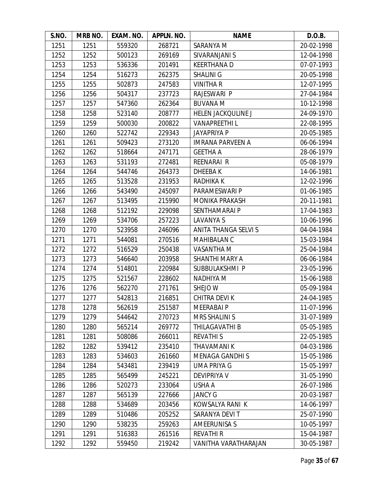| S.NO. | MRB NO. | EXAM. NO. | APPLN. NO. | <b>NAME</b>                 | D.O.B.     |
|-------|---------|-----------|------------|-----------------------------|------------|
| 1251  | 1251    | 559320    | 268721     | SARANYA M                   | 20-02-1998 |
| 1252  | 1252    | 500123    | 269169     | SIVARANJANI S               | 12-04-1998 |
| 1253  | 1253    | 536336    | 201491     | <b>KEERTHANAD</b>           | 07-07-1993 |
| 1254  | 1254    | 516273    | 262375     | <b>SHALINI G</b>            | 20-05-1998 |
| 1255  | 1255    | 502873    | 247583     | <b>VINITHA R</b>            | 12-07-1995 |
| 1256  | 1256    | 504317    | 237723     | RAJESWARI P                 | 27-04-1984 |
| 1257  | 1257    | 547360    | 262364     | <b>BUVANA M</b>             | 10-12-1998 |
| 1258  | 1258    | 523140    | 208777     | <b>HELEN JACKOULINE J</b>   | 24-09-1970 |
| 1259  | 1259    | 500030    | 200822     | <b>VANAPREETHIL</b>         | 22-08-1995 |
| 1260  | 1260    | 522742    | 229343     | <b>JAYAPRIYA P</b>          | 20-05-1985 |
| 1261  | 1261    | 509423    | 273120     | <b>IMRANA PARVEEN A</b>     | 06-06-1994 |
| 1262  | 1262    | 518664    | 247171     | <b>GEETHA A</b>             | 28-06-1979 |
| 1263  | 1263    | 531193    | 272481     | REENARAI R                  | 05-08-1979 |
| 1264  | 1264    | 544746    | 264373     | <b>DHEEBAK</b>              | 14-06-1981 |
| 1265  | 1265    | 513528    | 231953     | <b>RADHIKAK</b>             | 12-02-1996 |
| 1266  | 1266    | 543490    | 245097     | PARAMESWARI P               | 01-06-1985 |
| 1267  | 1267    | 513495    | 215990     | <b>MONIKA PRAKASH</b>       | 20-11-1981 |
| 1268  | 1268    | 512192    | 229098     | <b>SENTHAMARAI P</b>        | 17-04-1983 |
| 1269  | 1269    | 534706    | 257223     | LAVANYA S                   | 10-06-1996 |
| 1270  | 1270    | 523958    | 246096     | <b>ANITA THANGA SELVI S</b> | 04-04-1984 |
| 1271  | 1271    | 544081    | 270516     | MAHIBALAN C                 | 15-03-1984 |
| 1272  | 1272    | 516529    | 250438     | VASANTHA M                  | 25-04-1984 |
| 1273  | 1273    | 546640    | 203958     | SHANTHI MARY A              | 06-06-1984 |
| 1274  | 1274    | 514801    | 220984     | SUBBULAKSHMI P              | 23-05-1996 |
| 1275  | 1275    | 521567    | 228602     | NADHIYA M                   | 15-06-1988 |
| 1276  | 1276    | 562270    | 271761     | SHEJO W                     | 05-09-1984 |
| 1277  | 1277    | 542813    | 216851     | <b>CHITRA DEVIK</b>         | 24-04-1985 |
| 1278  | 1278    | 562619    | 251587     | <b>MEERABAIP</b>            | 11-07-1996 |
| 1279  | 1279    | 544642    | 270723     | <b>MRS SHALINI S</b>        | 31-07-1989 |
| 1280  | 1280    | 565214    | 269772     | THILAGAVATHI B              | 05-05-1985 |
| 1281  | 1281    | 508086    | 266011     | <b>REVATHIS</b>             | 22-05-1985 |
| 1282  | 1282    | 539412    | 235410     | <b>THAVAMANIK</b>           | 04-03-1986 |
| 1283  | 1283    | 534603    | 261660     | <b>MENAGA GANDHIS</b>       | 15-05-1986 |
| 1284  | 1284    | 543481    | 239419     | <b>UMA PRIYA G</b>          | 15-05-1997 |
| 1285  | 1285    | 565499    | 245221     | <b>DEVIPRIYA V</b>          | 31-05-1990 |
| 1286  | 1286    | 520273    | 233064     | USHA A                      | 26-07-1986 |
| 1287  | 1287    | 565139    | 227666     | <b>JANCY G</b>              | 20-03-1987 |
| 1288  | 1288    | 534689    | 203456     | KOWSALYA RANI K             | 14-06-1997 |
| 1289  | 1289    | 510486    | 205252     | SARANYA DEVI T              | 25-07-1990 |
| 1290  | 1290    | 538235    | 259263     | <b>AMEERUNISA S</b>         | 10-05-1997 |
| 1291  | 1291    | 516383    | 261516     | <b>REVATHI R</b>            | 15-04-1987 |
| 1292  | 1292    | 559450    | 219242     | VANITHA VARATHARAJAN        | 30-05-1987 |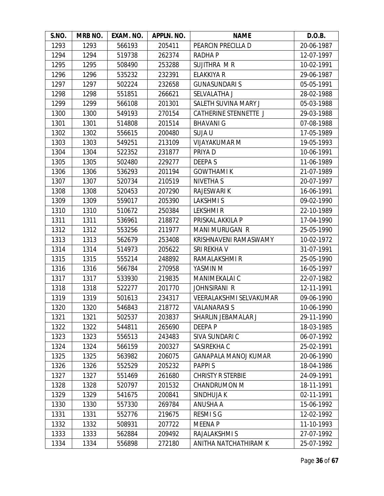| S.NO. | MRB NO. | EXAM. NO. | APPLN. NO. | <b>NAME</b>                 | D.O.B.     |
|-------|---------|-----------|------------|-----------------------------|------------|
| 1293  | 1293    | 566193    | 205411     | PEARCIN PRECILLA D          | 20-06-1987 |
| 1294  | 1294    | 519738    | 262374     | <b>RADHAP</b>               | 12-07-1997 |
| 1295  | 1295    | 508490    | 253288     | SUJITHRA MR                 | 10-02-1991 |
| 1296  | 1296    | 535232    | 232391     | ELAKKIYA R                  | 29-06-1987 |
| 1297  | 1297    | 502224    | 232658     | <b>GUNASUNDARI S</b>        | 05-05-1991 |
| 1298  | 1298    | 551851    | 266621     | SELVALATHA J                | 28-02-1988 |
| 1299  | 1299    | 566108    | 201301     | SALETH SUVINA MARY J        | 05-03-1988 |
| 1300  | 1300    | 549193    | 270154     | CATHERINE STENNETTE J       | 29-03-1988 |
| 1301  | 1301    | 514808    | 201514     | <b>BHAVANI G</b>            | 07-08-1988 |
| 1302  | 1302    | 556615    | 200480     | SUJA U                      | 17-05-1989 |
| 1303  | 1303    | 549251    | 213109     | <b>VIJAYAKUMAR M</b>        | 19-05-1993 |
| 1304  | 1304    | 522352    | 231877     | PRIYA D                     | 10-06-1991 |
| 1305  | 1305    | 502480    | 229277     | <b>DEEPAS</b>               | 11-06-1989 |
| 1306  | 1306    | 536293    | 201194     | <b>GOWTHAMI K</b>           | 21-07-1989 |
| 1307  | 1307    | 520734    | 210519     | <b>NIVETHA S</b>            | 20-07-1997 |
| 1308  | 1308    | 520453    | 207290     | <b>RAJESWARI K</b>          | 16-06-1991 |
| 1309  | 1309    | 559017    | 205390     | <b>LAKSHMIS</b>             | 09-02-1990 |
| 1310  | 1310    | 510672    | 250384     | <b>LEKSHMIR</b>             | 22-10-1989 |
| 1311  | 1311    | 536961    | 218872     | PRISKAL AKKILA P            | 17-04-1990 |
| 1312  | 1312    | 553256    | 211977     | <b>MANI MURUGAN R</b>       | 25-05-1990 |
| 1313  | 1313    | 562679    | 253408     | KRISHNAVENI RAMASWAMY       | 10-02-1972 |
| 1314  | 1314    | 514973    | 205622     | SRI REKHA V                 | 31-07-1991 |
| 1315  | 1315    | 555214    | 248892     | RAMALAKSHMI R               | 25-05-1990 |
| 1316  | 1316    | 566784    | 270958     | YASMIN M                    | 16-05-1997 |
| 1317  | 1317    | 533930    | 219835     | MANIMEKALAI C               | 22-07-1982 |
| 1318  | 1318    | 522277    | 201770     | JOHNSIRANI R                | 12-11-1991 |
| 1319  | 1319    | 501613    | 234317     | VEERALAKSHMI SELVAKUMAR     | 09-06-1990 |
| 1320  | 1320    | 546843    | 218772     | <b>VALANARASI S</b>         | 10-06-1990 |
| 1321  | 1321    | 502537    | 203837     | SHARLIN JEBAMALAR J         | 29-11-1990 |
| 1322  | 1322    | 544811    | 265690     | DEEPA P                     | 18-03-1985 |
| 1323  | 1323    | 556513    | 243483     | SIVA SUNDARI C              | 06-07-1992 |
| 1324  | 1324    | 566159    | 200327     | SASIREKHA C                 | 25-02-1991 |
| 1325  | 1325    | 563982    | 206075     | <b>GANAPALA MANOJ KUMAR</b> | 20-06-1990 |
| 1326  | 1326    | 552529    | 205232     | <b>PAPPIS</b>               | 18-04-1986 |
| 1327  | 1327    | 551469    | 261680     | <b>CHRISTY R STERBIE</b>    | 24-09-1991 |
| 1328  | 1328    | 520797    | 201532     | <b>CHANDRUMON M</b>         | 18-11-1991 |
| 1329  | 1329    | 541675    | 200841     | SINDHUJA K                  | 02-11-1991 |
| 1330  | 1330    | 557330    | 269784     | <b>ANUSHA A</b>             | 15-06-1992 |
| 1331  | 1331    | 552776    | 219675     | <b>RESMISG</b>              | 12-02-1992 |
| 1332  | 1332    | 508931    | 207722     | <b>MEENAP</b>               | 11-10-1993 |
| 1333  | 1333    | 562884    | 209492     | RAJALAKSHMI S               | 27-07-1992 |
| 1334  | 1334    | 556898    | 272180     | ANITHA NATCHATHIRAM K       | 25-07-1992 |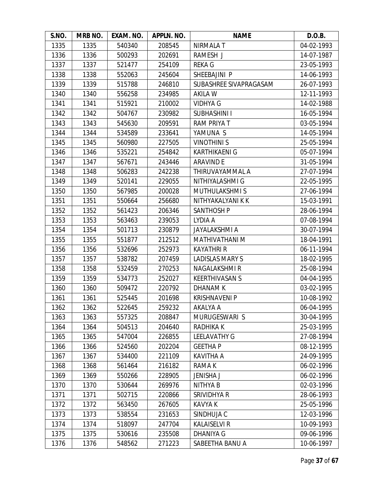| S.NO. | MRB NO. | EXAM. NO. | APPLN. NO. | <b>NAME</b>            | D.O.B.     |
|-------|---------|-----------|------------|------------------------|------------|
| 1335  | 1335    | 540340    | 208545     | <b>NIRMALAT</b>        | 04-02-1993 |
| 1336  | 1336    | 500293    | 202691     | RAMESH J               | 14-07-1987 |
| 1337  | 1337    | 521477    | 254109     | <b>REKAG</b>           | 23-05-1993 |
| 1338  | 1338    | 552063    | 245604     | SHEEBAJINI P           | 14-06-1993 |
| 1339  | 1339    | 515788    | 246810     | SUBASHREE SIVAPRAGASAM | 26-07-1993 |
| 1340  | 1340    | 556258    | 234985     | AKILA W                | 12-11-1993 |
| 1341  | 1341    | 515921    | 210002     | <b>VIDHYA G</b>        | 14-02-1988 |
| 1342  | 1342    | 504767    | 230982     | <b>SUBHASHINI I</b>    | 16-05-1994 |
| 1343  | 1343    | 545630    | 209591     | <b>RAM PRIYA T</b>     | 03-05-1994 |
| 1344  | 1344    | 534589    | 233641     | YAMUNA S               | 14-05-1994 |
| 1345  | 1345    | 560980    | 227505     | <b>VINOTHINIS</b>      | 25-05-1994 |
| 1346  | 1346    | 535221    | 254842     | <b>KARTHIKAENI G</b>   | 05-07-1994 |
| 1347  | 1347    | 567671    | 243446     | <b>ARAVIND E</b>       | 31-05-1994 |
| 1348  | 1348    | 506283    | 242238     | THIRUVAYAMMAL A        | 27-07-1994 |
| 1349  | 1349    | 520141    | 229055     | NITHIYALASHMI G        | 22-05-1995 |
| 1350  | 1350    | 567985    | 200028     | <b>MUTHULAKSHMIS</b>   | 27-06-1994 |
| 1351  | 1351    | 550664    | 256680     | NITHYAKALYANI K K      | 15-03-1991 |
| 1352  | 1352    | 561423    | 206346     | <b>SANTHOSH P</b>      | 28-06-1994 |
| 1353  | 1353    | 563463    | 239053     | LYDIA A                | 07-08-1994 |
| 1354  | 1354    | 501713    | 230879     | JAYALAKSHMI A          | 30-07-1994 |
| 1355  | 1355    | 551877    | 212512     | MATHIVATHANI M         | 18-04-1991 |
| 1356  | 1356    | 532696    | 252973     | <b>KAYATHRI R</b>      | 06-11-1994 |
| 1357  | 1357    | 538782    | 207459     | <b>LADISLAS MARY S</b> | 18-02-1995 |
| 1358  | 1358    | 532459    | 270253     | NAGALAKSHMI R          | 25-08-1994 |
| 1359  | 1359    | 534773    | 252027     | <b>KEERTHIVASAN S</b>  | 04-04-1995 |
| 1360  | 1360    | 509472    | 220792     | <b>DHANAM K</b>        | 03-02-1995 |
| 1361  | 1361    | 525445    | 201698     | <b>KRISHNAVENI P</b>   | 10-08-1992 |
| 1362  | 1362    | 522645    | 259232     | AKALYA A               | 06-04-1995 |
| 1363  | 1363    | 557325    | 208847     | MURUGESWARI S          | 30-04-1995 |
| 1364  | 1364    | 504513    | 204640     | RADHIKA K              | 25-03-1995 |
| 1365  | 1365    | 547004    | 226855     | <b>LEELAVATHY G</b>    | 27-08-1994 |
| 1366  | 1366    | 524560    | 202204     | <b>GEETHAP</b>         | 08-12-1995 |
| 1367  | 1367    | 534400    | 221109     | <b>KAVITHA A</b>       | 24-09-1995 |
| 1368  | 1368    | 561464    | 216182     | RAMA K                 | 06-02-1996 |
| 1369  | 1369    | 550266    | 228905     | <b>JENISHA J</b>       | 06-02-1996 |
| 1370  | 1370    | 530644    | 269976     | NITHYA B               | 02-03-1996 |
| 1371  | 1371    | 502715    | 220866     | SRIVIDHYA R            | 28-06-1993 |
| 1372  | 1372    | 563450    | 267605     | <b>KAVYA K</b>         | 25-05-1996 |
| 1373  | 1373    | 538554    | 231653     | SINDHUJA C             | 12-03-1996 |
| 1374  | 1374    | 518097    | 247704     | <b>KALAISELVI R</b>    | 10-09-1993 |
| 1375  | 1375    | 530616    | 235508     | <b>DHANIYA G</b>       | 09-06-1996 |
| 1376  | 1376    | 548562    | 271223     | SABEETHA BANU A        | 10-06-1997 |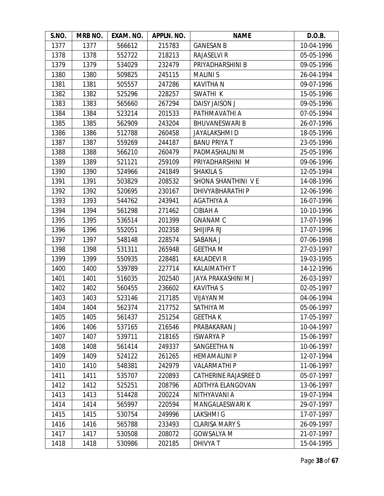| S.NO. | MRB NO. | EXAM. NO. | APPLN. NO. | <b>NAME</b>                 | D.O.B.     |
|-------|---------|-----------|------------|-----------------------------|------------|
| 1377  | 1377    | 566612    | 215783     | <b>GANESAN B</b>            | 10-04-1996 |
| 1378  | 1378    | 552722    | 218213     | <b>RAJASELVI R</b>          | 05-05-1996 |
| 1379  | 1379    | 534029    | 232479     | PRIYADHARSHINI B            | 09-05-1996 |
| 1380  | 1380    | 509825    | 245115     | <b>MALINIS</b>              | 26-04-1994 |
| 1381  | 1381    | 505557    | 247286     | <b>KAVITHA N</b>            | 09-07-1996 |
| 1382  | 1382    | 525296    | 228257     | SWATHI K                    | 15-05-1996 |
| 1383  | 1383    | 565660    | 267294     | <b>DAISY JAISON J</b>       | 09-05-1996 |
| 1384  | 1384    | 523214    | 201533     | PATHMAVATHI A               | 07-05-1994 |
| 1385  | 1385    | 562909    | 243204     | <b>BHUVANESWARI B</b>       | 26-07-1996 |
| 1386  | 1386    | 512788    | 260458     | <b>JAYALAKSHMID</b>         | 18-05-1996 |
| 1387  | 1387    | 559269    | 244187     | <b>BANU PRIYA T</b>         | 23-05-1996 |
| 1388  | 1388    | 566210    | 260479     | PADMASHALINI M              | 25-05-1996 |
| 1389  | 1389    | 521121    | 259109     | PRIYADHARSHINI M            | 09-06-1996 |
| 1390  | 1390    | 524966    | 241849     | <b>SHAKILA S</b>            | 12-05-1994 |
| 1391  | 1391    | 503829    | 208532     | SHONA SHANTHINI VE          | 14-08-1996 |
| 1392  | 1392    | 520695    | 230167     | DHIVYABHARATHI P            | 12-06-1996 |
| 1393  | 1393    | 544762    | 243941     | AGATHIYA A                  | 16-07-1996 |
| 1394  | 1394    | 561298    | 271462     | <b>CIBIAH A</b>             | 10-10-1996 |
| 1395  | 1395    | 536514    | 201399     | <b>GNANAM C</b>             | 17-07-1996 |
| 1396  | 1396    | 552051    | 202358     | SHIJIPA RJ                  | 17-07-1996 |
| 1397  | 1397    | 548148    | 228574     | SABANA J                    | 07-06-1998 |
| 1398  | 1398    | 531311    | 265948     | <b>GEETHA M</b>             | 27-03-1997 |
| 1399  | 1399    | 550935    | 228481     | <b>KALADEVI R</b>           | 19-03-1995 |
| 1400  | 1400    | 539789    | 227714     | KALAIMATHY T                | 14-12-1996 |
| 1401  | 1401    | 516035    | 202540     | JAYA PRAKASHINI M J         | 26-03-1997 |
| 1402  | 1402    | 560455    | 236602     | <b>KAVITHA S</b>            | 02-05-1997 |
| 1403  | 1403    | 523146    | 217185     | <b>NIJAYAN</b> M            | 04-06-1994 |
| 1404  | 1404    | 562374    | 217752     | SATHIYA M                   | 05-06-1997 |
| 1405  | 1405    | 561437    | 251254     | <b>GEETHAK</b>              | 17-05-1997 |
| 1406  | 1406    | 537165    | 216546     | PRABAKARAN J                | 10-04-1997 |
| 1407  | 1407    | 539711    | 218165     | <b>ISWARYA P</b>            | 15-06-1997 |
| 1408  | 1408    | 561414    | 249337     | SANGEETHA N                 | 10-06-1997 |
| 1409  | 1409    | 524122    | 261265     | <b>HEMAMALINI P</b>         | 12-07-1994 |
| 1410  | 1410    | 548381    | 242979     | <b>VALARMATHI P</b>         | 11-06-1997 |
| 1411  | 1411    | 535707    | 220893     | <b>CATHERINE RAJASREE D</b> | 05-07-1997 |
| 1412  | 1412    | 525251    | 208796     | <b>ADITHYA ELANGOVAN</b>    | 13-06-1997 |
| 1413  | 1413    | 514428    | 200224     | NITHYAVANI A                | 19-07-1994 |
| 1414  | 1414    | 565997    | 220594     | MANGALAESWARI K             | 29-07-1997 |
| 1415  | 1415    | 530754    | 249996     | <b>LAKSHMIG</b>             | 17-07-1997 |
| 1416  | 1416    | 565788    | 233493     | <b>CLARISA MARY S</b>       | 26-09-1997 |
| 1417  | 1417    | 530508    | 208072     | <b>GOWSALYA M</b>           | 21-07-1997 |
| 1418  | 1418    | 530986    | 202185     | DHIVYA T                    | 15-04-1995 |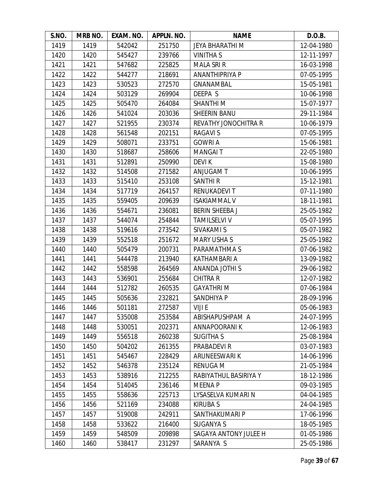| S.NO. | MRB NO. | EXAM. NO. | APPLN. NO. | <b>NAME</b>            | D.O.B.     |
|-------|---------|-----------|------------|------------------------|------------|
| 1419  | 1419    | 542042    | 251750     | <b>JEYA BHARATHI M</b> | 12-04-1980 |
| 1420  | 1420    | 545427    | 239766     | <b>VINITHA S</b>       | 12-11-1997 |
| 1421  | 1421    | 547682    | 225825     | <b>MALA SRI R</b>      | 16-03-1998 |
| 1422  | 1422    | 544277    | 218691     | ANANTHIPRIYA P         | 07-05-1995 |
| 1423  | 1423    | 530523    | 272570     | <b>GNANAMBAL</b>       | 15-05-1981 |
| 1424  | 1424    | 503129    | 269904     | DEEPA S                | 10-06-1998 |
| 1425  | 1425    | 505470    | 264084     | SHANTHI <sub>M</sub>   | 15-07-1977 |
| 1426  | 1426    | 541024    | 203036     | <b>SHEERIN BANU</b>    | 29-11-1984 |
| 1427  | 1427    | 521955    | 230374     | REVATHY JONOCHITRA R   | 10-06-1979 |
| 1428  | 1428    | 561548    | 202151     | <b>RAGAVIS</b>         | 07-05-1995 |
| 1429  | 1429    | 508071    | 233751     | <b>GOWRI A</b>         | 15-06-1981 |
| 1430  | 1430    | 518687    | 258606     | <b>MANGAIT</b>         | 22-05-1980 |
| 1431  | 1431    | 512891    | 250990     | <b>DEVIK</b>           | 15-08-1980 |
| 1432  | 1432    | 514508    | 271582     | ANJUGAM T              | 10-06-1995 |
| 1433  | 1433    | 515410    | 253108     | <b>SANTHIR</b>         | 15-12-1981 |
| 1434  | 1434    | 517719    | 264157     | <b>RENUKADEVIT</b>     | 07-11-1980 |
| 1435  | 1435    | 559405    | 209639     | <b>ISAKIAMMAL V</b>    | 18-11-1981 |
| 1436  | 1436    | 554671    | 236081     | <b>BERIN SHEEBA J</b>  | 25-05-1982 |
| 1437  | 1437    | 544074    | 254844     | <b>TAMILSELVI V</b>    | 05-07-1995 |
| 1438  | 1438    | 519616    | 273542     | SIVAKAMI S             | 05-07-1982 |
| 1439  | 1439    | 552518    | 251672     | <b>MARY USHA S</b>     | 25-05-1982 |
| 1440  | 1440    | 505479    | 200731     | PARAMATHMA S           | 07-06-1982 |
| 1441  | 1441    | 544478    | 213940     | KATHAMBARI A           | 13-09-1982 |
| 1442  | 1442    | 558598    | 264569     | ANANDA JOTHI S         | 29-06-1982 |
| 1443  | 1443    | 536901    | 255684     | <b>CHITRA R</b>        | 12-07-1982 |
| 1444  | 1444    | 512782    | 260535     | <b>GAYATHRIM</b>       | 07-06-1984 |
| 1445  | 1445    | 505636    | 232821     | SANDHIYA P             | 28-09-1996 |
| 1446  | 1446    | 501181    | 272587     | VIJI E                 | 05-06-1983 |
| 1447  | 1447    | 535008    | 253584     | ABISHAPUSHPAM A        | 24-07-1995 |
| 1448  | 1448    | 530051    | 202371     | <b>ANNAPOORANIK</b>    | 12-06-1983 |
| 1449  | 1449    | 556518    | 260238     | <b>SUGITHA S</b>       | 25-08-1984 |
| 1450  | 1450    | 504202    | 261355     | PRABADEVI R            | 03-07-1983 |
| 1451  | 1451    | 545467    | 228429     | ARUNEESWARI K          | 14-06-1996 |
| 1452  | 1452    | 546378    | 235124     | <b>RENUGA M</b>        | 21-05-1984 |
| 1453  | 1453    | 538916    | 212255     | RABIYATHUL BASIRIYA Y  | 18-12-1986 |
| 1454  | 1454    | 514045    | 236146     | <b>MEENAP</b>          | 09-03-1985 |
| 1455  | 1455    | 558636    | 225713     | LYSASELVA KUMARI N     | 04-04-1985 |
| 1456  | 1456    | 521169    | 234088     | <b>KIRUBAS</b>         | 24-04-1985 |
| 1457  | 1457    | 519008    | 242911     | SANTHAKUMARI P         | 17-06-1996 |
| 1458  | 1458    | 533622    | 216400     | <b>SUGANYA S</b>       | 18-05-1985 |
| 1459  | 1459    | 548509    | 209898     | SAGAYA ANTONY JULEE H  | 01-05-1986 |
| 1460  | 1460    | 538417    | 231297     | SARANYA S              | 25-05-1986 |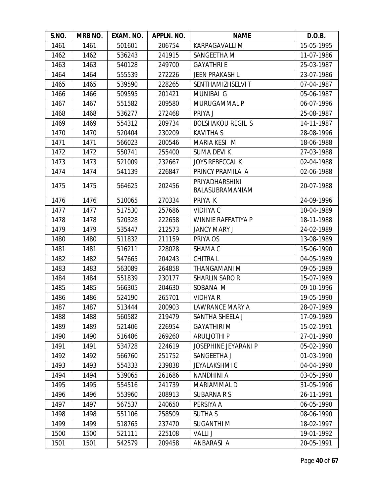| S.NO. | MRB NO. | EXAM. NO. | APPLN. NO. | <b>NAME</b>                       | D.O.B.     |
|-------|---------|-----------|------------|-----------------------------------|------------|
| 1461  | 1461    | 501601    | 206754     | <b>KARPAGAVALLI M</b>             | 15-05-1995 |
| 1462  | 1462    | 536243    | 241915     | SANGEETHA M                       | 11-07-1986 |
| 1463  | 1463    | 540128    | 249700     | <b>GAYATHRI E</b>                 | 25-03-1987 |
| 1464  | 1464    | 555539    | 272226     | <b>JEEN PRAKASH L</b>             | 23-07-1986 |
| 1465  | 1465    | 539590    | 228265     | SENTHAMIZHSELVI T                 | 07-04-1987 |
| 1466  | 1466    | 509595    | 201421     | <b>MUNIBAI G</b>                  | 05-06-1987 |
| 1467  | 1467    | 551582    | 209580     | MURUGAMMAL P                      | 06-07-1996 |
| 1468  | 1468    | 536277    | 272468     | PRIYA J                           | 25-08-1987 |
| 1469  | 1469    | 554312    | 209734     | <b>BOLSHAKOU REGIL S</b>          | 14-11-1987 |
| 1470  | 1470    | 520404    | 230209     | <b>KAVITHA S</b>                  | 28-08-1996 |
| 1471  | 1471    | 566023    | 200546     | MARIA KESI M                      | 18-06-1988 |
| 1472  | 1472    | 550741    | 255400     | <b>SUMA DEVIK</b>                 | 27-03-1988 |
| 1473  | 1473    | 521009    | 232667     | <b>JOYS REBECCAL K</b>            | 02-04-1988 |
| 1474  | 1474    | 541139    | 226847     | PRINCY PRAMILA A                  | 02-06-1988 |
| 1475  | 1475    | 564625    | 202456     | PRIYADHARSHINI<br>BALASUBRAMANIAM | 20-07-1988 |
| 1476  | 1476    | 510065    | 270334     | PRIYA K                           | 24-09-1996 |
| 1477  | 1477    | 517530    | 257686     | <b>VIDHYAC</b>                    | 10-04-1989 |
| 1478  | 1478    | 520328    | 222658     | <b>WINNIE RAFFATIYA P</b>         | 18-11-1988 |
| 1479  | 1479    | 535447    | 212573     | <b>JANCY MARY J</b>               | 24-02-1989 |
| 1480  | 1480    | 511832    | 211159     | PRIYA OS                          | 13-08-1989 |
| 1481  | 1481    | 516211    | 228028     | SHAMA C                           | 15-06-1990 |
| 1482  | 1482    | 547665    | 204243     | <b>CHITRAL</b>                    | 04-05-1989 |
| 1483  | 1483    | 563089    | 264858     | THANGAMANI M                      | 09-05-1989 |
| 1484  | 1484    | 551839    | 230177     | <b>SHARLIN SAROR</b>              | 15-07-1989 |
| 1485  | 1485    | 566305    | 204630     | SOBANA M                          | 09-10-1996 |
| 1486  | 1486    | 524190    | 265701     | <b>VIDHYA R</b>                   | 19-05-1990 |
| 1487  | 1487    | 513444    | 200903     | <b>LAWRANCE MARY A</b>            | 28-07-1989 |
| 1488  | 1488    | 560582    | 219479     | SANTHA SHEELA J                   | 17-09-1989 |
| 1489  | 1489    | 521406    | 226954     | <b>GAYATHIRI M</b>                | 15-02-1991 |
| 1490  | 1490    | 516486    | 269260     | <b>ARULJOTHIP</b>                 | 27-01-1990 |
| 1491  | 1491    | 534728    | 224619     | JOSEPHINE JEYARANI P              | 05-02-1990 |
| 1492  | 1492    | 566760    | 251752     | SANGEETHA J                       | 01-03-1990 |
| 1493  | 1493    | 554333    | 239838     | <b>JEYALAKSHMI C</b>              | 04-04-1990 |
| 1494  | 1494    | 539065    | 261686     | <b>NANDHINI A</b>                 | 03-05-1990 |
| 1495  | 1495    | 554516    | 241739     | MARIAMMAL D                       | 31-05-1996 |
| 1496  | 1496    | 553960    | 208913     | <b>SUBARNA R S</b>                | 26-11-1991 |
| 1497  | 1497    | 567537    | 240650     | PERSIYA A                         | 06-05-1990 |
| 1498  | 1498    | 551106    | 258509     | <b>SUTHA S</b>                    | 08-06-1990 |
| 1499  | 1499    | 518765    | 237470     | <b>SUGANTHIM</b>                  | 18-02-1997 |
| 1500  | 1500    | 521111    | 225108     | <b>VALLI J</b>                    | 19-01-1992 |
| 1501  | 1501    | 542579    | 209458     | ANBARASI A                        | 20-05-1991 |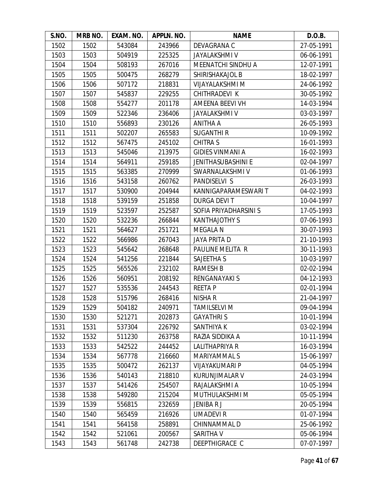| S.NO. | MRB NO. | EXAM. NO. | APPLN. NO. | <b>NAME</b>               | D.O.B.     |
|-------|---------|-----------|------------|---------------------------|------------|
| 1502  | 1502    | 543084    | 243966     | DEVAGRANA C               | 27-05-1991 |
| 1503  | 1503    | 504919    | 225325     | <b>JAYALAKSHMI V</b>      | 06-06-1991 |
| 1504  | 1504    | 508193    | 267016     | MEENATCHI SINDHU A        | 12-07-1991 |
| 1505  | 1505    | 500475    | 268279     | SHIRISHAKAJOL B           | 18-02-1997 |
| 1506  | 1506    | 507172    | 218831     | VIJAYALAKSHMI M           | 24-06-1992 |
| 1507  | 1507    | 545837    | 229255     | CHITHRADEVI K             | 30-05-1992 |
| 1508  | 1508    | 554277    | 201178     | AMEENA BEEVI VH           | 14-03-1994 |
| 1509  | 1509    | 522346    | 236406     | <b>JAYALAKSHMI V</b>      | 03-03-1997 |
| 1510  | 1510    | 556893    | 230126     | <b>ANITHA A</b>           | 26-05-1993 |
| 1511  | 1511    | 502207    | 265583     | <b>SUGANTHI R</b>         | 10-09-1992 |
| 1512  | 1512    | 567475    | 245102     | <b>CHITRA S</b>           | 16-01-1993 |
| 1513  | 1513    | 545046    | 213975     | <b>GIDIES VINMANI A</b>   | 16-02-1993 |
| 1514  | 1514    | 564911    | 259185     | <b>JENITHASUBASHINI E</b> | 02-04-1997 |
| 1515  | 1515    | 563385    | 270999     | SWARNALAKSHMI V           | 01-06-1993 |
| 1516  | 1516    | 543158    | 260762     | PANDISELVI S              | 26-03-1993 |
| 1517  | 1517    | 530900    | 204944     | KANNIGAPARAMESWARI T      | 04-02-1993 |
| 1518  | 1518    | 539159    | 251858     | <b>DURGA DEVIT</b>        | 10-04-1997 |
| 1519  | 1519    | 523597    | 252587     | SOFIA PRIYADHARSINI S     | 17-05-1993 |
| 1520  | 1520    | 532236    | 266844     | <b>KANTHAJOTHY S</b>      | 07-06-1993 |
| 1521  | 1521    | 564627    | 251721     | <b>MEGALA N</b>           | 30-07-1993 |
| 1522  | 1522    | 566986    | 267043     | <b>JAYA PRITA D</b>       | 21-10-1993 |
| 1523  | 1523    | 545642    | 268648     | PAULINE MELITA R          | 30-11-1993 |
| 1524  | 1524    | 541256    | 221844     | SAJEETHA S                | 10-03-1997 |
| 1525  | 1525    | 565526    | 232102     | <b>RAMESH B</b>           | 02-02-1994 |
| 1526  | 1526    | 560951    | 208192     | RENGANAYAKI S             | 04-12-1993 |
| 1527  | 1527    | 535536    | 244543     | <b>REETAP</b>             | 02-01-1994 |
| 1528  | 1528    | 515796    | 268416     | NISHA R                   | 21-04-1997 |
| 1529  | 1529    | 504182    | 240971     | <b>TAMILSELVI M</b>       | 09-04-1994 |
| 1530  | 1530    | 521271    | 202873     | <b>GAYATHRIS</b>          | 10-01-1994 |
| 1531  | 1531    | 537304    | 226792     | SANTHIYA K                | 03-02-1994 |
| 1532  | 1532    | 511230    | 263758     | RAZIA SIDDIKA A           | 10-11-1994 |
| 1533  | 1533    | 542522    | 244452     | LALITHAPRIYA R            | 16-03-1994 |
| 1534  | 1534    | 567778    | 216660     | MARIYAMMAL S              | 15-06-1997 |
| 1535  | 1535    | 500472    | 262137     | <b>VIJAYAKUMARI P</b>     | 04-05-1994 |
| 1536  | 1536    | 540143    | 218810     | KURUNJIMALAR V            | 24-03-1994 |
| 1537  | 1537    | 541426    | 254507     | RAJALAKSHMI A             | 10-05-1994 |
| 1538  | 1538    | 549280    | 215204     | MUTHULAKSHMI M            | 05-05-1994 |
| 1539  | 1539    | 556815    | 232659     | JENIBAR J                 | 20-05-1994 |
| 1540  | 1540    | 565459    | 216926     | <b>UMADEVIR</b>           | 01-07-1994 |
| 1541  | 1541    | 564158    | 258891     | CHINNAMMAL D              | 25-06-1992 |
| 1542  | 1542    | 521061    | 200567     | SARITHA V                 | 05-06-1994 |
| 1543  | 1543    | 561748    | 242738     | DEEPTHIGRACE C            | 07-07-1997 |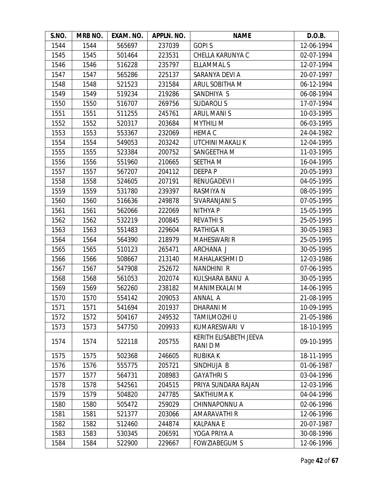| S.NO. | MRB NO. | EXAM. NO. | APPLN. NO. | <b>NAME</b>                        | D.O.B.     |
|-------|---------|-----------|------------|------------------------------------|------------|
| 1544  | 1544    | 565697    | 237039     | <b>GOPIS</b>                       | 12-06-1994 |
| 1545  | 1545    | 501464    | 223531     | CHELLA KARUNYA C                   | 02-07-1994 |
| 1546  | 1546    | 516228    | 235797     | <b>ELLAMMAL S</b>                  | 12-07-1994 |
| 1547  | 1547    | 565286    | 225137     | SARANYA DEVI A                     | 20-07-1997 |
| 1548  | 1548    | 521523    | 231584     | ARUL SOBITHA M                     | 06-12-1994 |
| 1549  | 1549    | 519234    | 219286     | SANDHIYA S                         | 06-08-1994 |
| 1550  | 1550    | 516707    | 269756     | <b>SUDAROLIS</b>                   | 17-07-1994 |
| 1551  | 1551    | 511255    | 245761     | <b>ARUL MANIS</b>                  | 10-03-1995 |
| 1552  | 1552    | 520317    | 203684     | <b>MYTHILI M</b>                   | 06-03-1995 |
| 1553  | 1553    | 553367    | 232069     | <b>HEMA C</b>                      | 24-04-1982 |
| 1554  | 1554    | 549053    | 203242     | UTCHINI MAKALI K                   | 12-04-1995 |
| 1555  | 1555    | 523384    | 200752     | SANGEETHA M                        | 11-03-1995 |
| 1556  | 1556    | 551960    | 210665     | SEETHA M                           | 16-04-1995 |
| 1557  | 1557    | 567207    | 204112     | DEEPA P                            | 20-05-1993 |
| 1558  | 1558    | 524605    | 207191     | RENUGADEVI I                       | 04-05-1995 |
| 1559  | 1559    | 531780    | 239397     | <b>RASMIYA N</b>                   | 08-05-1995 |
| 1560  | 1560    | 516636    | 249878     | SIVARANJANI S                      | 07-05-1995 |
| 1561  | 1561    | 562066    | 222069     | <b>NITHYAP</b>                     | 15-05-1995 |
| 1562  | 1562    | 532219    | 200845     | <b>REVATHIS</b>                    | 25-05-1995 |
| 1563  | 1563    | 551483    | 229604     | <b>RATHIGA R</b>                   | 30-05-1983 |
| 1564  | 1564    | 564390    | 218979     | <b>MAHESWARI R</b>                 | 25-05-1995 |
| 1565  | 1565    | 510123    | 265471     | ARCHANA J                          | 30-05-1995 |
| 1566  | 1566    | 508667    | 213140     | <b>MAHALAKSHMID</b>                | 12-03-1986 |
| 1567  | 1567    | 547908    | 252672     | NANDHINI R                         | 07-06-1995 |
| 1568  | 1568    | 561053    | 202074     | KULSHARA BANU A                    | 30-05-1995 |
| 1569  | 1569    | 562260    | 238182     | <b>MANIMEKALAI M</b>               | 14-06-1995 |
| 1570  | 1570    | 554142    | 209053     | ANNAL A                            | 21-08-1995 |
| 1571  | 1571    | 541694    | 201937     | DHARANI M                          | 10-09-1995 |
| 1572  | 1572    | 504167    | 249532     | TAMILMOZHI U                       | 21-05-1986 |
| 1573  | 1573    | 547750    | 209933     | KUMARESWARI V                      | 18-10-1995 |
| 1574  | 1574    | 522118    | 205755     | KERITH ELISABETH JEEVA<br>RANI D M | 09-10-1995 |
| 1575  | 1575    | 502368    | 246605     | <b>RUBIKAK</b>                     | 18-11-1995 |
| 1576  | 1576    | 555775    | 205721     | SINDHUJA B                         | 01-06-1987 |
| 1577  | 1577    | 564731    | 208983     | <b>GAYATHRIS</b>                   | 03-04-1996 |
| 1578  | 1578    | 542561    | 204515     | PRIYA SUNDARA RAJAN                | 12-03-1996 |
| 1579  | 1579    | 504820    | 247785     | SAKTHIUMA K                        | 04-04-1996 |
| 1580  | 1580    | 505472    | 259029     | CHINNAPONNU A                      | 02-06-1996 |
| 1581  | 1581    | 521377    | 203066     | AMARAVATHI R                       | 12-06-1996 |
| 1582  | 1582    | 512460    | 244874     | <b>KALPANA E</b>                   | 20-07-1987 |
| 1583  | 1583    | 530345    | 206591     | YOGA PRIYA A                       | 30-08-1996 |
| 1584  | 1584    | 522900    | 229667     | <b>FOWZIABEGUM S</b>               | 12-06-1996 |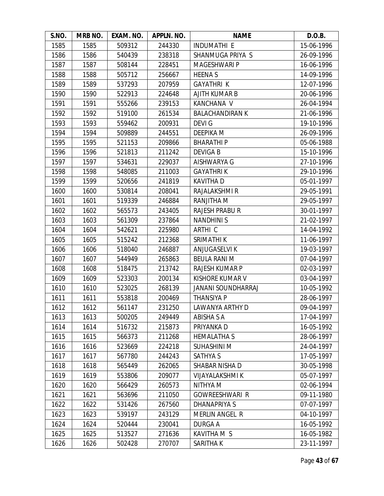| S.NO. | MRB NO. | EXAM. NO. | APPLN. NO. | <b>NAME</b>               | D.O.B.     |
|-------|---------|-----------|------------|---------------------------|------------|
| 1585  | 1585    | 509312    | 244330     | <b>INDUMATHI E</b>        | 15-06-1996 |
| 1586  | 1586    | 540439    | 238318     | SHANMUGA PRIYA S          | 26-09-1996 |
| 1587  | 1587    | 508144    | 228451     | <b>MAGESHWARI P</b>       | 16-06-1996 |
| 1588  | 1588    | 505712    | 256667     | <b>HEENAS</b>             | 14-09-1996 |
| 1589  | 1589    | 537293    | 207959     | <b>GAYATHRI K</b>         | 12-07-1996 |
| 1590  | 1590    | 522913    | 224648     | AJITH KUMAR B             | 20-06-1996 |
| 1591  | 1591    | 555266    | 239153     | KANCHANA V                | 26-04-1994 |
| 1592  | 1592    | 519100    | 261534     | <b>BALACHANDIRAN K</b>    | 21-06-1996 |
| 1593  | 1593    | 559462    | 200931     | <b>DEVIG</b>              | 19-10-1996 |
| 1594  | 1594    | 509889    | 244551     | DEEPIKA M                 | 26-09-1996 |
| 1595  | 1595    | 521153    | 209866     | <b>BHARATHIP</b>          | 05-06-1988 |
| 1596  | 1596    | 521813    | 211242     | <b>DEVIGAB</b>            | 15-10-1996 |
| 1597  | 1597    | 534631    | 229037     | AISHWARYA G               | 27-10-1996 |
| 1598  | 1598    | 548085    | 211003     | <b>GAYATHRIK</b>          | 29-10-1996 |
| 1599  | 1599    | 520656    | 241819     | <b>KAVITHA D</b>          | 05-01-1997 |
| 1600  | 1600    | 530814    | 208041     | RAJALAKSHMI R             | 29-05-1991 |
| 1601  | 1601    | 519339    | 246884     | RANJITHA M                | 29-05-1997 |
| 1602  | 1602    | 565573    | 243405     | <b>RAJESH PRABU R</b>     | 30-01-1997 |
| 1603  | 1603    | 561309    | 237864     | <b>NANDHINIS</b>          | 21-02-1997 |
| 1604  | 1604    | 542621    | 225980     | ARTHI C                   | 14-04-1992 |
| 1605  | 1605    | 515242    | 212368     | SRIMATHI K                | 11-06-1997 |
| 1606  | 1606    | 518040    | 246887     | ANJUGASELVI K             | 19-03-1997 |
| 1607  | 1607    | 544949    | 265863     | <b>BEULA RANI M</b>       | 07-04-1997 |
| 1608  | 1608    | 518475    | 213742     | RAJESH KUMAR P            | 02-03-1997 |
| 1609  | 1609    | 523303    | 200134     | KISHORE KUMAR V           | 03-04-1997 |
| 1610  | 1610    | 523025    | 268139     | <b>JANANI SOUNDHARRAJ</b> | 10-05-1992 |
| 1611  | 1611    | 553818    | 200469     | <b>THANSIYA P</b>         | 28-06-1997 |
| 1612  | 1612    | 561147    | 231250     | LAWANYA ARTHY D           | 09-04-1997 |
| 1613  | 1613    | 500205    | 249449     | <b>ABISHA S A</b>         | 17-04-1997 |
| 1614  | 1614    | 516732    | 215873     | PRIYANKA D                | 16-05-1992 |
| 1615  | 1615    | 566373    | 211268     | <b>HEMALATHA S</b>        | 28-06-1997 |
| 1616  | 1616    | 523669    | 224218     | <b>SUHASHINI M</b>        | 24-04-1997 |
| 1617  | 1617    | 567780    | 244243     | <b>SATHYA S</b>           | 17-05-1997 |
| 1618  | 1618    | 565449    | 262065     | SHABAR NISHA D            | 30-05-1998 |
| 1619  | 1619    | 553806    | 209077     | VIJAYALAKSHMI K           | 05-07-1997 |
| 1620  | 1620    | 566429    | 260573     | NITHYA M                  | 02-06-1994 |
| 1621  | 1621    | 563696    | 211050     | <b>GOWREESHWARI R</b>     | 09-11-1980 |
| 1622  | 1622    | 531426    | 267560     | DHANAPRIYA S              | 07-07-1997 |
| 1623  | 1623    | 539197    | 243129     | <b>MERLIN ANGEL R</b>     | 04-10-1997 |
| 1624  | 1624    | 520444    | 230041     | DURGA A                   | 16-05-1992 |
| 1625  | 1625    | 513527    | 271636     | KAVITHA M S               | 16-05-1982 |
| 1626  | 1626    | 502428    | 270707     | SARITHA K                 | 23-11-1997 |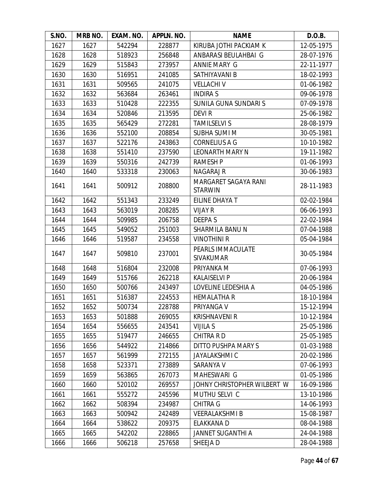| S.NO. | MRB NO. | EXAM. NO. | APPLN. NO. | <b>NAME</b>                            | D.O.B.     |
|-------|---------|-----------|------------|----------------------------------------|------------|
| 1627  | 1627    | 542294    | 228877     | KIRUBA JOTHI PACKIAM K                 | 12-05-1975 |
| 1628  | 1628    | 518923    | 256848     | ANBARASI BEULAHBAI G                   | 28-07-1976 |
| 1629  | 1629    | 515843    | 273957     | ANNIE MARY G                           | 22-11-1977 |
| 1630  | 1630    | 516951    | 241085     | SATHIYAVANI B                          | 18-02-1993 |
| 1631  | 1631    | 509565    | 241075     | <b>VELLACHIV</b>                       | 01-06-1982 |
| 1632  | 1632    | 563684    | 263461     | <b>INDIRAS</b>                         | 09-06-1978 |
| 1633  | 1633    | 510428    | 222355     | SUNILA GUNA SUNDARI S                  | 07-09-1978 |
| 1634  | 1634    | 520846    | 213595     | <b>DEVIR</b>                           | 25-06-1982 |
| 1635  | 1635    | 565429    | 272281     | <b>TAMILSELVI S</b>                    | 28-08-1979 |
| 1636  | 1636    | 552100    | 208854     | <b>SUBHA SUMI M</b>                    | 30-05-1981 |
| 1637  | 1637    | 522176    | 243863     | <b>CORNELIUS A G</b>                   | 10-10-1982 |
| 1638  | 1638    | 551410    | 237590     | <b>LEONARTH MARY N</b>                 | 19-11-1982 |
| 1639  | 1639    | 550316    | 242739     | <b>RAMESH P</b>                        | 01-06-1993 |
| 1640  | 1640    | 533318    | 230063     | <b>NAGARAJ R</b>                       | 30-06-1983 |
| 1641  | 1641    | 500912    | 208800     | MARGARET SAGAYA RANI<br><b>STARWIN</b> | 28-11-1983 |
| 1642  | 1642    | 551343    | 233249     | EILINE DHAYA T                         | 02-02-1984 |
| 1643  | 1643    | 563019    | 208285     | <b>VIJAY R</b>                         | 06-06-1993 |
| 1644  | 1644    | 509985    | 206758     | <b>DEEPAS</b>                          | 22-02-1984 |
| 1645  | 1645    | 549052    | 251003     | SHARMILA BANU N                        | 07-04-1988 |
| 1646  | 1646    | 519587    | 234558     | <b>VINOTHINI R</b>                     | 05-04-1984 |
| 1647  | 1647    | 509810    | 237001     | PEARLS IMMACULATE<br><b>SIVAKUMAR</b>  | 30-05-1984 |
| 1648  | 1648    | 516804    | 232008     | PRIYANKA M                             | 07-06-1993 |
| 1649  | 1649    | 515766    | 262218     | <b>KALAISELVI P</b>                    | 20-06-1984 |
| 1650  | 1650    | 500766    | 243497     | LOVELINE LEDESHIA A                    | 04-05-1986 |
| 1651  | 1651    | 516387    | 224553     | <b>HEMALATHA R</b>                     | 18-10-1984 |
| 1652  | 1652    | 500734    | 228788     | PRIYANGA V                             | 15-12-1994 |
| 1653  | 1653    | 501888    | 269055     | <b>KRISHNAVENI R</b>                   | 10-12-1984 |
| 1654  | 1654    | 556655    | 243541     | <b>VIJILA S</b>                        | 25-05-1986 |
| 1655  | 1655    | 519477    | 246655     | <b>CHITRA RD</b>                       | 25-05-1985 |
| 1656  | 1656    | 544922    | 214866     | DITTO PUSHPA MARY S                    | 01-03-1988 |
| 1657  | 1657    | 561999    | 272155     | <b>JAYALAKSHMI C</b>                   | 20-02-1986 |
| 1658  | 1658    | 523371    | 273889     | SARANYA V                              | 07-06-1993 |
| 1659  | 1659    | 563865    | 267073     | MAHESWARI G                            | 01-05-1986 |
| 1660  | 1660    | 520102    | 269557     | JOHNY CHRISTOPHER WILBERT W            | 16-09-1986 |
| 1661  | 1661    | 555272    | 245596     | MUTHU SELVI C                          | 13-10-1986 |
| 1662  | 1662    | 508394    | 234987     | <b>CHITRA G</b>                        | 14-06-1993 |
| 1663  | 1663    | 500942    | 242489     | <b>VEERALAKSHMIB</b>                   | 15-08-1987 |
| 1664  | 1664    | 538622    | 209375     | ELAKKANA D                             | 08-04-1988 |
| 1665  | 1665    | 542202    | 228865     | <b>JANNET SUGANTHI A</b>               | 24-04-1988 |
| 1666  | 1666    | 506218    | 257658     | SHEEJA D                               | 28-04-1988 |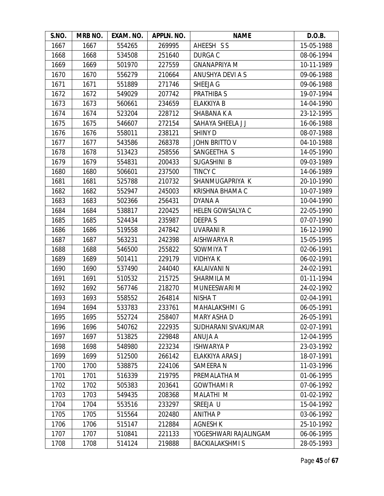| S.NO. | MRB NO. | EXAM. NO. | APPLN. NO. | <b>NAME</b>             | D.O.B.     |
|-------|---------|-----------|------------|-------------------------|------------|
| 1667  | 1667    | 554265    | 269995     | AHEESH SS               | 15-05-1988 |
| 1668  | 1668    | 534508    | 251640     | <b>DURGA C</b>          | 08-06-1994 |
| 1669  | 1669    | 501970    | 227559     | <b>GNANAPRIYA M</b>     | 10-11-1989 |
| 1670  | 1670    | 556279    | 210664     | ANUSHYA DEVI A S        | 09-06-1988 |
| 1671  | 1671    | 551889    | 271746     | SHEEJA G                | 09-06-1988 |
| 1672  | 1672    | 549029    | 207742     | <b>PRATHIBA S</b>       | 19-07-1994 |
| 1673  | 1673    | 560661    | 234659     | ELAKKIYA B              | 14-04-1990 |
| 1674  | 1674    | 523204    | 228712     | SHABANA K A             | 23-12-1995 |
| 1675  | 1675    | 546607    | 272154     | SAHAYA SHEELA J J       | 16-06-1988 |
| 1676  | 1676    | 558011    | 238121     | <b>SHINY D</b>          | 08-07-1988 |
| 1677  | 1677    | 543586    | 268378     | JOHN BRITTO V           | 04-10-1988 |
| 1678  | 1678    | 513423    | 258556     | SANGEETHA S             | 14-05-1990 |
| 1679  | 1679    | 554831    | 200433     | SUGASHINI B             | 09-03-1989 |
| 1680  | 1680    | 506601    | 237500     | <b>TINCY C</b>          | 14-06-1989 |
| 1681  | 1681    | 525788    | 210732     | SHANMUGAPRIYA K         | 20-10-1990 |
| 1682  | 1682    | 552947    | 245003     | KRISHNA BHAMA C         | 10-07-1989 |
| 1683  | 1683    | 502366    | 256431     | DYANA A                 | 10-04-1990 |
| 1684  | 1684    | 538817    | 220425     | <b>HELEN GOWSALYA C</b> | 22-05-1990 |
| 1685  | 1685    | 524434    | 235987     | <b>DEEPAS</b>           | 07-07-1990 |
| 1686  | 1686    | 519558    | 247842     | <b>UVARANI R</b>        | 16-12-1990 |
| 1687  | 1687    | 563231    | 242398     | AISHWARYA R             | 15-05-1995 |
| 1688  | 1688    | 546500    | 255822     | SOWMIYA T               | 02-06-1991 |
| 1689  | 1689    | 501411    | 229179     | <b>VIDHYAK</b>          | 06-02-1991 |
| 1690  | 1690    | 537490    | 244040     | <b>KALAIVANI N</b>      | 24-02-1991 |
| 1691  | 1691    | 510532    | 215725     | SHARMILA M              | 01-11-1994 |
| 1692  | 1692    | 567746    | 218270     | MUNEESWARI M            | 24-02-1992 |
| 1693  | 1693    | 558552    | 264814     | <b>NISHAT</b>           | 02-04-1991 |
| 1694  | 1694    | 533783    | 233761     | MAHALAKSHMI G           | 06-05-1991 |
| 1695  | 1695    | 552724    | 258407     | MARY ASHA D             | 26-05-1991 |
| 1696  | 1696    | 540762    | 222935     | SUDHARANI SIVAKUMAR     | 02-07-1991 |
| 1697  | 1697    | 513825    | 229848     | ANUJA A                 | 12-04-1995 |
| 1698  | 1698    | 548980    | 223234     | <b>ISHWARYA P</b>       | 23-03-1992 |
| 1699  | 1699    | 512500    | 266142     | ELAKKIYA ARASI J        | 18-07-1991 |
| 1700  | 1700    | 538875    | 224106     | <b>SAMEERA N</b>        | 11-03-1996 |
| 1701  | 1701    | 516339    | 219795     | PREMALATHA M            | 01-06-1995 |
| 1702  | 1702    | 505383    | 203641     | <b>GOWTHAMIR</b>        | 07-06-1992 |
| 1703  | 1703    | 549435    | 208368     | MALATHI M               | 01-02-1992 |
| 1704  | 1704    | 553516    | 233297     | SREEJA U                | 15-04-1992 |
| 1705  | 1705    | 515564    | 202480     | <b>ANITHA P</b>         | 03-06-1992 |
| 1706  | 1706    | 515147    | 212884     | <b>AGNESH K</b>         | 25-10-1992 |
| 1707  | 1707    | 510841    | 221133     | YOGESHWARI RAJALINGAM   | 06-06-1995 |
| 1708  | 1708    | 514124    | 219888     | <b>BACKIALAKSHMIS</b>   | 28-05-1993 |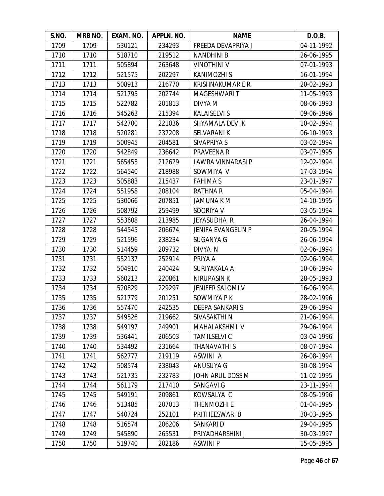| S.NO. | MRB NO. | EXAM. NO. | APPLN. NO. | <b>NAME</b>             | D.O.B.     |
|-------|---------|-----------|------------|-------------------------|------------|
| 1709  | 1709    | 530121    | 234293     | FREEDA DEVAPRIYA J      | 04-11-1992 |
| 1710  | 1710    | 518710    | 219512     | <b>NANDHINI B</b>       | 26-06-1995 |
| 1711  | 1711    | 505894    | 263648     | <b>VINOTHINI V</b>      | 07-01-1993 |
| 1712  | 1712    | 521575    | 202297     | <b>KANIMOZHI S</b>      | 16-01-1994 |
| 1713  | 1713    | 508913    | 216770     | <b>KRISHNAKUMARIE R</b> | 20-02-1993 |
| 1714  | 1714    | 521795    | 202744     | MAGESHWARI T            | 11-05-1993 |
| 1715  | 1715    | 522782    | 201813     | DIVYA M                 | 08-06-1993 |
| 1716  | 1716    | 545263    | 215394     | <b>KALAISELVI S</b>     | 09-06-1996 |
| 1717  | 1717    | 542700    | 221036     | SHYAMALA DEVI K         | 10-02-1994 |
| 1718  | 1718    | 520281    | 237208     | SELVARANI K             | 06-10-1993 |
| 1719  | 1719    | 500945    | 204581     | SIVAPRIYA S             | 03-02-1994 |
| 1720  | 1720    | 542849    | 236642     | PRAVEENA R              | 03-07-1995 |
| 1721  | 1721    | 565453    | 212629     | LAWRA VINNARASI P       | 12-02-1994 |
| 1722  | 1722    | 564540    | 218988     | SOWMIYA V               | 17-03-1994 |
| 1723  | 1723    | 505883    | 215437     | <b>FAHIMAS</b>          | 23-01-1997 |
| 1724  | 1724    | 551958    | 208104     | <b>RATHNA R</b>         | 05-04-1994 |
| 1725  | 1725    | 530066    | 207851     | <b>JAMUNA K M</b>       | 14-10-1995 |
| 1726  | 1726    | 508792    | 259499     | SOORIYA V               | 03-05-1994 |
| 1727  | 1727    | 553608    | 213985     | JEYASUDHA R             | 26-04-1994 |
| 1728  | 1728    | 544545    | 206674     | JENIFA EVANGELIN P      | 20-05-1994 |
| 1729  | 1729    | 521596    | 238234     | SUGANYA G               | 26-06-1994 |
| 1730  | 1730    | 514459    | 209732     | DIVYA N                 | 02-06-1994 |
| 1731  | 1731    | 552137    | 252914     | PRIYA A                 | 02-06-1994 |
| 1732  | 1732    | 504910    | 240424     | SURIYAKALA A            | 10-06-1994 |
| 1733  | 1733    | 560213    | 220861     | <b>NIRUPASIN K</b>      | 28-05-1993 |
| 1734  | 1734    | 520829    | 229297     | JENIFER SALOMI V        | 16-06-1994 |
| 1735  | 1735    | 521779    | 201251     | SOWMIYA P K             | 28-02-1996 |
| 1736  | 1736    | 557470    | 242535     | <b>DEEPA SANKARI S</b>  | 29-06-1994 |
| 1737  | 1737    | 549526    | 219662     | SIVASAKTHI N            | 21-06-1994 |
| 1738  | 1738    | 549197    | 249901     | MAHALAKSHMI V           | 29-06-1994 |
| 1739  | 1739    | 536441    | 206503     | <b>TAMILSELVI C</b>     | 03-04-1996 |
| 1740  | 1740    | 534492    | 231664     | THANAVATHI S            | 08-07-1994 |
| 1741  | 1741    | 562777    | 219119     | ASWINI A                | 26-08-1994 |
| 1742  | 1742    | 508574    | 238043     | <b>ANUSUYA G</b>        | 30-08-1994 |
| 1743  | 1743    | 521735    | 232783     | JOHN ARUL DOSS M        | 11-02-1995 |
| 1744  | 1744    | 561179    | 217410     | <b>SANGAVI G</b>        | 23-11-1994 |
| 1745  | 1745    | 549191    | 209861     | KOWSALYA C              | 08-05-1996 |
| 1746  | 1746    | 513485    | 207013     | THENMOZHI E             | 01-04-1995 |
| 1747  | 1747    | 540724    | 252101     | PRITHEESWARI B          | 30-03-1995 |
| 1748  | 1748    | 516574    | 206206     | SANKARI D               | 29-04-1995 |
| 1749  | 1749    | 545890    | 265531     | PRIYADHARSHINI J        | 30-03-1997 |
| 1750  | 1750    | 519740    | 202186     | <b>ASWINIP</b>          | 15-05-1995 |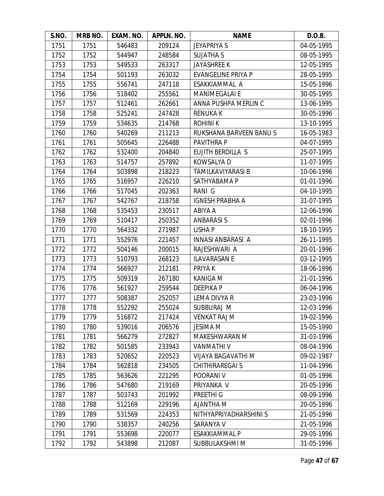| S.NO. | <b>MRB NO.</b> | EXAM. NO. | APPLN. NO. | <b>NAME</b>               | D.O.B.     |
|-------|----------------|-----------|------------|---------------------------|------------|
| 1751  | 1751           | 546483    | 209124     | <b>JEYAPRIYA S</b>        | 04-05-1995 |
| 1752  | 1752           | 544947    | 248584     | <b>SUJATHA S</b>          | 08-05-1995 |
| 1753  | 1753           | 549533    | 263317     | <b>JAYASHREE K</b>        | 12-05-1995 |
| 1754  | 1754           | 501193    | 263032     | <b>EVANGELINE PRIYA P</b> | 28-05-1995 |
| 1755  | 1755           | 556741    | 247118     | ESAKKIAMMAL A             | 15-05-1996 |
| 1756  | 1756           | 518402    | 255561     | <b>MANIMEGALAI E</b>      | 30-05-1995 |
| 1757  | 1757           | 512461    | 262661     | ANNA PUSHPA MERLIN C      | 13-06-1995 |
| 1758  | 1758           | 525241    | 247428     | <b>RENUKAK</b>            | 30-05-1996 |
| 1759  | 1759           | 534635    | 214768     | <b>ROHINIK</b>            | 13-10-1995 |
| 1760  | 1760           | 540269    | 211213     | RUKSHANA BARVEEN BANUS    | 16-05-1983 |
| 1761  | 1761           | 505645    | 226488     | PAVITHRA P                | 04-07-1995 |
| 1762  | 1762           | 532400    | 204840     | <b>EUJITH BERDILLA S</b>  | 25-07-1995 |
| 1763  | 1763           | 514757    | 257892     | KOWSALYA D                | 11-07-1995 |
| 1764  | 1764           | 503898    | 218223     | TAMILKAVIYARASI B         | 10-06-1996 |
| 1765  | 1765           | 516957    | 226210     | SATHYABAMA P              | 01-01-1996 |
| 1766  | 1766           | 517045    | 202363     | RANI G                    | 04-10-1995 |
| 1767  | 1767           | 542767    | 218758     | <b>IGNESH PRABHA A</b>    | 31-07-1995 |
| 1768  | 1768           | 535453    | 230517     | ABIYA A                   | 12-06-1996 |
| 1769  | 1769           | 510417    | 250352     | <b>ANBARASIS</b>          | 02-01-1996 |
| 1770  | 1770           | 564332    | 271987     | <b>LISHAP</b>             | 18-10-1995 |
| 1771  | 1771           | 552976    | 221457     | <b>INNASI ANBARASI A</b>  | 26-11-1995 |
| 1772  | 1772           | 504146    | 200015     | RAJESHWARI A              | 20-01-1996 |
| 1773  | 1773           | 510793    | 268123     | <b>ILAVARASAN E</b>       | 03-12-1995 |
| 1774  | 1774           | 566927    | 212181     | PRIYA K                   | 18-06-1996 |
| 1775  | 1775           | 509319    | 267180     | KANIGA M                  | 21-01-1996 |
| 1776  | 1776           | 561927    | 259544     | <b>DEEPIKAP</b>           | 06-04-1996 |
| 1777  | 1777           | 508387    | 252057     | LEMA DIVYA R              | 23-03-1996 |
| 1778  | 1778           | 552292    | 255024     | SUBBURAJ M                | 12-03-1996 |
| 1779  | 1779           | 516872    | 217424     | <b>VENKAT RAJ M</b>       | 19-02-1996 |
| 1780  | 1780           | 539016    | 206576     | <b>JESIMA M</b>           | 15-05-1990 |
| 1781  | 1781           | 566279    | 272827     | MAKESHWARAN M             | 31-03-1996 |
| 1782  | 1782           | 501585    | 233943     | <b>VANMATHI V</b>         | 08-04-1996 |
| 1783  | 1783           | 520652    | 220523     | VIJAYA BAGAVATHI M        | 09-02-1987 |
| 1784  | 1784           | 562818    | 234505     | <b>CHITHIRAREGAI S</b>    | 11-04-1996 |
| 1785  | 1785           | 563626    | 221295     | POORANI V                 | 01-05-1996 |
| 1786  | 1786           | 547680    | 219169     | PRIYANKA V                | 20-05-1996 |
| 1787  | 1787           | 503743    | 201992     | PREETHI <sub>G</sub>      | 08-09-1996 |
| 1788  | 1788           | 512169    | 229196     | <b>N AHTNALA</b>          | 20-05-1996 |
| 1789  | 1789           | 531569    | 224353     | NITHYAPRIYADHARSHINI S    | 21-05-1996 |
| 1790  | 1790           | 538357    | 240256     | SARANYA V                 | 21-05-1996 |
| 1791  | 1791           | 553698    | 220077     | <b>ESAKKIAMMAL P</b>      | 29-05-1996 |
| 1792  | 1792           | 543898    | 212087     | SUBBULAKSHMI M            | 31-05-1996 |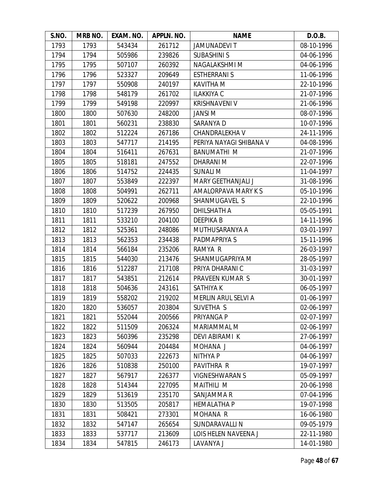| S.NO. | MRB NO. | EXAM. NO. | APPLN. NO. | <b>NAME</b>                | D.O.B.     |
|-------|---------|-----------|------------|----------------------------|------------|
| 1793  | 1793    | 543434    | 261712     | <b>JAMUNADEVIT</b>         | 08-10-1996 |
| 1794  | 1794    | 505986    | 239826     | <b>SUBASHINI S</b>         | 04-06-1996 |
| 1795  | 1795    | 507107    | 260392     | NAGALAKSHMI M              | 04-06-1996 |
| 1796  | 1796    | 523327    | 209649     | <b>ESTHERRANI S</b>        | 11-06-1996 |
| 1797  | 1797    | 550908    | 240197     | <b>KAVITHA M</b>           | 22-10-1996 |
| 1798  | 1798    | 548179    | 261702     | <b>ILAKKIYA C</b>          | 21-07-1996 |
| 1799  | 1799    | 549198    | 220997     | <b>KRISHNAVENI V</b>       | 21-06-1996 |
| 1800  | 1800    | 507630    | 248200     | <b>JANSI M</b>             | 08-07-1996 |
| 1801  | 1801    | 560231    | 238830     | SARANYA D                  | 10-07-1996 |
| 1802  | 1802    | 512224    | 267186     | CHANDRALEKHA V             | 24-11-1996 |
| 1803  | 1803    | 547717    | 214195     | PERIYA NAYAGI SHIBANA V    | 04-08-1996 |
| 1804  | 1804    | 516411    | 267631     | <b>BANUMATHI M</b>         | 21-07-1996 |
| 1805  | 1805    | 518181    | 247552     | DHARANI M                  | 22-07-1996 |
| 1806  | 1806    | 514752    | 224435     | <b>SUNALI M</b>            | 11-04-1997 |
| 1807  | 1807    | 553849    | 222397     | <b>MARY GEETHANJALI J</b>  | 31-08-1996 |
| 1808  | 1808    | 504991    | 262711     | AMALORPAVA MARY K S        | 05-10-1996 |
| 1809  | 1809    | 520622    | 200968     | SHANMUGAVEL S              | 22-10-1996 |
| 1810  | 1810    | 517239    | 267950     | <b>DHILSHATH A</b>         | 05-05-1991 |
| 1811  | 1811    | 533210    | 204100     | <b>DEEPIKAB</b>            | 14-11-1996 |
| 1812  | 1812    | 525361    | 248086     | MUTHUSARANYA A             | 03-01-1997 |
| 1813  | 1813    | 562353    | 234438     | PADMAPRIYA S               | 15-11-1996 |
| 1814  | 1814    | 566184    | 235206     | RAMYA R                    | 26-03-1997 |
| 1815  | 1815    | 544030    | 213476     | SHANMUGAPRIYA M            | 28-05-1997 |
| 1816  | 1816    | 512287    | 217108     | PRIYA DHARANI C            | 31-03-1997 |
| 1817  | 1817    | 543851    | 212614     | PRAVEEN KUMAR S            | 30-01-1997 |
| 1818  | 1818    | 504636    | 243161     | SATHIYA K                  | 06-05-1997 |
| 1819  | 1819    | 558202    | 219202     | <b>MERLIN ARUL SELVI A</b> | 01-06-1997 |
| 1820  | 1820    | 536057    | 203804     | SUVETHA S                  | 02-06-1997 |
| 1821  | 1821    | 552044    | 200566     | PRIYANGA P                 | 02-07-1997 |
| 1822  | 1822    | 511509    | 206324     | MARIAMMAL M                | 02-06-1997 |
| 1823  | 1823    | 560396    | 235298     | DEVI ABIRAMI K             | 27-06-1997 |
| 1824  | 1824    | 560944    | 204484     | MOHANA J                   | 04-06-1997 |
| 1825  | 1825    | 507033    | 222673     | NITHYA P                   | 04-06-1997 |
| 1826  | 1826    | 510838    | 250100     | PAVITHRA R                 | 19-07-1997 |
| 1827  | 1827    | 567917    | 226377     | <b>VIGNESHWARAN S</b>      | 05-09-1997 |
| 1828  | 1828    | 514344    | 227095     | <b>MAITHILI M</b>          | 20-06-1998 |
| 1829  | 1829    | 513619    | 235170     | SANJAMMA R                 | 07-04-1996 |
| 1830  | 1830    | 513505    | 205817     | <b>HEMALATHA P</b>         | 19-07-1998 |
| 1831  | 1831    | 508421    | 273301     | MOHANA R                   | 16-06-1980 |
| 1832  | 1832    | 547147    | 265654     | SUNDARAVALLI N             | 09-05-1979 |
| 1833  | 1833    | 537717    | 213609     | LOIS HELEN NAVEENA J       | 22-11-1980 |
| 1834  | 1834    | 547815    | 246173     | LAVANYA J                  | 14-01-1980 |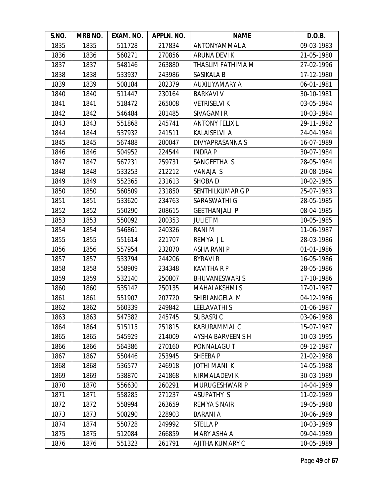| S.NO. | MRB NO. | EXAM. NO. | APPLN. NO. | <b>NAME</b>             | D.O.B.     |
|-------|---------|-----------|------------|-------------------------|------------|
| 1835  | 1835    | 511728    | 217834     | ANTONYAMMAL A           | 09-03-1983 |
| 1836  | 1836    | 560271    | 270856     | ARUNA DEVI K            | 21-05-1980 |
| 1837  | 1837    | 548146    | 263880     | THASLIM FATHIMA M       | 27-02-1996 |
| 1838  | 1838    | 533937    | 243986     | SASIKALA B              | 17-12-1980 |
| 1839  | 1839    | 508184    | 202379     | AUXILIYAMARY A          | 06-01-1981 |
| 1840  | 1840    | 511447    | 230164     | <b>BARKAVI V</b>        | 30-10-1981 |
| 1841  | 1841    | 518472    | 265008     | <b>VETRISELVI K</b>     | 03-05-1984 |
| 1842  | 1842    | 546484    | 201485     | SIVAGAMI R              | 10-03-1984 |
| 1843  | 1843    | 551868    | 245741     | <b>ANTONY FELIX L</b>   | 29-11-1982 |
| 1844  | 1844    | 537932    | 241511     | KALAISELVI A            | 24-04-1984 |
| 1845  | 1845    | 567488    | 200047     | DIVYAPRASANNA S         | 16-07-1989 |
| 1846  | 1846    | 504952    | 224544     | <b>INDRAP</b>           | 30-07-1984 |
| 1847  | 1847    | 567231    | 259731     | SANGEETHA S             | 28-05-1984 |
| 1848  | 1848    | 533253    | 212212     | VANAJA S                | 20-08-1984 |
| 1849  | 1849    | 552365    | 231613     | SHOBA D                 | 10-02-1985 |
| 1850  | 1850    | 560509    | 231850     | <b>SENTHILKUMAR G P</b> | 25-07-1983 |
| 1851  | 1851    | 533620    | 234763     | SARASWATHI G            | 28-05-1985 |
| 1852  | 1852    | 550290    | 208615     | <b>GEETHANJALI P</b>    | 08-04-1985 |
| 1853  | 1853    | 550092    | 200353     | <b>JULIET M</b>         | 10-05-1985 |
| 1854  | 1854    | 546861    | 240326     | <b>RANIM</b>            | 11-06-1987 |
| 1855  | 1855    | 551614    | 221707     | REMYA JL                | 28-03-1986 |
| 1856  | 1856    | 557954    | 232870     | <b>ASHA RANI P</b>      | 01-01-1986 |
| 1857  | 1857    | 533794    | 244206     | <b>BYRAVI R</b>         | 16-05-1986 |
| 1858  | 1858    | 558909    | 234348     | <b>KAVITHA R P</b>      | 28-05-1986 |
| 1859  | 1859    | 532140    | 250807     | <b>BHUVANESWARIS</b>    | 17-10-1986 |
| 1860  | 1860    | 535142    | 250135     | <b>MAHALAKSHMIS</b>     | 17-01-1987 |
| 1861  | 1861    | 551907    | 207720     | SHIBI ANGELA M          | 04-12-1986 |
| 1862  | 1862    | 560339    | 249842     | <b>LEELAVATHIS</b>      | 01-06-1987 |
| 1863  | 1863    | 547382    | 245745     | <b>SUBASRIC</b>         | 03-06-1988 |
| 1864  | 1864    | 515115    | 251815     | KABURAMMAL C            | 15-07-1987 |
| 1865  | 1865    | 545929    | 214009     | AYSHA BARVEEN S H       | 10-03-1995 |
| 1866  | 1866    | 564386    | 270160     | PONNALAGU T             | 09-12-1987 |
| 1867  | 1867    | 550446    | 253945     | SHEEBA P                | 21-02-1988 |
| 1868  | 1868    | 536577    | 246918     | <b>JOTHI MANI K</b>     | 14-05-1988 |
| 1869  | 1869    | 538870    | 241868     | NIRMALADEVI K           | 30-03-1989 |
| 1870  | 1870    | 556630    | 260291     | MURUGESHWARI P          | 14-04-1989 |
| 1871  | 1871    | 558285    | 271237     | <b>ASUPATHY S</b>       | 11-02-1989 |
| 1872  | 1872    | 558994    | 263659     | <b>REMYA S NAIR</b>     | 19-05-1988 |
| 1873  | 1873    | 508290    | 228903     | <b>BARANIA</b>          | 30-06-1989 |
| 1874  | 1874    | 550728    | 249992     | <b>STELLA P</b>         | 10-03-1989 |
| 1875  | 1875    | 512084    | 266859     | MARY ASHA A             | 09-04-1989 |
| 1876  | 1876    | 551323    | 261791     | AJITHA KUMARY C         | 10-05-1989 |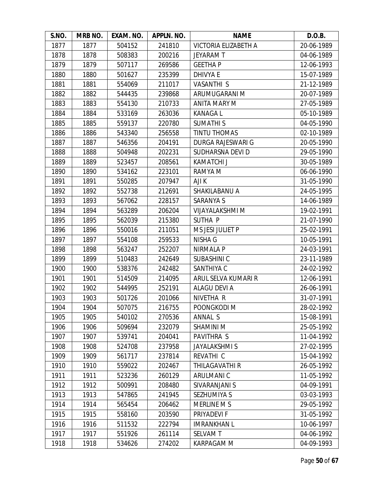| S.NO. | MRB NO. | EXAM. NO. | APPLN. NO. | <b>NAME</b>              | D.O.B.     |
|-------|---------|-----------|------------|--------------------------|------------|
| 1877  | 1877    | 504152    | 241810     | VICTORIA ELIZABETH A     | 20-06-1989 |
| 1878  | 1878    | 508383    | 200216     | <b>JEYARAMT</b>          | 04-06-1989 |
| 1879  | 1879    | 507117    | 269586     | <b>GEETHAP</b>           | 12-06-1993 |
| 1880  | 1880    | 501627    | 235399     | DHIVYA E                 | 15-07-1989 |
| 1881  | 1881    | 554069    | 211017     | <b>VASANTHI S</b>        | 21-12-1989 |
| 1882  | 1882    | 544435    | 239868     | ARUMUGARANI M            | 20-07-1989 |
| 1883  | 1883    | 554130    | 210733     | <b>ANITA MARY M</b>      | 27-05-1989 |
| 1884  | 1884    | 533169    | 263036     | <b>KANAGAL</b>           | 05-10-1989 |
| 1885  | 1885    | 559137    | 220780     | <b>SUMATHIS</b>          | 04-05-1990 |
| 1886  | 1886    | 543340    | 256558     | <b>TINTU THOMAS</b>      | 02-10-1989 |
| 1887  | 1887    | 546356    | 204191     | <b>DURGA RAJESWARI G</b> | 20-05-1990 |
| 1888  | 1888    | 504948    | 202231     | SUDHARSNA DEVI D         | 29-05-1990 |
| 1889  | 1889    | 523457    | 208561     | <b>KAMATCHI J</b>        | 30-05-1989 |
| 1890  | 1890    | 534162    | 223101     | RAMYA M                  | 06-06-1990 |
| 1891  | 1891    | 550285    | 207947     | AJI K                    | 31-05-1990 |
| 1892  | 1892    | 552738    | 212691     | SHAKILABANU A            | 24-05-1995 |
| 1893  | 1893    | 567062    | 228157     | SARANYA S                | 14-06-1989 |
| 1894  | 1894    | 563289    | 206204     | VIJAYALAKSHMI M          | 19-02-1991 |
| 1895  | 1895    | 562039    | 215380     | SUTHA P                  | 21-07-1990 |
| 1896  | 1896    | 550016    | 211051     | MS JESI JULIET P         | 25-02-1991 |
| 1897  | 1897    | 554108    | 259533     | NISHA G                  | 10-05-1991 |
| 1898  | 1898    | 563247    | 252207     | NIRMALA P                | 24-03-1991 |
| 1899  | 1899    | 510483    | 242649     | <b>SUBASHINI C</b>       | 23-11-1989 |
| 1900  | 1900    | 538376    | 242482     | SANTHIYA C               | 24-02-1992 |
| 1901  | 1901    | 514509    | 214095     | ARUL SELVA KUMARI R      | 12-06-1991 |
| 1902  | 1902    | 544995    | 252191     | ALAGU DEVI A             | 26-06-1991 |
| 1903  | 1903    | 501726    | 201066     | NIVETHA R                | 31-07-1991 |
| 1904  | 1904    | 507075    | 216755     | POONGKODI M              | 28-02-1992 |
| 1905  | 1905    | 540102    | 270536     | ANNAL S                  | 15-08-1991 |
| 1906  | 1906    | 509694    | 232079     | SHAMINI M                | 25-05-1992 |
| 1907  | 1907    | 539741    | 204041     | PAVITHRA S               | 11-04-1992 |
| 1908  | 1908    | 524708    | 237958     | <b>JAYALAKSHMIS</b>      | 27-02-1995 |
| 1909  | 1909    | 561717    | 237814     | REVATHI C                | 15-04-1992 |
| 1910  | 1910    | 559022    | 202467     | THILAGAVATHI R           | 26-05-1992 |
| 1911  | 1911    | 523236    | 260129     | ARULMANI C               | 11-05-1992 |
| 1912  | 1912    | 500991    | 208480     | SIVARANJANI S            | 04-09-1991 |
| 1913  | 1913    | 547865    | 241945     | <b>SEZHUMIYA S</b>       | 03-03-1993 |
| 1914  | 1914    | 565454    | 206462     | MERLINE M S              | 29-05-1992 |
| 1915  | 1915    | 558160    | 203590     | PRIYADEVI F              | 31-05-1992 |
| 1916  | 1916    | 511532    | 222794     | <b>IMRANKHAN L</b>       | 10-06-1997 |
| 1917  | 1917    | 551926    | 261114     | <b>SELVAMT</b>           | 04-06-1992 |
| 1918  | 1918    | 534626    | 274202     | KARPAGAM M               | 04-09-1993 |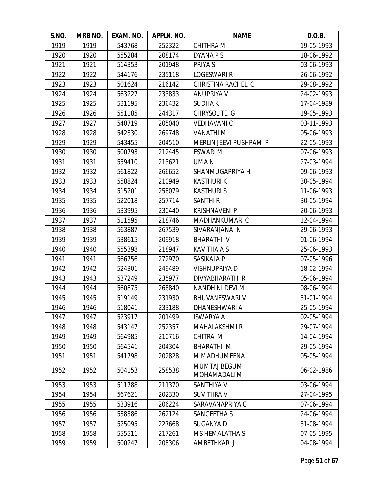| S.NO. | MRB NO. | EXAM. NO. | APPLN. NO. | <b>NAME</b>                         | D.O.B.     |
|-------|---------|-----------|------------|-------------------------------------|------------|
| 1919  | 1919    | 543768    | 252322     | <b>CHITHRA M</b>                    | 19-05-1993 |
| 1920  | 1920    | 555284    | 208174     | DYANA P S                           | 18-06-1992 |
| 1921  | 1921    | 514353    | 201948     | PRIYA S                             | 03-06-1993 |
| 1922  | 1922    | 544176    | 235118     | <b>LOGESWARI R</b>                  | 26-06-1992 |
| 1923  | 1923    | 501624    | 216142     | CHRISTINA RACHEL C                  | 29-08-1992 |
| 1924  | 1924    | 563227    | 233833     | <b>ANUPRIYA V</b>                   | 24-02-1993 |
| 1925  | 1925    | 531195    | 236432     | <b>SUDHAK</b>                       | 17-04-1989 |
| 1926  | 1926    | 551185    | 244317     | CHRYSOLITE G                        | 19-05-1993 |
| 1927  | 1927    | 540719    | 205040     | <b>VEDHAVANIC</b>                   | 03-11-1993 |
| 1928  | 1928    | 542330    | 269748     | <b>VANATHIM</b>                     | 05-06-1993 |
| 1929  | 1929    | 543455    | 204510     | MERLIN JEEVI PUSHPAM P              | 22-05-1993 |
| 1930  | 1930    | 500793    | 212445     | <b>ESWARI M</b>                     | 07-06-1993 |
| 1931  | 1931    | 559410    | 213621     | UMA N                               | 27-03-1994 |
| 1932  | 1932    | 561822    | 266652     | SHANMUGAPRIYA H                     | 09-06-1993 |
| 1933  | 1933    | 558824    | 210949     | <b>KASTHURIK</b>                    | 30-05-1994 |
| 1934  | 1934    | 515201    | 258079     | <b>KASTHURIS</b>                    | 11-06-1993 |
| 1935  | 1935    | 522018    | 257714     | <b>SANTHIR</b>                      | 30-05-1994 |
| 1936  | 1936    | 533995    | 230440     | <b>KRISHNAVENI P</b>                | 20-06-1993 |
| 1937  | 1937    | 511595    | 218746     | MADHANKUMAR C                       | 12-04-1994 |
| 1938  | 1938    | 563887    | 267539     | SIVARANJANAI N                      | 29-06-1993 |
| 1939  | 1939    | 538615    | 209918     | <b>BHARATHI V</b>                   | 01-06-1994 |
| 1940  | 1940    | 555398    | 218947     | <b>KAVITHA A S</b>                  | 25-06-1993 |
| 1941  | 1941    | 566756    | 272970     | SASIKALA P                          | 07-05-1996 |
| 1942  | 1942    | 524301    | 249489     | <b>VISHNUPRIYA D</b>                | 18-02-1994 |
| 1943  | 1943    | 537249    | 235977     | DIVYABHARATHI R                     | 05-06-1994 |
| 1944  | 1944    | 560875    | 268840     | NANDHINI DEVI M                     | 08-06-1994 |
| 1945  | 1945    | 519149    | 231930     | <b>BHUVANESWARI V</b>               | 31-01-1994 |
| 1946  | 1946    | 518041    | 233188     | DHANESHWARI A                       | 25-05-1994 |
| 1947  | 1947    | 523917    | 201499     | <b>ISWARYA A</b>                    | 02-05-1994 |
| 1948  | 1948    | 543147    | 252357     | <b>MAHALAKSHMI R</b>                | 29-07-1994 |
| 1949  | 1949    | 564985    | 210716     | CHITRA M                            | 14-04-1994 |
| 1950  | 1950    | 564541    | 204304     | <b>BHARATHI M</b>                   | 29-05-1994 |
| 1951  | 1951    | 541798    | 202828     | M MADHUMEENA                        | 05-05-1994 |
| 1952  | 1952    | 504153    | 258538     | <b>MUMTAJ BEGUM</b><br>MOHAMADALI M | 06-02-1986 |
| 1953  | 1953    | 511788    | 211370     | SANTHIYA V                          | 03-06-1994 |
| 1954  | 1954    | 567621    | 202330     | <b>SUVITHRA V</b>                   | 27-04-1995 |
| 1955  | 1955    | 533916    | 206224     | SARAVANAPRIYA C                     | 07-06-1994 |
| 1956  | 1956    | 538386    | 262124     | <b>SANGEETHA S</b>                  | 24-06-1994 |
| 1957  | 1957    | 525095    | 227668     | SUGANYA D                           | 31-08-1994 |
| 1958  | 1958    | 555511    | 217261     | MS HEMALATHA S                      | 07-05-1995 |
| 1959  | 1959    | 500247    | 208306     | AMBETHKAR J                         | 04-08-1994 |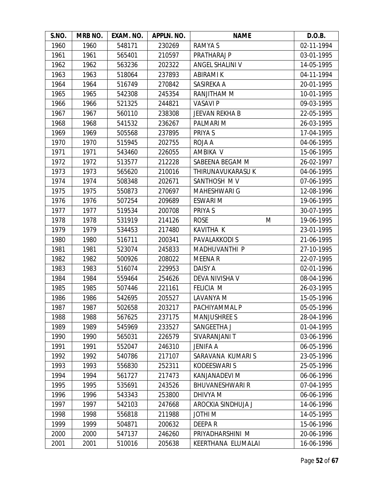| S.NO. | MRB NO. | EXAM. NO. | APPLN. NO. | <b>NAME</b>            | D.O.B.     |
|-------|---------|-----------|------------|------------------------|------------|
| 1960  | 1960    | 548171    | 230269     | RAMYA S                | 02-11-1994 |
| 1961  | 1961    | 565401    | 210597     | PRATHARAJ P            | 03-01-1995 |
| 1962  | 1962    | 563236    | 202322     | ANGEL SHALINI V        | 14-05-1995 |
| 1963  | 1963    | 518064    | 237893     | <b>ABIRAMI K</b>       | 04-11-1994 |
| 1964  | 1964    | 516749    | 270842     | SASIREKA A             | 20-01-1995 |
| 1965  | 1965    | 542308    | 245354     | RANJITHAM M            | 10-01-1995 |
| 1966  | 1966    | 521325    | 244821     | <b>VASAVI P</b>        | 09-03-1995 |
| 1967  | 1967    | 560110    | 238308     | <b>JEEVAN REKHA B</b>  | 22-05-1995 |
| 1968  | 1968    | 541532    | 236267     | PALMARI M              | 26-03-1995 |
| 1969  | 1969    | 505568    | 237895     | PRIYA S                | 17-04-1995 |
| 1970  | 1970    | 515945    | 202755     | ROJA A                 | 04-06-1995 |
| 1971  | 1971    | 543460    | 226055     | AMBIKA V               | 15-06-1995 |
| 1972  | 1972    | 513577    | 212228     | SABEENA BEGAM M        | 26-02-1997 |
| 1973  | 1973    | 565620    | 210016     | THIRUNAVUKARASU K      | 04-06-1995 |
| 1974  | 1974    | 508348    | 202671     | SANTHOSH MV            | 07-06-1995 |
| 1975  | 1975    | 550873    | 270697     | <b>MAHESHWARI G</b>    | 12-08-1996 |
| 1976  | 1976    | 507254    | 209689     | <b>ESWARI M</b>        | 19-06-1995 |
| 1977  | 1977    | 519534    | 200708     | PRIYA S                | 30-07-1995 |
| 1978  | 1978    | 531919    | 214126     | <b>ROSE</b><br>M       | 19-06-1995 |
| 1979  | 1979    | 534453    | 217480     | <b>KAVITHA K</b>       | 23-01-1995 |
| 1980  | 1980    | 516711    | 200341     | PAVALAKKODI S          | 21-06-1995 |
| 1981  | 1981    | 523074    | 245833     | MADHUVANTHI P          | 27-10-1995 |
| 1982  | 1982    | 500926    | 208022     | <b>MEENAR</b>          | 22-07-1995 |
| 1983  | 1983    | 516074    | 229953     | DAISY A                | 02-01-1996 |
| 1984  | 1984    | 559464    | 254626     | DEVA NIVISHA V         | 08-04-1996 |
| 1985  | 1985    | 507446    | 221161     | <b>FELICIA M</b>       | 26-03-1995 |
| 1986  | 1986    | 542695    | 205527     | LAVANYA M              | 15-05-1996 |
| 1987  | 1987    | 502658    | 203217     | PACHIYAMMAL P          | 05-05-1996 |
| 1988  | 1988    | 567625    | 237175     | <b>MANJUSHREE S</b>    | 28-04-1996 |
| 1989  | 1989    | 545969    | 233527     | SANGEETHA J            | 01-04-1995 |
| 1990  | 1990    | 565031    | 226579     | SIVARANJANI T          | 03-06-1996 |
| 1991  | 1991    | 552047    | 246310     | JENIFA A               | 06-05-1996 |
| 1992  | 1992    | 540786    | 217107     | SARAVANA KUMARIS       | 23-05-1996 |
| 1993  | 1993    | 556830    | 252311     | <b>KODEESWARI S</b>    | 25-05-1996 |
| 1994  | 1994    | 561727    | 217473     | KANJANADEVI M          | 06-06-1996 |
| 1995  | 1995    | 535691    | 243526     | <b>BHUVANESHWARI R</b> | 07-04-1995 |
| 1996  | 1996    | 543343    | 253800     | DHIVYA M               | 06-06-1996 |
| 1997  | 1997    | 542103    | 247668     | AROCKIA SINDHUJA J     | 14-06-1996 |
| 1998  | 1998    | 556818    | 211988     | JOTHI M                | 14-05-1995 |
| 1999  | 1999    | 504871    | 200632     | DEEPAR                 | 15-06-1996 |
| 2000  | 2000    | 547137    | 246260     | PRIYADHARSHINI M       | 20-06-1996 |
| 2001  | 2001    | 510016    | 205638     | KEERTHANA ELUMALAI     | 16-06-1996 |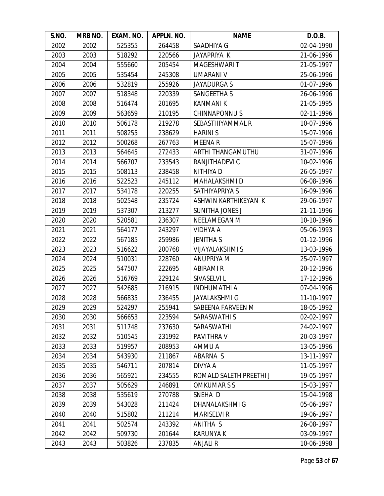| S.NO. | MRB NO. | EXAM. NO. | APPLN. NO. | <b>NAME</b>             | D.O.B.     |
|-------|---------|-----------|------------|-------------------------|------------|
| 2002  | 2002    | 525355    | 264458     | SAADHIYA G              | 02-04-1990 |
| 2003  | 2003    | 518292    | 220566     | <b>JAYAPRIYA K</b>      | 21-06-1996 |
| 2004  | 2004    | 555660    | 205454     | <b>MAGESHWARI T</b>     | 21-05-1997 |
| 2005  | 2005    | 535454    | 245308     | <b>UMARANI V</b>        | 25-06-1996 |
| 2006  | 2006    | 532819    | 255926     | <b>JAYADURGA S</b>      | 01-07-1996 |
| 2007  | 2007    | 518348    | 220339     | <b>SANGEETHA S</b>      | 26-06-1996 |
| 2008  | 2008    | 516474    | 201695     | <b>KANMANIK</b>         | 21-05-1995 |
| 2009  | 2009    | 563659    | 210195     | CHINNAPONNU S           | 02-11-1996 |
| 2010  | 2010    | 506178    | 219278     | SEBASTHIYAMMAL R        | 10-07-1996 |
| 2011  | 2011    | 508255    | 238629     | <b>HARINIS</b>          | 15-07-1996 |
| 2012  | 2012    | 500268    | 267763     | <b>MEENAR</b>           | 15-07-1996 |
| 2013  | 2013    | 564645    | 272433     | ARTHI THANGAMUTHU       | 31-07-1996 |
| 2014  | 2014    | 566707    | 233543     | RANJITHADEVI C          | 10-02-1996 |
| 2015  | 2015    | 508113    | 238458     | NITHIYA D               | 26-05-1997 |
| 2016  | 2016    | 522523    | 245112     | MAHALAKSHMI D           | 06-08-1996 |
| 2017  | 2017    | 534178    | 220255     | SATHIYAPRIYA S          | 16-09-1996 |
| 2018  | 2018    | 502548    | 235724     | ASHWIN KARTHIKEYAN K    | 29-06-1997 |
| 2019  | 2019    | 537307    | 213277     | <b>SUNITHA JONES J</b>  | 21-11-1996 |
| 2020  | 2020    | 520581    | 236307     | NEELAMEGAN M            | 10-10-1996 |
| 2021  | 2021    | 564177    | 243297     | VIDHYA A                | 05-06-1993 |
| 2022  | 2022    | 567185    | 259986     | <b>JENITHA S</b>        | 01-12-1996 |
| 2023  | 2023    | 516622    | 200768     | <b>VIJAYALAKSHMI S</b>  | 13-03-1996 |
| 2024  | 2024    | 510031    | 228760     | ANUPRIYA M              | 25-07-1997 |
| 2025  | 2025    | 547507    | 222695     | <b>ABIRAMI R</b>        | 20-12-1996 |
| 2026  | 2026    | 516769    | 229124     | SIVASELVI L             | 17-12-1996 |
| 2027  | 2027    | 542685    | 216915     | <b>INDHUMATHI A</b>     | 07-04-1996 |
| 2028  | 2028    | 566835    | 236455     | <b>JAYALAKSHMI G</b>    | 11-10-1997 |
| 2029  | 2029    | 524297    | 255941     | SABEENA FARVEEN M       | 18-05-1992 |
| 2030  | 2030    | 566653    | 223594     | SARASWATHI S            | 02-02-1997 |
| 2031  | 2031    | 511748    | 237630     | SARASWATHI              | 24-02-1997 |
| 2032  | 2032    | 510545    | 231992     | <b>PAVITHRA V</b>       | 20-03-1997 |
| 2033  | 2033    | 519957    | 208953     | AMMU A                  | 13-05-1996 |
| 2034  | 2034    | 543930    | 211867     | ABARNA S                | 13-11-1997 |
| 2035  | 2035    | 546711    | 207814     | DIVYA A                 | 11-05-1997 |
| 2036  | 2036    | 565921    | 234555     | ROMALD SALETH PREETHI J | 19-05-1997 |
| 2037  | 2037    | 505629    | 246891     | <b>OMKUMARSS</b>        | 15-03-1997 |
| 2038  | 2038    | 535619    | 270788     | SNEHA D                 | 15-04-1998 |
| 2039  | 2039    | 543028    | 211424     | <b>DHANALAKSHMI G</b>   | 05-06-1997 |
| 2040  | 2040    | 515802    | 211214     | <b>MARISELVI R</b>      | 19-06-1997 |
| 2041  | 2041    | 502574    | 243392     | ANITHA S                | 26-08-1997 |
| 2042  | 2042    | 509730    | 201644     | <b>KARUNYA K</b>        | 03-09-1997 |
| 2043  | 2043    | 503826    | 237835     | <b>ANJALI R</b>         | 10-06-1998 |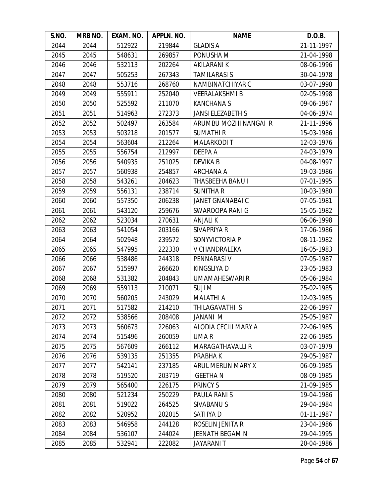| S.NO. | MRB NO. | EXAM. NO. | APPLN. NO. | <b>NAME</b>              | D.O.B.     |
|-------|---------|-----------|------------|--------------------------|------------|
| 2044  | 2044    | 512922    | 219844     | <b>GLADIS A</b>          | 21-11-1997 |
| 2045  | 2045    | 548631    | 269857     | PONUSHA M                | 21-04-1998 |
| 2046  | 2046    | 532113    | 202264     | AKILARANI K              | 08-06-1996 |
| 2047  | 2047    | 505253    | 267343     | <b>TAMILARASI S</b>      | 30-04-1978 |
| 2048  | 2048    | 553716    | 268760     | NAMBINATCHIYAR C         | 03-07-1998 |
| 2049  | 2049    | 555911    | 252040     | <b>VEERALAKSHMIB</b>     | 02-05-1998 |
| 2050  | 2050    | 525592    | 211070     | <b>KANCHANAS</b>         | 09-06-1967 |
| 2051  | 2051    | 514963    | 272373     | <b>JANSI ELEZABETH S</b> | 04-06-1974 |
| 2052  | 2052    | 502497    | 263584     | ARUMBU MOZHI NANGAI R    | 21-11-1996 |
| 2053  | 2053    | 503218    | 201577     | <b>SUMATHIR</b>          | 15-03-1986 |
| 2054  | 2054    | 563604    | 212264     | <b>MALARKODIT</b>        | 12-03-1976 |
| 2055  | 2055    | 556754    | 212997     | DEEPA A                  | 24-03-1979 |
| 2056  | 2056    | 540935    | 251025     | DEVIKA B                 | 04-08-1997 |
| 2057  | 2057    | 560938    | 254857     | <b>ARCHANA A</b>         | 19-03-1986 |
| 2058  | 2058    | 543261    | 204623     | THASBEEHA BANU I         | 07-01-1995 |
| 2059  | 2059    | 556131    | 238714     | <b>SUNITHAR</b>          | 10-03-1980 |
| 2060  | 2060    | 557350    | 206238     | JANET GNANABAI C         | 07-05-1981 |
| 2061  | 2061    | 543120    | 259676     | SWAROOPA RANI G          | 15-05-1982 |
| 2062  | 2062    | 523034    | 270631     | <b>ANJALIK</b>           | 06-06-1998 |
| 2063  | 2063    | 541054    | 203166     | SIVAPRIYA R              | 17-06-1986 |
| 2064  | 2064    | 502948    | 239572     | SONYVICTORIA P           | 08-11-1982 |
| 2065  | 2065    | 547995    | 222330     | V CHANDRALEKA            | 16-05-1983 |
| 2066  | 2066    | 538486    | 244318     | PENNARASI V              | 07-05-1987 |
| 2067  | 2067    | 515997    | 266620     | KINGSLIYA D              | 23-05-1983 |
| 2068  | 2068    | 531382    | 204843     | UMAMAHESWARI R           | 05-06-1984 |
| 2069  | 2069    | 559113    | 210071     | <b>SUJIM</b>             | 25-02-1985 |
| 2070  | 2070    | 560205    | 243029     | <b>MALATHI A</b>         | 12-03-1985 |
| 2071  | 2071    | 517582    | 214210     | THILAGAVATHI S           | 22-06-1997 |
| 2072  | 2072    | 538566    | 208408     | JANANI M                 | 25-05-1987 |
| 2073  | 2073    | 560673    | 226063     | ALODIA CECILI MARY A     | 22-06-1985 |
| 2074  | 2074    | 515496    | 260059     | UMA R                    | 22-06-1985 |
| 2075  | 2075    | 567609    | 266112     | <b>MARAGATHAVALLI R</b>  | 03-07-1979 |
| 2076  | 2076    | 539135    | 251355     | PRABHA K                 | 29-05-1987 |
| 2077  | 2077    | 542141    | 237185     | ARUL MERLIN MARY X       | 06-09-1985 |
| 2078  | 2078    | 519520    | 203719     | <b>GEETHAN</b>           | 08-09-1985 |
| 2079  | 2079    | 565400    | 226175     | PRINCY S                 | 21-09-1985 |
| 2080  | 2080    | 521234    | 250229     | PAULA RANIS              | 19-04-1986 |
| 2081  | 2081    | 519022    | 264525     | SIVABANU S               | 29-04-1984 |
| 2082  | 2082    | 520952    | 202015     | SATHYA D                 | 01-11-1987 |
| 2083  | 2083    | 546958    | 244128     | ROSELIN JENITA R         | 23-04-1986 |
| 2084  | 2084    | 536107    | 244024     | JEENATH BEGAM N          | 29-04-1995 |
| 2085  | 2085    | 532941    | 222082     | <b>JAYARANIT</b>         | 20-04-1986 |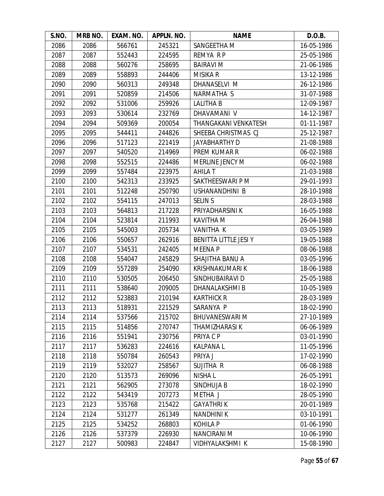| S.NO. | MRB NO. | EXAM. NO. | APPLN. NO. | <b>NAME</b>            | D.O.B.     |
|-------|---------|-----------|------------|------------------------|------------|
| 2086  | 2086    | 566761    | 245321     | SANGEETHA M            | 16-05-1986 |
| 2087  | 2087    | 552443    | 224595     | REMYA R P              | 25-05-1986 |
| 2088  | 2088    | 560276    | 258695     | <b>BAIRAVI M</b>       | 21-06-1986 |
| 2089  | 2089    | 558893    | 244406     | <b>MISIKA R</b>        | 13-12-1986 |
| 2090  | 2090    | 560313    | 249348     | DHANASELVI M           | 26-12-1986 |
| 2091  | 2091    | 520859    | 214506     | NARMATHA S             | 31-07-1988 |
| 2092  | 2092    | 531006    | 259926     | <b>LALITHA B</b>       | 12-09-1987 |
| 2093  | 2093    | 530614    | 232769     | DHAVAMANI V            | 14-12-1987 |
| 2094  | 2094    | 509369    | 200054     | THANGAKANI VENKATESH   | 01-11-1987 |
| 2095  | 2095    | 544411    | 244826     | SHEEBA CHRISTMAS CJ    | 25-12-1987 |
| 2096  | 2096    | 517123    | 221419     | <b>JAYABHARTHY D</b>   | 21-08-1988 |
| 2097  | 2097    | 540520    | 214969     | PREM KUMAR R           | 06-02-1988 |
| 2098  | 2098    | 552515    | 224486     | <b>MERLINE JENCY M</b> | 06-02-1988 |
| 2099  | 2099    | 557484    | 223975     | <b>AHILA T</b>         | 21-03-1988 |
| 2100  | 2100    | 542313    | 233925     | SAKTHEESWARI P M       | 29-01-1993 |
| 2101  | 2101    | 512248    | 250790     | USHANANDHINI B         | 28-10-1988 |
| 2102  | 2102    | 554115    | 247013     | <b>SELIN S</b>         | 28-03-1988 |
| 2103  | 2103    | 564813    | 217228     | PRIYADHARSINI K        | 16-05-1988 |
| 2104  | 2104    | 523814    | 211993     | KAVITHA M              | 26-04-1988 |
| 2105  | 2105    | 545003    | 205734     | VANITHA K              | 03-05-1989 |
| 2106  | 2106    | 550657    | 262916     | BENITTA LITTLE JESI Y  | 19-05-1988 |
| 2107  | 2107    | 534531    | 242405     | <b>MEENAP</b>          | 08-06-1988 |
| 2108  | 2108    | 554047    | 245829     | SHAJITHA BANU A        | 03-05-1996 |
| 2109  | 2109    | 557289    | 254090     | KRISHNAKUMARI K        | 18-06-1988 |
| 2110  | 2110    | 530505    | 206450     | SINDHUBAIRAVI D        | 25-05-1988 |
| 2111  | 2111    | 538640    | 209005     | DHANALAKSHMI B         | 10-05-1989 |
| 2112  | 2112    | 523883    | 210194     | <b>KARTHICK R</b>      | 28-03-1989 |
| 2113  | 2113    | 518931    | 221529     | SARANYA P              | 18-02-1990 |
| 2114  | 2114    | 537566    | 215702     | <b>BHUVANESWARI M</b>  | 27-10-1989 |
| 2115  | 2115    | 514856    | 270747     | THAMIZHARASI K         | 06-06-1989 |
| 2116  | 2116    | 551941    | 230756     | PRIYA C P              | 03-01-1990 |
| 2117  | 2117    | 536283    | 224616     | <b>KALPANAL</b>        | 11-05-1996 |
| 2118  | 2118    | 550784    | 260543     | PRIYA J                | 17-02-1990 |
| 2119  | 2119    | 532027    | 258567     | SUJITHA R              | 06-08-1988 |
| 2120  | 2120    | 513573    | 269096     | <b>NISHAL</b>          | 26-05-1991 |
| 2121  | 2121    | 562905    | 273078     | SINDHUJA B             | 18-02-1990 |
| 2122  | 2122    | 543419    | 207273     | METHA J                | 28-05-1990 |
| 2123  | 2123    | 535768    | 215422     | <b>GAYATHRIK</b>       | 20-01-1989 |
| 2124  | 2124    | 531277    | 261349     | <b>NANDHINIK</b>       | 03-10-1991 |
| 2125  | 2125    | 534252    | 268803     | <b>KOHILA P</b>        | 01-06-1990 |
| 2126  | 2126    | 537379    | 226930     | NANCIRANI M            | 10-06-1990 |
| 2127  | 2127    | 500983    | 224847     | VIDHYALAKSHMI K        | 15-08-1990 |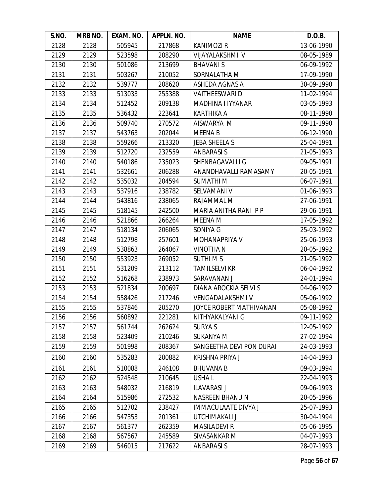| S.NO. | MRB NO. | EXAM. NO. | APPLN. NO. | <b>NAME</b>                    | D.O.B.     |
|-------|---------|-----------|------------|--------------------------------|------------|
| 2128  | 2128    | 505945    | 217868     | <b>KANIMOZIR</b>               | 13-06-1990 |
| 2129  | 2129    | 523598    | 208290     | VIJAYALAKSHMI V                | 08-05-1989 |
| 2130  | 2130    | 501086    | 213699     | <b>BHAVANIS</b>                | 06-09-1992 |
| 2131  | 2131    | 503267    | 210052     | SORNALATHA M                   | 17-09-1990 |
| 2132  | 2132    | 539777    | 208620     | ASHEDA AGNAS A                 | 30-09-1990 |
| 2133  | 2133    | 513033    | 255388     | <b>VAITHEESWARI D</b>          | 11-02-1994 |
| 2134  | 2134    | 512452    | 209138     | MADHINA I IYYANAR              | 03-05-1993 |
| 2135  | 2135    | 536432    | 223641     | <b>KARTHIKA A</b>              | 08-11-1990 |
| 2136  | 2136    | 509740    | 270572     | AISWARYA M                     | 09-11-1990 |
| 2137  | 2137    | 543763    | 202044     | <b>MEENA B</b>                 | 06-12-1990 |
| 2138  | 2138    | 559266    | 213320     | <b>JEBA SHEELA S</b>           | 25-04-1991 |
| 2139  | 2139    | 512720    | 232559     | <b>ANBARASIS</b>               | 21-05-1993 |
| 2140  | 2140    | 540186    | 235023     | SHENBAGAVALLI G                | 09-05-1991 |
| 2141  | 2141    | 532661    | 206288     | ANANDHAVALLI RAMASAMY          | 20-05-1991 |
| 2142  | 2142    | 535032    | 204594     | <b>SUMATHIM</b>                | 06-07-1991 |
| 2143  | 2143    | 537916    | 238782     | SELVAMANI V                    | 01-06-1993 |
| 2144  | 2144    | 543816    | 238065     | RAJAMMAL M                     | 27-06-1991 |
| 2145  | 2145    | 518145    | 242500     | MARIA ANITHA RANI PP           | 29-06-1991 |
| 2146  | 2146    | 521866    | 266264     | MEENA M                        | 17-05-1992 |
| 2147  | 2147    | 518134    | 206065     | SONIYA G                       | 25-03-1992 |
| 2148  | 2148    | 512798    | 257601     | MOHANAPRIYA V                  | 25-06-1993 |
| 2149  | 2149    | 538863    | 264067     | <b>VINOTHAN</b>                | 20-05-1992 |
| 2150  | 2150    | 553923    | 269052     | <b>SUTHIMS</b>                 | 21-05-1992 |
| 2151  | 2151    | 531209    | 213112     | <b>TAMILSELVI KR</b>           | 06-04-1992 |
| 2152  | 2152    | 516268    | 238973     | SARAVANAN J                    | 24-01-1994 |
| 2153  | 2153    | 521834    | 200697     | DIANA AROCKIA SELVI S          | 04-06-1992 |
| 2154  | 2154    | 558426    | 217246     | <b>VENGADALAKSHMI V</b>        | 05-06-1992 |
| 2155  | 2155    | 537846    | 205270     | <b>JOYCE ROBERT MATHIVANAN</b> | 05-08-1992 |
| 2156  | 2156    | 560892    | 221281     | NITHYAKALYANI G                | 09-11-1992 |
| 2157  | 2157    | 561744    | 262624     | <b>SURYA S</b>                 | 12-05-1992 |
| 2158  | 2158    | 523409    | 210246     | <b>SUKANYA M</b>               | 27-02-1994 |
| 2159  | 2159    | 501998    | 208367     | SANGEETHA DEVI PON DURAI       | 24-03-1993 |
| 2160  | 2160    | 535283    | 200882     | <b>KRISHNA PRIYA J</b>         | 14-04-1993 |
| 2161  | 2161    | 510088    | 246108     | <b>BHUVANA B</b>               | 09-03-1994 |
| 2162  | 2162    | 524548    | 210645     | USHA L                         | 22-04-1993 |
| 2163  | 2163    | 548032    | 216819     | <b>ILAVARASI J</b>             | 09-06-1993 |
| 2164  | 2164    | 515986    | 272532     | NASREEN BHANU N                | 20-05-1996 |
| 2165  | 2165    | 512702    | 238427     | <b>IMMACULAATE DIVYA J</b>     | 25-07-1993 |
| 2166  | 2166    | 547353    | 201361     | UTCHIMAKALI J                  | 30-04-1994 |
| 2167  | 2167    | 561377    | 262359     | <b>MASILADEVI R</b>            | 05-06-1995 |
| 2168  | 2168    | 567567    | 245589     | SIVASANKAR M                   | 04-07-1993 |
| 2169  | 2169    | 546015    | 217622     | <b>ANBARASIS</b>               | 28-07-1993 |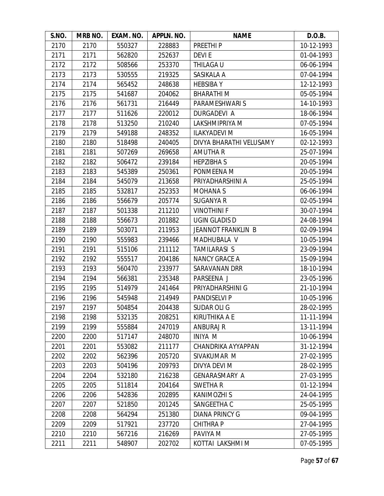| S.NO. | MRB NO. | EXAM. NO. | APPLN. NO. | <b>NAME</b>               | D.O.B.     |
|-------|---------|-----------|------------|---------------------------|------------|
| 2170  | 2170    | 550327    | 228883     | PREETHI <sub>P</sub>      | 10-12-1993 |
| 2171  | 2171    | 562820    | 252637     | <b>DEVIE</b>              | 01-04-1993 |
| 2172  | 2172    | 508566    | 253370     | THILAGA U                 | 06-06-1994 |
| 2173  | 2173    | 530555    | 219325     | SASIKALA A                | 07-04-1994 |
| 2174  | 2174    | 565452    | 248638     | <b>HEBSIBAY</b>           | 12-12-1993 |
| 2175  | 2175    | 541687    | 204062     | <b>BHARATHIM</b>          | 05-05-1994 |
| 2176  | 2176    | 561731    | 216449     | PARAMESHWARI S            | 14-10-1993 |
| 2177  | 2177    | 511626    | 220012     | DURGADEVI A               | 18-06-1994 |
| 2178  | 2178    | 513250    | 210240     | LAKSHMIPRIYA M            | 07-05-1994 |
| 2179  | 2179    | 549188    | 248352     | <b>ILAKYADEVI M</b>       | 16-05-1994 |
| 2180  | 2180    | 518498    | 240405     | DIVYA BHARATHI VELUSAMY   | 02-12-1993 |
| 2181  | 2181    | 507269    | 269658     | <b>AMUTHA R</b>           | 25-07-1994 |
| 2182  | 2182    | 506472    | 239184     | <b>HEPZIBHAS</b>          | 20-05-1994 |
| 2183  | 2183    | 545389    | 250361     | PONMEENA M                | 20-05-1994 |
| 2184  | 2184    | 545079    | 213658     | PRIYADHARSHINI A          | 25-05-1994 |
| 2185  | 2185    | 532817    | 252353     | <b>MOHANA S</b>           | 06-06-1994 |
| 2186  | 2186    | 556679    | 205774     | <b>SUGANYA R</b>          | 02-05-1994 |
| 2187  | 2187    | 501338    | 211210     | <b>VINOTHINI F</b>        | 30-07-1994 |
| 2188  | 2188    | 556673    | 201882     | <b>UGIN GLADIS D</b>      | 24-08-1994 |
| 2189  | 2189    | 503071    | 211953     | <b>JEANNOT FRANKLIN B</b> | 02-09-1994 |
| 2190  | 2190    | 555983    | 239466     | MADHUBALA V               | 10-05-1994 |
| 2191  | 2191    | 515106    | 211112     | <b>TAMILARASI S</b>       | 23-09-1994 |
| 2192  | 2192    | 555517    | 204186     | <b>NANCY GRACE A</b>      | 15-09-1994 |
| 2193  | 2193    | 560470    | 233977     | SARAVANAN DRR             | 18-10-1994 |
| 2194  | 2194    | 566381    | 235348     | PARSEENA J                | 23-05-1996 |
| 2195  | 2195    | 514979    | 241464     | PRIYADHARSHINI G          | 21-10-1994 |
| 2196  | 2196    | 545948    | 214949     | <b>PANDISELVI P</b>       | 10-05-1996 |
| 2197  | 2197    | 504854    | 204438     | <b>SUDAR OLI G</b>        | 28-02-1995 |
| 2198  | 2198    | 532135    | 208251     | <b>KIRUTHIKA A E</b>      | 11-11-1994 |
| 2199  | 2199    | 555884    | 247019     | <b>ANBURAJ R</b>          | 13-11-1994 |
| 2200  | 2200    | 517147    | 248070     | <b>INIYA M</b>            | 10-06-1994 |
| 2201  | 2201    | 553082    | 211177     | CHANDRIKA AYYAPPAN        | 31-12-1994 |
| 2202  | 2202    | 562396    | 205720     | SIVAKUMAR M               | 27-02-1995 |
| 2203  | 2203    | 504196    | 209793     | DIVYA DEVI M              | 28-02-1995 |
| 2204  | 2204    | 532180    | 216238     | <b>GENARASMARY A</b>      | 27-03-1995 |
| 2205  | 2205    | 511814    | 204164     | <b>SWETHAR</b>            | 01-12-1994 |
| 2206  | 2206    | 542836    | 202895     | <b>KANIMOZHI S</b>        | 24-04-1995 |
| 2207  | 2207    | 521850    | 201245     | SANGEETHA C               | 25-05-1995 |
| 2208  | 2208    | 564294    | 251380     | <b>DIANA PRINCY G</b>     | 09-04-1995 |
| 2209  | 2209    | 517921    | 237720     | <b>CHITHRAP</b>           | 27-04-1995 |
| 2210  | 2210    | 567216    | 216269     | PAVIYA M                  | 27-05-1995 |
| 2211  | 2211    | 548907    | 202702     | KOTTAI LAKSHMI M          | 07-05-1995 |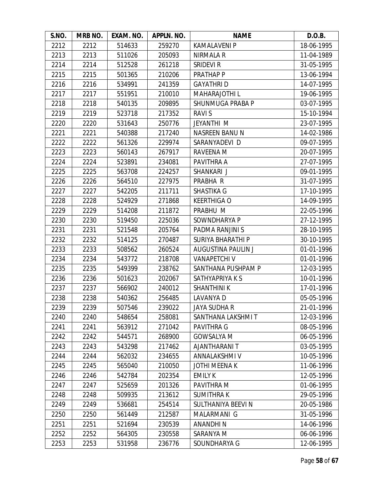| S.NO. | MRB NO. | EXAM. NO. | APPLN. NO. | <b>NAME</b>               | D.O.B.     |
|-------|---------|-----------|------------|---------------------------|------------|
| 2212  | 2212    | 514633    | 259270     | <b>KAMALAVENI P</b>       | 18-06-1995 |
| 2213  | 2213    | 511026    | 205093     | NIRMALA R                 | 11-04-1989 |
| 2214  | 2214    | 512528    | 261218     | <b>SRIDEVI R</b>          | 31-05-1995 |
| 2215  | 2215    | 501365    | 210206     | PRATHAP P                 | 13-06-1994 |
| 2216  | 2216    | 534991    | 241359     | <b>GAYATHRID</b>          | 14-07-1995 |
| 2217  | 2217    | 551951    | 210010     | MAHARAJOTHI L             | 19-06-1995 |
| 2218  | 2218    | 540135    | 209895     | SHUNMUGA PRABA P          | 03-07-1995 |
| 2219  | 2219    | 523718    | 217352     | RAVI S                    | 15-10-1994 |
| 2220  | 2220    | 531643    | 250776     | <b>JEYANTHI M</b>         | 23-07-1995 |
| 2221  | 2221    | 540388    | 217240     | NASREEN BANU N            | 14-02-1986 |
| 2222  | 2222    | 561326    | 229974     | SARANYADEVI D             | 09-07-1995 |
| 2223  | 2223    | 560143    | 267917     | RAVEENA M                 | 20-07-1995 |
| 2224  | 2224    | 523891    | 234081     | PAVITHRA A                | 27-07-1995 |
| 2225  | 2225    | 563708    | 224257     | SHANKARI J                | 09-01-1995 |
| 2226  | 2226    | 564510    | 227975     | PRABHA R                  | 31-07-1995 |
| 2227  | 2227    | 542205    | 211711     | <b>SHASTIKA G</b>         | 17-10-1995 |
| 2228  | 2228    | 524929    | 271868     | <b>KEERTHIGA O</b>        | 14-09-1995 |
| 2229  | 2229    | 514208    | 211872     | PRABHU M                  | 22-05-1996 |
| 2230  | 2230    | 519450    | 225036     | SOWNDHARYA P              | 27-12-1995 |
| 2231  | 2231    | 521548    | 205764     | PADMA RANJINI S           | 28-10-1995 |
| 2232  | 2232    | 514125    | 270487     | <b>SURIYA BHARATHI P</b>  | 30-10-1995 |
| 2233  | 2233    | 508562    | 260524     | <b>AUGUSTINA PAULIN J</b> | 01-01-1996 |
| 2234  | 2234    | 543772    | 218708     | <b>VANAPETCHIV</b>        | 01-01-1996 |
| 2235  | 2235    | 549399    | 238762     | SANTHANA PUSHPAM P        | 12-03-1995 |
| 2236  | 2236    | 501623    | 202067     | SATHYAPRIYA K S           | 10-01-1996 |
| 2237  | 2237    | 566902    | 240012     | <b>SHANTHINIK</b>         | 17-01-1996 |
| 2238  | 2238    | 540362    | 256485     | LAVANYA D                 | 05-05-1996 |
| 2239  | 2239    | 507546    | 239022     | <b>JAYA SUDHA R</b>       | 21-01-1996 |
| 2240  | 2240    | 548654    | 258081     | SANTHANA LAKSHMI T        | 12-03-1996 |
| 2241  | 2241    | 563912    | 271042     | <b>PAVITHRA G</b>         | 08-05-1996 |
| 2242  | 2242    | 544571    | 268900     | <b>GOWSALYA M</b>         | 06-05-1996 |
| 2243  | 2243    | 543298    | 217462     | AJANTHARANI T             | 03-05-1995 |
| 2244  | 2244    | 562032    | 234655     | ANNALAKSHMI V             | 10-05-1996 |
| 2245  | 2245    | 565040    | 210050     | <b>JOTHI MEENA K</b>      | 11-06-1996 |
| 2246  | 2246    | 542784    | 202354     | <b>EMILY K</b>            | 12-05-1996 |
| 2247  | 2247    | 525659    | 201326     | PAVITHRA M                | 01-06-1995 |
| 2248  | 2248    | 509935    | 213612     | <b>SUMITHRAK</b>          | 29-05-1996 |
| 2249  | 2249    | 536681    | 254514     | SULTHANIYA BEEVI N        | 20-05-1986 |
| 2250  | 2250    | 561449    | 212587     | MALARMANI G               | 31-05-1996 |
| 2251  | 2251    | 521694    | 230539     | ANANDHI N                 | 14-06-1996 |
| 2252  | 2252    | 564305    | 230558     | SARANYA M                 | 06-06-1996 |
| 2253  | 2253    | 531958    | 236776     | SOUNDHARYA G              | 12-06-1995 |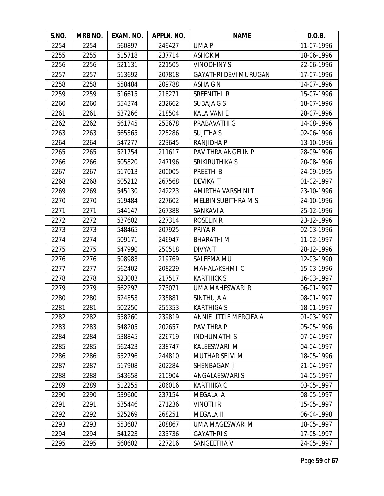| S.NO. | MRB NO. | EXAM. NO. | APPLN. NO. | <b>NAME</b>                  | D.O.B.     |
|-------|---------|-----------|------------|------------------------------|------------|
| 2254  | 2254    | 560897    | 249427     | UMA P                        | 11-07-1996 |
| 2255  | 2255    | 515718    | 237714     | <b>ASHOK M</b>               | 18-06-1996 |
| 2256  | 2256    | 521131    | 221505     | <b>VINODHINYS</b>            | 22-06-1996 |
| 2257  | 2257    | 513692    | 207818     | <b>GAYATHRI DEVI MURUGAN</b> | 17-07-1996 |
| 2258  | 2258    | 558484    | 209788     | ASHA G N                     | 14-07-1996 |
| 2259  | 2259    | 516615    | 218271     | SREENITHI R                  | 15-07-1996 |
| 2260  | 2260    | 554374    | 232662     | SUBAJA G S                   | 18-07-1996 |
| 2261  | 2261    | 537266    | 218504     | <b>KALAIVANI E</b>           | 28-07-1996 |
| 2262  | 2262    | 561745    | 253678     | PRABAVATHI G                 | 14-08-1996 |
| 2263  | 2263    | 565365    | 225286     | <b>SUJITHA S</b>             | 02-06-1996 |
| 2264  | 2264    | 547277    | 223645     | RANJIDHA P                   | 13-10-1996 |
| 2265  | 2265    | 521754    | 211617     | PAVITHRA ANGELIN P           | 28-09-1996 |
| 2266  | 2266    | 505820    | 247196     | SRIKIRUTHIKA S               | 20-08-1996 |
| 2267  | 2267    | 517013    | 200005     | PREETHI B                    | 24-09-1995 |
| 2268  | 2268    | 505212    | 267568     | <b>DEVIKA T</b>              | 01-02-1997 |
| 2269  | 2269    | 545130    | 242223     | AMIRTHA VARSHINI T           | 23-10-1996 |
| 2270  | 2270    | 519484    | 227602     | MELBIN SUBITHRA M S          | 24-10-1996 |
| 2271  | 2271    | 544147    | 267388     | SANKAVI A                    | 25-12-1996 |
| 2272  | 2272    | 537602    | 227314     | <b>ROSELIN R</b>             | 23-12-1996 |
| 2273  | 2273    | 548465    | 207925     | PRIYA R                      | 02-03-1996 |
| 2274  | 2274    | 509171    | 246947     | <b>BHARATHIM</b>             | 11-02-1997 |
| 2275  | 2275    | 547990    | 250518     | <b>DIVYAT</b>                | 28-12-1996 |
| 2276  | 2276    | 508983    | 219769     | SALEEMA MU                   | 12-03-1990 |
| 2277  | 2277    | 562402    | 208229     | MAHALAKSHMI C                | 15-03-1996 |
| 2278  | 2278    | 523003    | 217517     | <b>KARTHICK S</b>            | 16-03-1997 |
| 2279  | 2279    | 562297    | 273071     | UMA MAHESWARI R              | 06-01-1997 |
| 2280  | 2280    | 524353    | 235881     | SINTHUJA A                   | 08-01-1997 |
| 2281  | 2281    | 502250    | 255353     | <b>KARTHIGA S</b>            | 18-01-1997 |
| 2282  | 2282    | 558260    | 239819     | ANNIE LITTLE MERCIFA A       | 01-03-1997 |
| 2283  | 2283    | 548205    | 202657     | PAVITHRA P                   | 05-05-1996 |
| 2284  | 2284    | 538845    | 226719     | <b>INDHUMATHIS</b>           | 07-04-1997 |
| 2285  | 2285    | 562423    | 238747     | KALEESWARI M                 | 04-04-1997 |
| 2286  | 2286    | 552796    | 244810     | <b>MUTHAR SELVI M</b>        | 18-05-1996 |
| 2287  | 2287    | 517908    | 202284     | SHENBAGAM J                  | 21-04-1997 |
| 2288  | 2288    | 543658    | 210904     | ANGALAESWARI S               | 14-05-1997 |
| 2289  | 2289    | 512255    | 206016     | <b>KARTHIKA C</b>            | 03-05-1997 |
| 2290  | 2290    | 539600    | 237154     | MEGALA A                     | 08-05-1997 |
| 2291  | 2291    | 535446    | 271236     | <b>VINOTH R</b>              | 15-05-1997 |
| 2292  | 2292    | 525269    | 268251     | MEGALA H                     | 06-04-1998 |
| 2293  | 2293    | 553687    | 208867     | UMA MAGESWARI M              | 18-05-1997 |
| 2294  | 2294    | 541223    | 233736     | <b>GAYATHRIS</b>             | 17-05-1997 |
| 2295  | 2295    | 560602    | 227216     | SANGEETHA V                  | 24-05-1997 |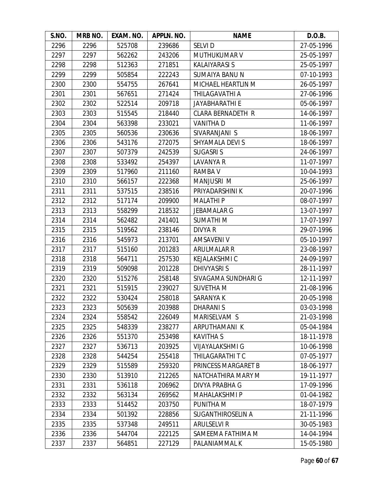| S.NO. | MRB NO. | EXAM. NO. | APPLN. NO. | <b>NAME</b>              | D.O.B.     |
|-------|---------|-----------|------------|--------------------------|------------|
| 2296  | 2296    | 525708    | 239686     | <b>SELVID</b>            | 27-05-1996 |
| 2297  | 2297    | 562262    | 243206     | MUTHUKUMAR V             | 25-05-1997 |
| 2298  | 2298    | 512363    | 271851     | <b>KALAIYARASI S</b>     | 25-05-1997 |
| 2299  | 2299    | 505854    | 222243     | <b>SUMAIYA BANU N</b>    | 07-10-1993 |
| 2300  | 2300    | 554755    | 267641     | MICHAEL HEARTLIN M       | 26-05-1997 |
| 2301  | 2301    | 567651    | 271424     | THILAGAVATHI A           | 27-06-1996 |
| 2302  | 2302    | 522514    | 209718     | JAYABHARATHI E           | 05-06-1997 |
| 2303  | 2303    | 515545    | 218440     | <b>CLARA BERNADETH R</b> | 14-06-1997 |
| 2304  | 2304    | 563398    | 233021     | <b>VANITHA D</b>         | 11-06-1997 |
| 2305  | 2305    | 560536    | 230636     | SIVARANJANI S            | 18-06-1997 |
| 2306  | 2306    | 543176    | 272075     | SHYAMALA DEVI S          | 18-06-1997 |
| 2307  | 2307    | 507379    | 242539     | <b>SUGASRIS</b>          | 24-06-1997 |
| 2308  | 2308    | 533492    | 254397     | LAVANYA R                | 11-07-1997 |
| 2309  | 2309    | 517960    | 211160     | RAMBA V                  | 10-04-1993 |
| 2310  | 2310    | 566157    | 222368     | <b>MANJUSRI M</b>        | 25-06-1997 |
| 2311  | 2311    | 537515    | 238516     | PRIYADARSHINI K          | 20-07-1996 |
| 2312  | 2312    | 517174    | 209900     | <b>MALATHIP</b>          | 08-07-1997 |
| 2313  | 2313    | 558299    | 218532     | <b>JEBAMALAR G</b>       | 13-07-1997 |
| 2314  | 2314    | 562482    | 241401     | <b>SUMATHIM</b>          | 17-07-1997 |
| 2315  | 2315    | 519562    | 238146     | DIVYA R                  | 29-07-1996 |
| 2316  | 2316    | 545973    | 213701     | AMSAVENI V               | 05-10-1997 |
| 2317  | 2317    | 515160    | 201283     | <b>ARULMALAR R</b>       | 23-08-1997 |
| 2318  | 2318    | 564711    | 257530     | <b>KEJALAKSHMI C</b>     | 24-09-1997 |
| 2319  | 2319    | 509098    | 201228     | <b>DHIVYASRIS</b>        | 28-11-1997 |
| 2320  | 2320    | 515276    | 258148     | SIVAGAMA SUNDHARI G      | 12-11-1997 |
| 2321  | 2321    | 515915    | 239027     | <b>SUVETHA M</b>         | 21-08-1996 |
| 2322  | 2322    | 530424    | 258018     | SARANYA K                | 20-05-1998 |
| 2323  | 2323    | 505639    | 203988     | <b>DHARANIS</b>          | 03-03-1998 |
| 2324  | 2324    | 558542    | 226049     | MARISELVAM S             | 21-03-1998 |
| 2325  | 2325    | 548339    | 238277     | ARPUTHAMANI K            | 05-04-1984 |
| 2326  | 2326    | 551370    | 253498     | <b>KAVITHA S</b>         | 18-11-1978 |
| 2327  | 2327    | 536713    | 203925     | <b>VIJAYALAKSHMI G</b>   | 10-06-1998 |
| 2328  | 2328    | 544254    | 255418     | THILAGARATHI T C         | 07-05-1977 |
| 2329  | 2329    | 515589    | 259320     | PRINCESS MARGARET B      | 18-06-1977 |
| 2330  | 2330    | 513910    | 212265     | NATCHATHIRA MARY M       | 19-11-1977 |
| 2331  | 2331    | 536118    | 206962     | <b>DIVYA PRABHA G</b>    | 17-09-1996 |
| 2332  | 2332    | 563134    | 269562     | <b>MAHALAKSHMIP</b>      | 01-04-1982 |
| 2333  | 2333    | 514452    | 203750     | PUNITHA M                | 18-07-1979 |
| 2334  | 2334    | 501392    | 228856     | SUGANTHIROSELIN A        | 21-11-1996 |
| 2335  | 2335    | 537348    | 249511     | <b>ARULSELVI R</b>       | 30-05-1983 |
| 2336  | 2336    | 544704    | 222125     | SAMEEMA FATHIMA M        | 14-04-1994 |
| 2337  | 2337    | 564851    | 227129     | PALANIAMMAL K            | 15-05-1980 |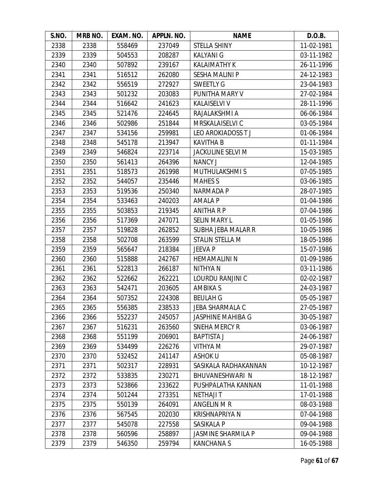| S.NO. | <b>MRB NO.</b> | EXAM. NO. | APPLN. NO. | <b>NAME</b>               | D.O.B.     |
|-------|----------------|-----------|------------|---------------------------|------------|
| 2338  | 2338           | 558469    | 237049     | STELLA SHINY              | 11-02-1981 |
| 2339  | 2339           | 504553    | 208287     | <b>KALYANI G</b>          | 03-11-1982 |
| 2340  | 2340           | 507892    | 239167     | <b>KALAIMATHY K</b>       | 26-11-1996 |
| 2341  | 2341           | 516512    | 262080     | <b>SESHA MALINI P</b>     | 24-12-1983 |
| 2342  | 2342           | 556519    | 272927     | <b>SWEETLY G</b>          | 23-04-1983 |
| 2343  | 2343           | 501232    | 203083     | PUNITHA MARY V            | 27-02-1984 |
| 2344  | 2344           | 516642    | 241623     | KALAISELVI V              | 28-11-1996 |
| 2345  | 2345           | 521476    | 224645     | RAJALAKSHMI A             | 06-06-1984 |
| 2346  | 2346           | 502986    | 251844     | MRSKALAISELVI C           | 03-05-1984 |
| 2347  | 2347           | 534156    | 259981     | LEO AROKIADOSS TJ         | 01-06-1984 |
| 2348  | 2348           | 545178    | 213947     | <b>KAVITHA B</b>          | 01-11-1984 |
| 2349  | 2349           | 546824    | 223714     | <b>JACKULINE SELVI M</b>  | 15-03-1985 |
| 2350  | 2350           | 561413    | 264396     | <b>NANCY J</b>            | 12-04-1985 |
| 2351  | 2351           | 518573    | 261998     | <b>MUTHULAKSHMIS</b>      | 07-05-1985 |
| 2352  | 2352           | 544057    | 235446     | <b>MAHES S</b>            | 03-06-1985 |
| 2353  | 2353           | 519536    | 250340     | <b>NARMADA P</b>          | 28-07-1985 |
| 2354  | 2354           | 533463    | 240203     | <b>AMALA P</b>            | 01-04-1986 |
| 2355  | 2355           | 503853    | 219345     | ANITHA R P                | 07-04-1986 |
| 2356  | 2356           | 517369    | 247071     | <b>SELIN MARY L</b>       | 01-05-1986 |
| 2357  | 2357           | 519828    | 262852     | <b>SUBHA JEBA MALAR R</b> | 10-05-1986 |
| 2358  | 2358           | 502708    | 263599     | STALIN STELLA M           | 18-05-1986 |
| 2359  | 2359           | 565647    | 218384     | JEEVA P                   | 15-07-1986 |
| 2360  | 2360           | 515888    | 242767     | <b>HEMAMALINI N</b>       | 01-09-1986 |
| 2361  | 2361           | 522813    | 266187     | NITHYA N                  | 03-11-1986 |
| 2362  | 2362           | 522662    | 262221     | LOURDU RANJINI C          | 02-02-1987 |
| 2363  | 2363           | 542471    | 203605     | <b>AMBIKA S</b>           | 24-03-1987 |
| 2364  | 2364           | 507352    | 224308     | <b>BEULAH G</b>           | 05-05-1987 |
| 2365  | 2365           | 556385    | 238533     | JEBA SHARMALA C           | 27-05-1987 |
| 2366  | 2366           | 552237    | 245057     | <b>JASPHINE MAHIBA G</b>  | 30-05-1987 |
| 2367  | 2367           | 516231    | 263560     | <b>SNEHA MERCY R</b>      | 03-06-1987 |
| 2368  | 2368           | 551199    | 206901     | <b>BAPTISTA J</b>         | 24-06-1987 |
| 2369  | 2369           | 534499    | 226276     | <b>NITHYA M</b>           | 29-07-1987 |
| 2370  | 2370           | 532452    | 241147     | <b>ASHOK U</b>            | 05-08-1987 |
| 2371  | 2371           | 502317    | 228931     | SASIKALA RADHAKANNAN      | 10-12-1987 |
| 2372  | 2372           | 533835    | 230271     | <b>BHUVANESHWARI N</b>    | 18-12-1987 |
| 2373  | 2373           | 523866    | 233622     | PUSHPALATHA KANNAN        | 11-01-1988 |
| 2374  | 2374           | 501244    | 273351     | <b>NETHAJI T</b>          | 17-01-1988 |
| 2375  | 2375           | 550139    | 264091     | ANGELIN M R               | 08-03-1988 |
| 2376  | 2376           | 567545    | 202030     | <b>KRISHNAPRIYA N</b>     | 07-04-1988 |
| 2377  | 2377           | 545078    | 227558     | SASIKALA P                | 09-04-1988 |
| 2378  | 2378           | 560596    | 258897     | <b>JASMINE SHARMILA P</b> | 09-04-1988 |
| 2379  | 2379           | 546350    | 259794     | <b>KANCHANAS</b>          | 16-05-1988 |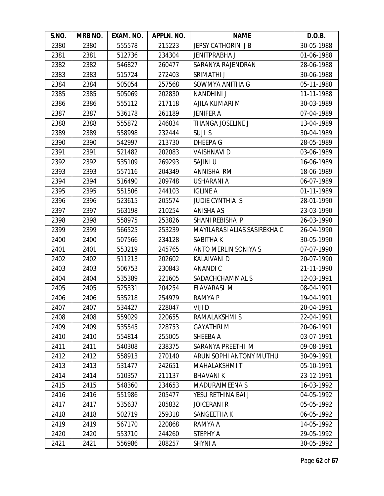| S.NO. | MRB NO. | EXAM. NO. | APPLN. NO. | <b>NAME</b>                  | D.O.B.     |
|-------|---------|-----------|------------|------------------------------|------------|
| 2380  | 2380    | 555578    | 215223     | JEPSY CATHORIN JB            | 30-05-1988 |
| 2381  | 2381    | 512736    | 234304     | JENITPRABHA J                | 01-06-1988 |
| 2382  | 2382    | 546827    | 260477     | SARANYA RAJENDRAN            | 28-06-1988 |
| 2383  | 2383    | 515724    | 272403     | SRIMATHI J                   | 30-06-1988 |
| 2384  | 2384    | 505054    | 257568     | SOWMYA ANITHA G              | 05-11-1988 |
| 2385  | 2385    | 505069    | 202830     | <b>NANDHINI J</b>            | 11-11-1988 |
| 2386  | 2386    | 555112    | 217118     | AJILA KUMARI M               | 30-03-1989 |
| 2387  | 2387    | 536178    | 261189     | <b>JENIFER A</b>             | 07-04-1989 |
| 2388  | 2388    | 555872    | 246834     | THANGA JOSELINE J            | 13-04-1989 |
| 2389  | 2389    | 558998    | 232444     | SUJI S                       | 30-04-1989 |
| 2390  | 2390    | 542997    | 213730     | DHEEPA G                     | 28-05-1989 |
| 2391  | 2391    | 521482    | 202083     | <b>VAISHNAVI D</b>           | 03-06-1989 |
| 2392  | 2392    | 535109    | 269293     | SAJINI U                     | 16-06-1989 |
| 2393  | 2393    | 557116    | 204349     | ANNISHA RM                   | 18-06-1989 |
| 2394  | 2394    | 516490    | 209748     | USHARANI A                   | 06-07-1989 |
| 2395  | 2395    | 551506    | 244103     | <b>IGLINE A</b>              | 01-11-1989 |
| 2396  | 2396    | 523615    | 205574     | <b>JUDIE CYNTHIA S</b>       | 28-01-1990 |
| 2397  | 2397    | 563198    | 210254     | <b>ANISHA AS</b>             | 23-03-1990 |
| 2398  | 2398    | 558975    | 253826     | SHANI REBISHA P              | 26-03-1990 |
| 2399  | 2399    | 566525    | 253239     | MAYILARASI ALIAS SASIREKHA C | 26-04-1990 |
| 2400  | 2400    | 507566    | 234128     | SABITHA K                    | 30-05-1990 |
| 2401  | 2401    | 553219    | 245765     | ANTO MERLIN SONIYA S         | 07-07-1990 |
| 2402  | 2402    | 511213    | 202602     | <b>KALAIVANI D</b>           | 20-07-1990 |
| 2403  | 2403    | 506753    | 230843     | <b>ANANDIC</b>               | 21-11-1990 |
| 2404  | 2404    | 535389    | 221605     | SADACHCHAMMAL S              | 12-03-1991 |
| 2405  | 2405    | 525331    | 204254     | ELAVARASI M                  | 08-04-1991 |
| 2406  | 2406    | 535218    | 254979     | RAMYA P                      | 19-04-1991 |
| 2407  | 2407    | 534427    | 228047     | VIJI D                       | 20-04-1991 |
| 2408  | 2408    | 559029    | 220655     | RAMALAKSHMI S                | 22-04-1991 |
| 2409  | 2409    | 535545    | 228753     | <b>GAYATHRIM</b>             | 20-06-1991 |
| 2410  | 2410    | 554814    | 255005     | SHEEBA A                     | 03-07-1991 |
| 2411  | 2411    | 540308    | 238375     | SARANYA PREETHI M            | 09-08-1991 |
| 2412  | 2412    | 558913    | 270140     | ARUN SOPHI ANTONY MUTHU      | 30-09-1991 |
| 2413  | 2413    | 531477    | 242651     | MAHALAKSHMI T                | 05-10-1991 |
| 2414  | 2414    | 510357    | 211137     | <b>BHAVANIK</b>              | 23-12-1991 |
| 2415  | 2415    | 548360    | 234653     | <b>MADURAIMEENA S</b>        | 16-03-1992 |
| 2416  | 2416    | 551986    | 205477     | YESU RETHINA BAI J           | 04-05-1992 |
| 2417  | 2417    | 535637    | 205832     | <b>JOICERANI R</b>           | 05-05-1992 |
| 2418  | 2418    | 502719    | 259318     | SANGEETHA K                  | 06-05-1992 |
| 2419  | 2419    | 567170    | 220868     | RAMYA A                      | 14-05-1992 |
| 2420  | 2420    | 553710    | 244260     | STEPHY A                     | 29-05-1992 |
| 2421  | 2421    | 556986    | 208257     | <b>SHYNI A</b>               | 30-05-1992 |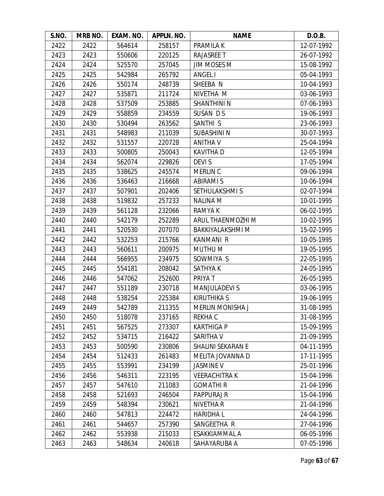| S.NO. | MRB NO. | EXAM. NO. | APPLN. NO. | <b>NAME</b>             | D.O.B.     |
|-------|---------|-----------|------------|-------------------------|------------|
| 2422  | 2422    | 564614    | 258157     | <b>PRAMILAK</b>         | 12-07-1992 |
| 2423  | 2423    | 550606    | 220125     | RAJASREE T              | 26-07-1992 |
| 2424  | 2424    | 525570    | 257045     | <b>JIM MOSES M</b>      | 15-08-1992 |
| 2425  | 2425    | 542984    | 265792     | ANGEL I                 | 05-04-1993 |
| 2426  | 2426    | 550174    | 248739     | SHEEBA N                | 10-04-1993 |
| 2427  | 2427    | 535871    | 211724     | NIVETHA M               | 03-06-1993 |
| 2428  | 2428    | 537509    | 253885     | <b>SHANTHINI N</b>      | 07-06-1993 |
| 2429  | 2429    | 558859    | 234559     | SUSAN DS                | 19-06-1993 |
| 2430  | 2430    | 530494    | 263562     | SANTHI <sub>S</sub>     | 23-06-1993 |
| 2431  | 2431    | 548983    | 211039     | <b>SUBASHINI N</b>      | 30-07-1993 |
| 2432  | 2432    | 531557    | 220728     | <b>ANITHA V</b>         | 25-04-1994 |
| 2433  | 2433    | 500805    | 250043     | <b>KAVITHAD</b>         | 12-05-1994 |
| 2434  | 2434    | 562074    | 229826     | DEVI S                  | 17-05-1994 |
| 2435  | 2435    | 538625    | 245574     | <b>MERLIN C</b>         | 09-06-1994 |
| 2436  | 2436    | 536463    | 216668     | <b>ABIRAMI S</b>        | 10-06-1994 |
| 2437  | 2437    | 507901    | 202406     | SETHULAKSHMI S          | 02-07-1994 |
| 2438  | 2438    | 519832    | 257233     | <b>NALINA M</b>         | 10-01-1995 |
| 2439  | 2439    | 561128    | 232066     | RAMYA K                 | 06-02-1995 |
| 2440  | 2440    | 542179    | 252289     | ARUL THAENMOZHI M       | 10-02-1995 |
| 2441  | 2441    | 520530    | 207070     | BAKKIYALAKSHMI M        | 15-02-1995 |
| 2442  | 2442    | 532253    | 215766     | <b>KANMANI R</b>        | 10-05-1995 |
| 2443  | 2443    | 560611    | 200975     | MUTHU M                 | 19-05-1995 |
| 2444  | 2444    | 566955    | 234975     | SOWMIYA S               | 22-05-1995 |
| 2445  | 2445    | 554181    | 208042     | <b>SATHYAK</b>          | 24-05-1995 |
| 2446  | 2446    | 547062    | 252600     | PRIYA T                 | 26-05-1995 |
| 2447  | 2447    | 551189    | 230718     | <b>MANJULADEVI S</b>    | 03-06-1995 |
| 2448  | 2448    | 538254    | 225384     | <b>KIRUTHIKA S</b>      | 19-06-1995 |
| 2449  | 2449    | 542789    | 211355     | <b>MERLIN MONISHA J</b> | 31-08-1995 |
| 2450  | 2450    | 518078    | 237165     | <b>REKHAC</b>           | 31-08-1995 |
| 2451  | 2451    | 567525    | 273307     | <b>KARTHIGA P</b>       | 15-09-1995 |
| 2452  | 2452    | 534715    | 216422     | SARITHA V               | 21-09-1995 |
| 2453  | 2453    | 500590    | 230806     | SHALINI SEKARAN E       | 04-11-1995 |
| 2454  | 2454    | 512433    | 261483     | MELITA JOVANNA D        | 17-11-1995 |
| 2455  | 2455    | 553991    | 234199     | <b>JASMINE V</b>        | 25-01-1996 |
| 2456  | 2456    | 546311    | 223195     | <b>VEERACHITRAK</b>     | 15-04-1996 |
| 2457  | 2457    | 547610    | 211083     | <b>GOMATHIR</b>         | 21-04-1996 |
| 2458  | 2458    | 521693    | 246504     | <b>PAPPURAJ R</b>       | 15-04-1996 |
| 2459  | 2459    | 548394    | 230621     | NIVETHA R               | 21-04-1996 |
| 2460  | 2460    | 547813    | 224472     | <b>HARIDHAL</b>         | 24-04-1996 |
| 2461  | 2461    | 544657    | 257390     | SANGEETHA R             | 27-04-1996 |
| 2462  | 2462    | 553938    | 215033     | ESAKKIAMMAL A           | 06-05-1996 |
| 2463  | 2463    | 548634    | 240618     | SAHAYARUBA A            | 07-05-1996 |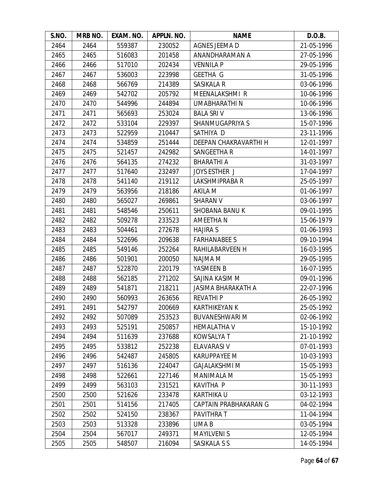| S.NO. | MRB NO. | EXAM. NO. | APPLN. NO. | <b>NAME</b>               | D.O.B.     |
|-------|---------|-----------|------------|---------------------------|------------|
| 2464  | 2464    | 559387    | 230052     | AGNES JEEMA D             | 21-05-1996 |
| 2465  | 2465    | 516083    | 201458     | ANANDHARAMAN A            | 27-05-1996 |
| 2466  | 2466    | 517010    | 202434     | <b>VENNILA P</b>          | 29-05-1996 |
| 2467  | 2467    | 536003    | 223998     | <b>GEETHA G</b>           | 31-05-1996 |
| 2468  | 2468    | 566769    | 214389     | SASIKALA R                | 03-06-1996 |
| 2469  | 2469    | 542702    | 205792     | <b>MEENALAKSHMI R</b>     | 10-06-1996 |
| 2470  | 2470    | 544996    | 244894     | <b>UMABHARATHIN</b>       | 10-06-1996 |
| 2471  | 2471    | 565693    | 253024     | <b>BALA SRIV</b>          | 13-06-1996 |
| 2472  | 2472    | 533104    | 229397     | SHANMUGAPRIYA S           | 15-07-1996 |
| 2473  | 2473    | 522959    | 210447     | SATHIYA D                 | 23-11-1996 |
| 2474  | 2474    | 534859    | 251444     | DEEPAN CHAKRAVARTHI H     | 12-01-1997 |
| 2475  | 2475    | 521457    | 242982     | SANGEETHA R               | 14-01-1997 |
| 2476  | 2476    | 564135    | 274232     | <b>BHARATHI A</b>         | 31-03-1997 |
| 2477  | 2477    | 517640    | 232497     | <b>JOYS ESTHER J</b>      | 17-04-1997 |
| 2478  | 2478    | 541140    | 219112     | LAKSHMIPRABA R            | 25-05-1997 |
| 2479  | 2479    | 563956    | 218186     | AKILA M                   | 01-06-1997 |
| 2480  | 2480    | 565027    | 269861     | <b>SHARAN V</b>           | 03-06-1997 |
| 2481  | 2481    | 548546    | 250611     | <b>SHOBANA BANUK</b>      | 09-01-1995 |
| 2482  | 2482    | 509278    | 233523     | AMEETHA N                 | 15-06-1979 |
| 2483  | 2483    | 504461    | 272678     | <b>HAJIRA S</b>           | 01-06-1993 |
| 2484  | 2484    | 522696    | 209638     | <b>FARHANABEE S</b>       | 09-10-1994 |
| 2485  | 2485    | 549146    | 252264     | RAHILABARVEEN H           | 16-03-1995 |
| 2486  | 2486    | 501901    | 200050     | NAJMA M                   | 29-05-1995 |
| 2487  | 2487    | 522870    | 220179     | YASMEEN B                 | 16-07-1995 |
| 2488  | 2488    | 562185    | 271202     | SAJINA KASIM M            | 09-01-1996 |
| 2489  | 2489    | 541871    | 218211     | <b>JASIMA BHARAKATH A</b> | 22-07-1996 |
| 2490  | 2490    | 560993    | 263656     | <b>REVATHIP</b>           | 26-05-1992 |
| 2491  | 2491    | 542797    | 200669     | <b>KARTHIKEYAN K</b>      | 25-05-1992 |
| 2492  | 2492    | 507089    | 253523     | <b>BUVANESHWARI M</b>     | 02-06-1992 |
| 2493  | 2493    | 525191    | 250857     | <b>HEMALATHA V</b>        | 15-10-1992 |
| 2494  | 2494    | 511639    | 237688     | <b>KOWSALYA T</b>         | 21-10-1992 |
| 2495  | 2495    | 533812    | 252238     | ELAVARASI V               | 07-01-1993 |
| 2496  | 2496    | 542487    | 245805     | <b>KARUPPAYEE M</b>       | 10-03-1993 |
| 2497  | 2497    | 516136    | 224047     | <b>GAJALAKSHMI M</b>      | 15-05-1993 |
| 2498  | 2498    | 522661    | 227146     | <b>MANIMALA M</b>         | 15-05-1993 |
| 2499  | 2499    | 563103    | 231521     | <b>KAVITHA P</b>          | 30-11-1993 |
| 2500  | 2500    | 521626    | 233478     | <b>KARTHIKA U</b>         | 03-12-1993 |
| 2501  | 2501    | 514156    | 217405     | CAPTAIN PRABHAKARAN G     | 04-02-1994 |
| 2502  | 2502    | 524150    | 238367     | PAVITHRA T                | 11-04-1994 |
| 2503  | 2503    | 513328    | 233896     | UMA B                     | 03-05-1994 |
| 2504  | 2504    | 567017    | 249371     | <b>MAYILVENIS</b>         | 12-05-1994 |
| 2505  | 2505    | 548507    | 216094     | SASIKALA S S              | 14-05-1994 |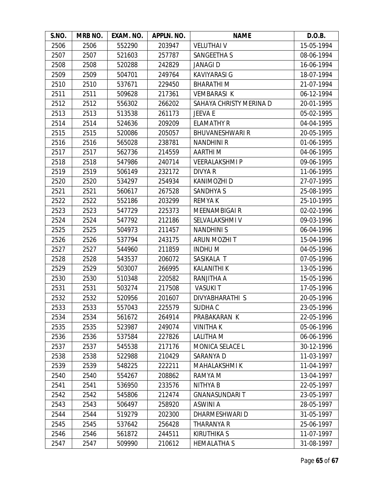| S.NO. | MRB NO. | EXAM. NO. | APPLN. NO. | <b>NAME</b>             | D.O.B.     |
|-------|---------|-----------|------------|-------------------------|------------|
| 2506  | 2506    | 552290    | 203947     | <b>VELUTHAI V</b>       | 15-05-1994 |
| 2507  | 2507    | 521603    | 257787     | SANGEETHA S             | 08-06-1994 |
| 2508  | 2508    | 520288    | 242829     | <b>JANAGID</b>          | 16-06-1994 |
| 2509  | 2509    | 504701    | 249764     | <b>KAVIYARASI G</b>     | 18-07-1994 |
| 2510  | 2510    | 537671    | 229450     | <b>BHARATHIM</b>        | 21-07-1994 |
| 2511  | 2511    | 509628    | 217361     | <b>VEMBARASI K</b>      | 06-12-1994 |
| 2512  | 2512    | 556302    | 266202     | SAHAYA CHRISTY MERINA D | 20-01-1995 |
| 2513  | 2513    | 513538    | 261173     | <b>JEEVA E</b>          | 05-02-1995 |
| 2514  | 2514    | 524636    | 209209     | <b>ELAMATHY R</b>       | 04-04-1995 |
| 2515  | 2515    | 520086    | 205057     | <b>BHUVANESHWARI R</b>  | 20-05-1995 |
| 2516  | 2516    | 565028    | 238781     | <b>NANDHINI R</b>       | 01-06-1995 |
| 2517  | 2517    | 562736    | 214559     | <b>AARTHIM</b>          | 04-06-1995 |
| 2518  | 2518    | 547986    | 240714     | <b>VEERALAKSHMIP</b>    | 09-06-1995 |
| 2519  | 2519    | 506149    | 232172     | DIVYA R                 | 11-06-1995 |
| 2520  | 2520    | 534297    | 254934     | KANIMOZHI D             | 27-07-1995 |
| 2521  | 2521    | 560617    | 267528     | <b>SANDHYA S</b>        | 25-08-1995 |
| 2522  | 2522    | 552186    | 203299     | <b>REMYAK</b>           | 25-10-1995 |
| 2523  | 2523    | 547729    | 225373     | <b>MEENAMBIGAIR</b>     | 02-02-1996 |
| 2524  | 2524    | 547792    | 212186     | SELVALAKSHMI V          | 09-03-1996 |
| 2525  | 2525    | 504973    | 211457     | <b>NANDHINIS</b>        | 06-04-1996 |
| 2526  | 2526    | 537794    | 243175     | ARUN MOZHI T            | 15-04-1996 |
| 2527  | 2527    | 544960    | 211859     | <b>INDHUM</b>           | 04-05-1996 |
| 2528  | 2528    | 543537    | 206072     | SASIKALA T              | 07-05-1996 |
| 2529  | 2529    | 503007    | 266995     | <b>KALANITHI K</b>      | 13-05-1996 |
| 2530  | 2530    | 510348    | 220582     | RANJITHA A              | 15-05-1996 |
| 2531  | 2531    | 503274    | 217508     | <b>VASUKIT</b>          | 17-05-1996 |
| 2532  | 2532    | 520956    | 201607     | DIVYABHARATHI S         | 20-05-1996 |
| 2533  | 2533    | 557043    | 225579     | SUDHA C                 | 23-05-1996 |
| 2534  | 2534    | 561672    | 264914     | PRABAKARAN K            | 22-05-1996 |
| 2535  | 2535    | 523987    | 249074     | <b>VINITHAK</b>         | 05-06-1996 |
| 2536  | 2536    | 537584    | 227826     | LALITHA M               | 06-06-1996 |
| 2537  | 2537    | 545538    | 217176     | MONICA SELACE L         | 30-12-1996 |
| 2538  | 2538    | 522988    | 210429     | SARANYA D               | 11-03-1997 |
| 2539  | 2539    | 548225    | 222211     | <b>MAHALAKSHMIK</b>     | 11-04-1997 |
| 2540  | 2540    | 554267    | 208862     | RAMYA M                 | 13-04-1997 |
| 2541  | 2541    | 536950    | 233576     | NITHYA B                | 22-05-1997 |
| 2542  | 2542    | 545806    | 212474     | <b>GNANASUNDARIT</b>    | 23-05-1997 |
| 2543  | 2543    | 506497    | 258920     | <b>ASWINI A</b>         | 28-05-1997 |
| 2544  | 2544    | 519279    | 202300     | DHARMESHWARI D          | 31-05-1997 |
| 2545  | 2545    | 537642    | 256428     | THARANYA R              | 25-06-1997 |
| 2546  | 2546    | 561872    | 244511     | <b>KIRUTHIKA S</b>      | 11-07-1997 |
| 2547  | 2547    | 509990    | 210612     | <b>HEMALATHA S</b>      | 31-08-1997 |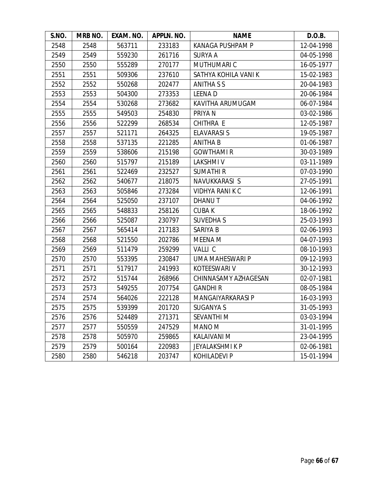| S.NO. | MRB NO. | EXAM. NO. | APPLN. NO. | <b>NAME</b>             | D.O.B.     |
|-------|---------|-----------|------------|-------------------------|------------|
| 2548  | 2548    | 563711    | 233183     | <b>KANAGA PUSHPAM P</b> | 12-04-1998 |
| 2549  | 2549    | 559230    | 261716     | <b>SURYA A</b>          | 04-05-1998 |
| 2550  | 2550    | 555289    | 270177     | MUTHUMARI C             | 16-05-1977 |
| 2551  | 2551    | 509306    | 237610     | SATHYA KOHILA VANI K    | 15-02-1983 |
| 2552  | 2552    | 550268    | 202477     | ANITHA S S              | 20-04-1983 |
| 2553  | 2553    | 504300    | 273353     | <b>LEENAD</b>           | 20-06-1984 |
| 2554  | 2554    | 530268    | 273682     | KAVITHA ARUMUGAM        | 06-07-1984 |
| 2555  | 2555    | 549503    | 254830     | PRIYA N                 | 03-02-1986 |
| 2556  | 2556    | 522299    | 268534     | CHITHRA E               | 12-05-1987 |
| 2557  | 2557    | 521171    | 264325     | <b>ELAVARASI S</b>      | 19-05-1987 |
| 2558  | 2558    | 537135    | 221285     | <b>ANITHA B</b>         | 01-06-1987 |
| 2559  | 2559    | 538606    | 215198     | <b>GOWTHAMIR</b>        | 30-03-1989 |
| 2560  | 2560    | 515797    | 215189     | <b>LAKSHMIV</b>         | 03-11-1989 |
| 2561  | 2561    | 522469    | 232527     | <b>SUMATHIR</b>         | 07-03-1990 |
| 2562  | 2562    | 540677    | 218075     | NAVUKKARASI S           | 27-05-1991 |
| 2563  | 2563    | 505846    | 273284     | <b>VIDHYA RANIK C</b>   | 12-06-1991 |
| 2564  | 2564    | 525050    | 237107     | DHANU T                 | 04-06-1992 |
| 2565  | 2565    | 548833    | 258126     | <b>CUBAK</b>            | 18-06-1992 |
| 2566  | 2566    | 525087    | 230797     | <b>SUVEDHAS</b>         | 25-03-1993 |
| 2567  | 2567    | 565414    | 217183     | SARIYA B                | 02-06-1993 |
| 2568  | 2568    | 521550    | 202786     | MEENA M                 | 04-07-1993 |
| 2569  | 2569    | 511479    | 259299     | VALLI C                 | 08-10-1993 |
| 2570  | 2570    | 553395    | 230847     | UMA MAHESWARI P         | 09-12-1993 |
| 2571  | 2571    | 517917    | 241993     | KOTEESWARI V            | 30-12-1993 |
| 2572  | 2572    | 515744    | 268966     | CHINNASAMY AZHAGESAN    | 02-07-1981 |
| 2573  | 2573    | 549255    | 207754     | <b>GANDHIR</b>          | 08-05-1984 |
| 2574  | 2574    | 564026    | 222128     | MANGAIYARKARASI P       | 16-03-1993 |
| 2575  | 2575    | 539399    | 201720     | <b>SUGANYA S</b>        | 31-05-1993 |
| 2576  | 2576    | 524489    | 271371     | <b>SEVANTHIM</b>        | 03-03-1994 |
| 2577  | 2577    | 550559    | 247529     | MANO M                  | 31-01-1995 |
| 2578  | 2578    | 505970    | 259865     | <b>KALAIVANI M</b>      | 23-04-1995 |
| 2579  | 2579    | 500164    | 220983     | <b>JEYALAKSHMIKP</b>    | 02-06-1981 |
| 2580  | 2580    | 546218    | 203747     | <b>KOHILADEVI P</b>     | 15-01-1994 |